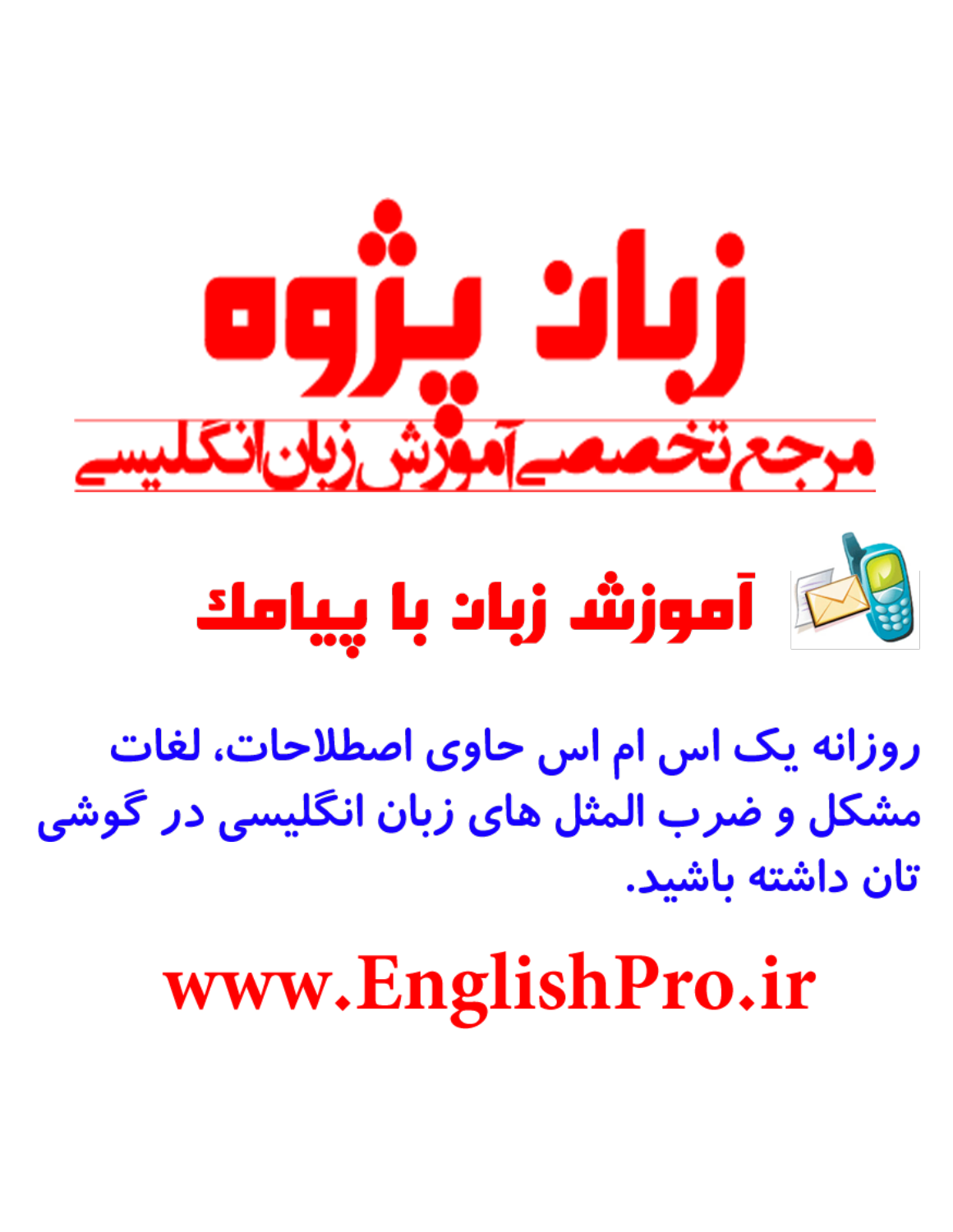



روزانه یک اس ام اس حاوی اصطلاحات، لغات مشکل و ضرب المثل های زبان انگلیسی در گوشی تان داشته باشید.

www.EnglishPro.ir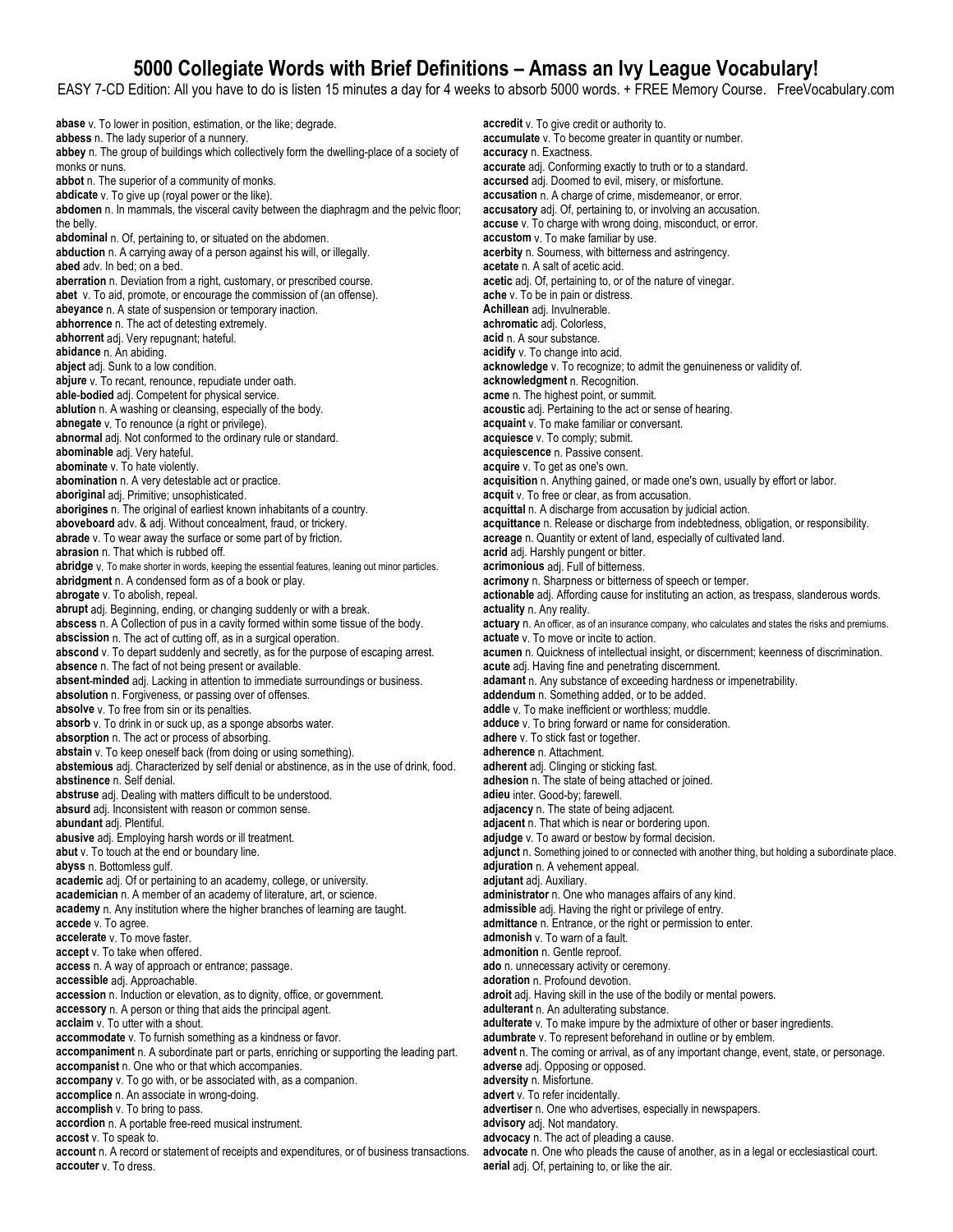EASY 7-CD Edition: All you have to do is listen 15 minutes a day for 4 weeks to absorb 5000 words. + FREE Memory Course. FreeVocabulary.com

**abase** v. To lower in position, estimation, or the like; degrade. **abbess** n. The lady superior of a nunnery. **abbey** n. The group of buildings which collectively form the dwelling-place of a society of monks or nuns. **abbot** n. The superior of a community of monks. **abdicate** v. To give up (royal power or the like). **abdomen** n. In mammals, the visceral cavity between the diaphragm and the pelvic floor; the belly. **abdominal** n. Of, pertaining to, or situated on the abdomen. **abduction** n. A carrying away of a person against his will, or illegally. **abed** adv. In bed; on a bed. **aberration** n. Deviation from a right, customary, or prescribed course. **abet** v. To aid, promote, or encourage the commission of (an offense). **abeyance** n. A state of suspension or temporary inaction. **abhorrence** n. The act of detesting extremely. **abhorrent** adj. Very repugnant; hateful. **abidance** n. An abiding. **abject** adj. Sunk to a low condition. **abjure** v. To recant, renounce, repudiate under oath. **able**-**bodied** adj. Competent for physical service. **ablution** n. A washing or cleansing, especially of the body. **abnegate** v. To renounce (a right or privilege). **abnormal** adj. Not conformed to the ordinary rule or standard. **abominable** adj. Very hateful. **abominate** v. To hate violently. **abomination** n. A very detestable act or practice. **aboriginal** adj. Primitive; unsophisticated. **aborigines** n. The original of earliest known inhabitants of a country. **aboveboard** adv. & adj. Without concealment, fraud, or trickery. **abrade** v. To wear away the surface or some part of by friction. **abrasion** n. That which is rubbed off. abridge v. To make shorter in words, keeping the essential features, leaning out minor particles. **abridgment** n. A condensed form as of a book or play. **abrogate** v. To abolish, repeal. **abrupt** adj. Beginning, ending, or changing suddenly or with a break. **abscess** n. A Collection of pus in a cavity formed within some tissue of the body. **abscission** n. The act of cutting off, as in a surgical operation. **abscond** v. To depart suddenly and secretly, as for the purpose of escaping arrest. **absence** n. The fact of not being present or available. **absent**-**minded** adj. Lacking in attention to immediate surroundings or business. **absolution** n. Forgiveness, or passing over of offenses. **absolve** v. To free from sin or its penalties. **absorb** v. To drink in or suck up, as a sponge absorbs water. **absorption** n. The act or process of absorbing. **abstain** v. To keep oneself back (from doing or using something). **abstemious** adj. Characterized by self denial or abstinence, as in the use of drink, food. **abstinence** n. Self denial. **abstruse** adj. Dealing with matters difficult to be understood. **absurd** adj. Inconsistent with reason or common sense. **abundant** adj. Plentiful. **abusive** adj. Employing harsh words or ill treatment. **abut** v. To touch at the end or boundary line. **abyss** n. Bottomless gulf. **academic** adj. Of or pertaining to an academy, college, or university. **academician** n. A member of an academy of literature, art, or science. **academy** n. Any institution where the higher branches of learning are taught. **accede** v. To agree. **accelerate** v. To move faster. **accept** v. To take when offered. **access** n. A way of approach or entrance; passage. **accessible** adj. Approachable. **accession** n. Induction or elevation, as to dignity, office, or government. **accessory** n. A person or thing that aids the principal agent. **acclaim** v. To utter with a shout. **accommodate** v. To furnish something as a kindness or favor. **accompaniment** n. A subordinate part or parts, enriching or supporting the leading part. **accompanist** n. One who or that which accompanies. **accompany** v. To go with, or be associated with, as a companion. **accomplice** n. An associate in wrong-doing. **accomplish** v. To bring to pass. **accordion** n. A portable free-reed musical instrument. **accost** v. To speak to. **account** n. A record or statement of receipts and expenditures, or of business transactions. **accouter** v. To dress.

**accredit** v. To give credit or authority to. **accumulate** v. To become greater in quantity or number. **accuracy** n. Exactness. **accurate** adj. Conforming exactly to truth or to a standard. **accursed** adj. Doomed to evil, misery, or misfortune. **accusation** n. A charge of crime, misdemeanor, or error. **accusatory** adj. Of, pertaining to, or involving an accusation. **accuse** v. To charge with wrong doing, misconduct, or error. **accustom** v. To make familiar by use. **acerbity** n. Sourness, with bitterness and astringency. **acetate** n. A salt of acetic acid. **acetic** adj. Of, pertaining to, or of the nature of vinegar. **ache** v. To be in pain or distress. **Achillean** adj. Invulnerable. **achromatic** adj. Colorless, **acid** n. A sour substance. **acidify** v. To change into acid. **acknowledge** v. To recognize; to admit the genuineness or validity of. **acknowledgment** n. Recognition. **acme** n. The highest point, or summit. **acoustic** adj. Pertaining to the act or sense of hearing. **acquaint** v. To make familiar or conversant. **acquiesce** v. To comply; submit. **acquiescence** n. Passive consent. **acquire** v. To get as one's own. **acquisition** n. Anything gained, or made one's own, usually by effort or labor. **acquit** v. To free or clear, as from accusation. **acquittal** n. A discharge from accusation by judicial action. **acquittance** n. Release or discharge from indebtedness, obligation, or responsibility. **acreage** n. Quantity or extent of land, especially of cultivated land. **acrid** adj. Harshly pungent or bitter. **acrimonious** adj. Full of bitterness. **acrimony** n. Sharpness or bitterness of speech or temper. **actionable** adj. Affording cause for instituting an action, as trespass, slanderous words. **actuality** n. Any reality. **actuary** n. An officer, as of an insurance company, who calculates and states the risks and premiums. **actuate** v. To move or incite to action. **acumen** n. Quickness of intellectual insight, or discernment; keenness of discrimination. **acute** adj. Having fine and penetrating discernment. **adamant** n. Any substance of exceeding hardness or impenetrability. **addendum** n. Something added, or to be added. **addle** v. To make inefficient or worthless; muddle. **adduce** v. To bring forward or name for consideration. **adhere** v. To stick fast or together. **adherence** n. Attachment. **adherent** adj. Clinging or sticking fast. **adhesion** n. The state of being attached or joined. **adieu** inter. Good-by; farewell. **adjacency** n. The state of being adjacent. **adjacent** n. That which is near or bordering upon. **adjudge** v. To award or bestow by formal decision. **adjunct** n. Something joined to or connected with another thing, but holding a subordinate place. **adjuration** n. A vehement appeal. **adjutant** adj. Auxiliary. **administrator** n. One who manages affairs of any kind. **admissible** adj. Having the right or privilege of entry. **admittance** n. Entrance, or the right or permission to enter. **admonish** v. To warn of a fault. **admonition** n. Gentle reproof. **ado** n. unnecessary activity or ceremony. **adoration** n. Profound devotion. **adroit** adj. Having skill in the use of the bodily or mental powers. **adulterant** n. An adulterating substance. **adulterate** v. To make impure by the admixture of other or baser ingredients. **adumbrate** v. To represent beforehand in outline or by emblem. **advent** n. The coming or arrival, as of any important change, event, state, or personage. **adverse** adj. Opposing or opposed. **adversity** n. Misfortune. **advert** v. To refer incidentally. **advertiser** n. One who advertises, especially in newspapers. **advisory** adj. Not mandatory. **advocacy** n. The act of pleading a cause.

**advocate** n. One who pleads the cause of another, as in a legal or ecclesiastical court. **aerial** adj. Of, pertaining to, or like the air.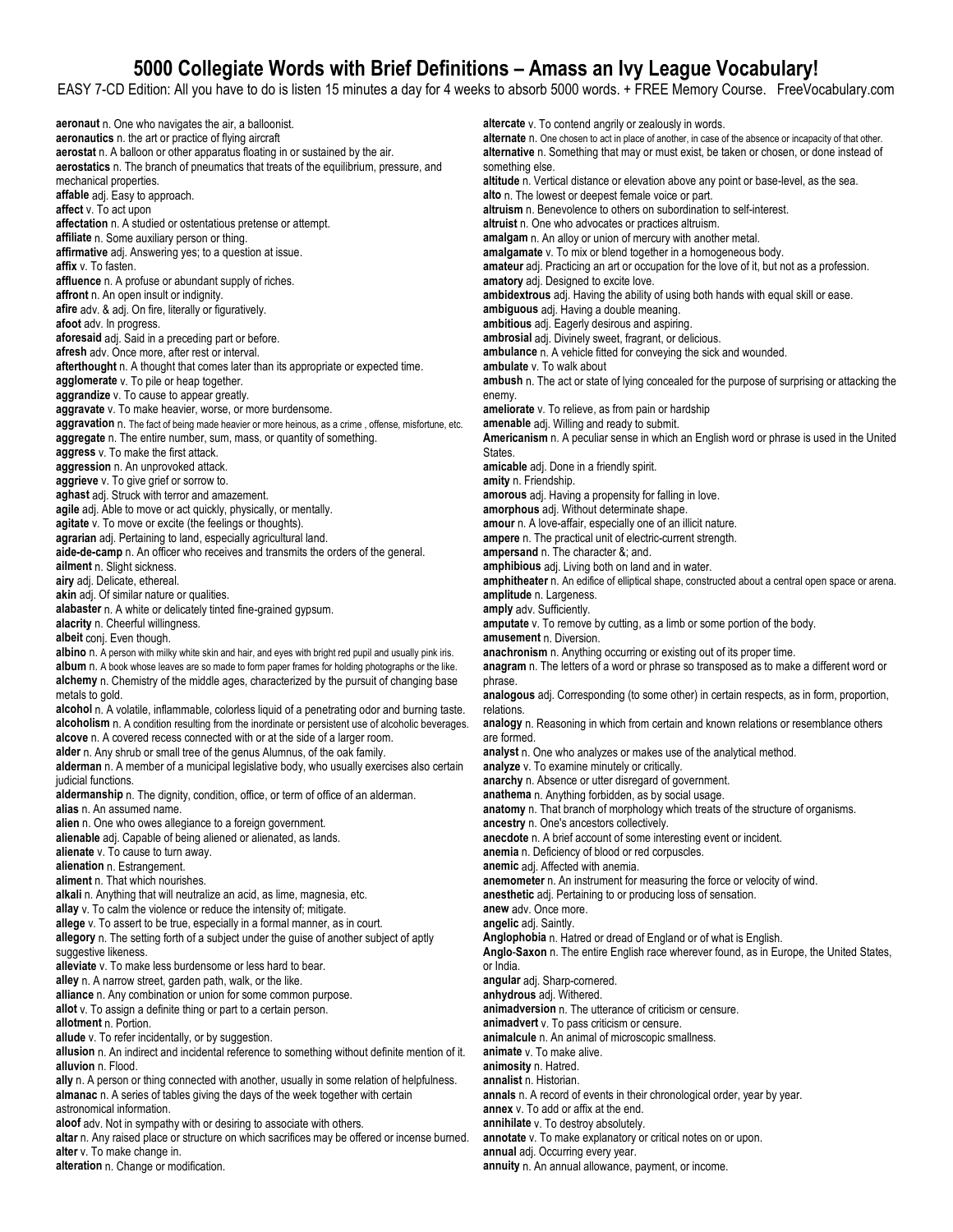EASY 7-CD Edition: All you have to do is listen 15 minutes a day for 4 weeks to absorb 5000 words. + FREE Memory Course. FreeVocabulary.com

**aeronaut** n. One who navigates the air, a balloonist. **aeronautics** n. the art or practice of flying aircraft **aerostat** n. A balloon or other apparatus floating in or sustained by the air. **aerostatics** n. The branch of pneumatics that treats of the equilibrium, pressure, and mechanical properties. **affable** adj. Easy to approach. **affect** v. To act upon **affectation** n. A studied or ostentatious pretense or attempt. **affiliate** n. Some auxiliary person or thing. **affirmative** adj. Answering yes; to a question at issue. **affix** v. To fasten. **affluence** n. A profuse or abundant supply of riches. **affront** n. An open insult or indignity. **afire** adv. & adj. On fire, literally or figuratively. **afoot** adv. In progress. **aforesaid** adj. Said in a preceding part or before. **afresh** adv. Once more, after rest or interval. **afterthought** n. A thought that comes later than its appropriate or expected time. **agglomerate** v. To pile or heap together. **aggrandize** v. To cause to appear greatly. **aggravate** v. To make heavier, worse, or more burdensome. **aggravation** n. The fact of being made heavier or more heinous, as a crime , offense, misfortune, etc. **aggregate** n. The entire number, sum, mass, or quantity of something. **aggress** v. To make the first attack. **aggression** n. An unprovoked attack. **aggrieve** v. To give grief or sorrow to. **aghast** adj. Struck with terror and amazement. **agile** adj. Able to move or act quickly, physically, or mentally. **agitate** v. To move or excite (the feelings or thoughts). **agrarian** adj. Pertaining to land, especially agricultural land. **aide-de-camp** n. An officer who receives and transmits the orders of the general. **ailment** n. Slight sickness. **airy** adj. Delicate, ethereal. **akin** adj. Of similar nature or qualities. **alabaster** n. A white or delicately tinted fine-grained gypsum. **alacrity** n. Cheerful willingness. **albeit** conj. Even though. albino n. A person with milky white skin and hair, and eyes with bright red pupil and usually pink iris. **album** n. A book whose leaves are so made to form paper frames for holding photographs or the like. **alchemy** n. Chemistry of the middle ages, characterized by the pursuit of changing base metals to gold. **alcohol** n. A volatile, inflammable, colorless liquid of a penetrating odor and burning taste. **alcoholism** n. A condition resulting from the inordinate or persistent use of alcoholic beverages. **alcove** n. A covered recess connected with or at the side of a larger room. **alder** n. Any shrub or small tree of the genus Alumnus, of the oak family. **alderman** n. A member of a municipal legislative body, who usually exercises also certain judicial functions. **aldermanship** n. The dignity, condition, office, or term of office of an alderman. **alias** n. An assumed name. **alien** n. One who owes allegiance to a foreign government. **alienable** adj. Capable of being aliened or alienated, as lands. **alienate** v. To cause to turn away. **alienation** n. Estrangement. **aliment** n. That which nourishes. **alkali** n. Anything that will neutralize an acid, as lime, magnesia, etc. **allay** v. To calm the violence or reduce the intensity of; mitigate. **allege** v. To assert to be true, especially in a formal manner, as in court. **allegory** n. The setting forth of a subject under the guise of another subject of aptly suggestive likeness. **alleviate** v. To make less burdensome or less hard to bear. **alley** n. A narrow street, garden path, walk, or the like. **alliance** n. Any combination or union for some common purpose. **allot** v. To assign a definite thing or part to a certain person. **allotment** n. Portion. **allude** v. To refer incidentally, or by suggestion. **allusion** n. An indirect and incidental reference to something without definite mention of it. **alluvion** n. Flood. **ally** n. A person or thing connected with another, usually in some relation of helpfulness. **almanac** n. A series of tables giving the days of the week together with certain astronomical information. **aloof** adv. Not in sympathy with or desiring to associate with others. **altar** n. Any raised place or structure on which sacrifices may be offered or incense burned. **alter** v. To make change in. **alteration** n. Change or modification. **altercate** v. To contend angrily or zealously in words. **alternate** n. One chosen to act in place of another, in case of the absence or incapacity of that other. **alternative** n. Something that may or must exist, be taken or chosen, or done instead of something else. **altitude** n. Vertical distance or elevation above any point or base-level, as the sea. **alto** n. The lowest or deepest female voice or part. **altruism** n. Benevolence to others on subordination to self-interest. **altruist** n. One who advocates or practices altruism. **amalgam** n. An alloy or union of mercury with another metal. **amalgamate** v. To mix or blend together in a homogeneous body. **amateur** adj. Practicing an art or occupation for the love of it, but not as a profession. **amatory** adj. Designed to excite love. **ambidextrous** adj. Having the ability of using both hands with equal skill or ease. **ambiguous** adj. Having a double meaning. **ambitious** adj. Eagerly desirous and aspiring. **ambrosial** adj. Divinely sweet, fragrant, or delicious. **ambulance** n. A vehicle fitted for conveying the sick and wounded. **ambulate** v. To walk about **ambush** n. The act or state of lying concealed for the purpose of surprising or attacking the enemy. **ameliorate** v. To relieve, as from pain or hardship **amenable** adj. Willing and ready to submit. **Americanism** n. A peculiar sense in which an English word or phrase is used in the United States. **amicable** adj. Done in a friendly spirit. **amity** n. Friendship. **amorous** adj. Having a propensity for falling in love. **amorphous** adj. Without determinate shape. **amour** n. A love-affair, especially one of an illicit nature. **ampere** n. The practical unit of electric-current strength. **ampersand** n. The character &; and. **amphibious** adj. Living both on land and in water. **amphitheater** n. An edifice of elliptical shape, constructed about a central open space or arena. **amplitude** n. Largeness. **amply** adv. Sufficiently. **amputate** v. To remove by cutting, as a limb or some portion of the body. **amusement** n. Diversion. **anachronism** n. Anything occurring or existing out of its proper time. **anagram** n. The letters of a word or phrase so transposed as to make a different word or phrase. **analogous** adj. Corresponding (to some other) in certain respects, as in form, proportion, relations. **analogy** n. Reasoning in which from certain and known relations or resemblance others are formed. **analyst** n. One who analyzes or makes use of the analytical method. **analyze** v. To examine minutely or critically. **anarchy** n. Absence or utter disregard of government. **anathema** n. Anything forbidden, as by social usage. **anatomy** n. That branch of morphology which treats of the structure of organisms. **ancestry** n. One's ancestors collectively. **anecdote** n. A brief account of some interesting event or incident. **anemia** n. Deficiency of blood or red corpuscles. **anemic** adj. Affected with anemia. **anemometer** n. An instrument for measuring the force or velocity of wind. **anesthetic** adj. Pertaining to or producing loss of sensation. **anew** adv. Once more. **angelic** adj. Saintly. **Anglophobia** n. Hatred or dread of England or of what is English. **Anglo**-**Saxon** n. The entire English race wherever found, as in Europe, the United States, or India. **angular** adj. Sharp-cornered. **anhydrous** adj. Withered. **animadversion** n. The utterance of criticism or censure. **animadvert** v. To pass criticism or censure. **animalcule** n. An animal of microscopic smallness. **animate** v. To make alive. **animosity** n. Hatred. **annalist** n. Historian. **annals** n. A record of events in their chronological order, year by year. **annex** v. To add or affix at the end. **annihilate** v. To destroy absolutely. **annotate** v. To make explanatory or critical notes on or upon. **annual** adj. Occurring every year. **annuity** n. An annual allowance, payment, or income.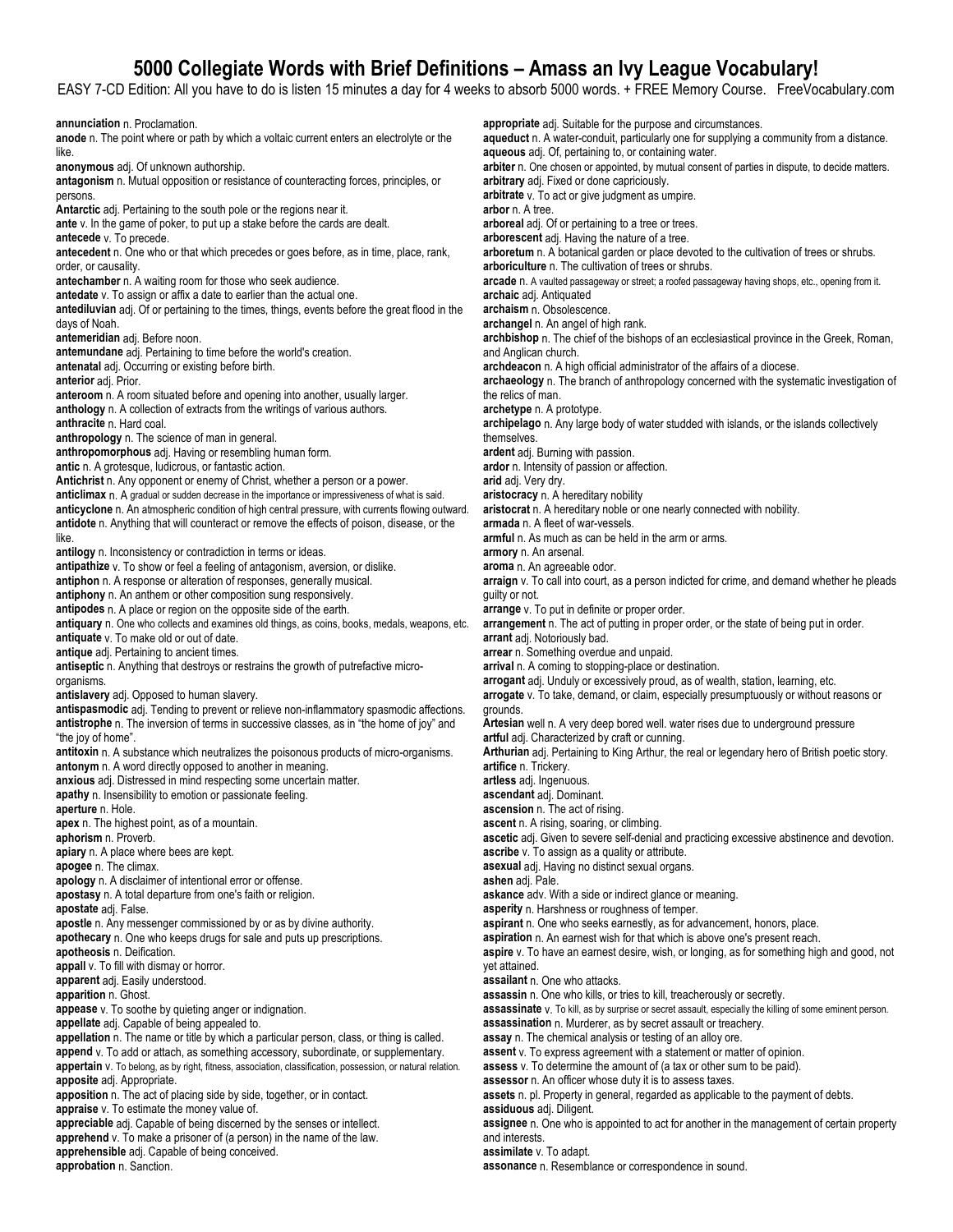EASY 7-CD Edition: All you have to do is listen 15 minutes a day for 4 weeks to absorb 5000 words. + FREE Memory Course. FreeVocabulary.com

**annunciation** n. Proclamation. **anode** n. The point where or path by which a voltaic current enters an electrolyte or the like. **anonymous** adj. Of unknown authorship. **antagonism** n. Mutual opposition or resistance of counteracting forces, principles, or persons. **Antarctic** adj. Pertaining to the south pole or the regions near it. **ante** v. In the game of poker, to put up a stake before the cards are dealt. **antecede** v. To precede. **antecedent** n. One who or that which precedes or goes before, as in time, place, rank, order, or causality. **antechamber** n. A waiting room for those who seek audience. **antedate** v. To assign or affix a date to earlier than the actual one. **antediluvian** adj. Of or pertaining to the times, things, events before the great flood in the days of Noah. **antemeridian** adj. Before noon. **antemundane** adj. Pertaining to time before the world's creation. **antenatal** adj. Occurring or existing before birth. **anterior** adj. Prior. **anteroom** n. A room situated before and opening into another, usually larger. **anthology** n. A collection of extracts from the writings of various authors. **anthracite** n. Hard coal. **anthropology** n. The science of man in general. **anthropomorphous** adj. Having or resembling human form. **antic** n. A grotesque, ludicrous, or fantastic action. **Antichrist** n. Any opponent or enemy of Christ, whether a person or a power. **anticlimax** n. A gradual or sudden decrease in the importance or impressiveness of what is said. **anticyclone** n. An atmospheric condition of high central pressure, with currents flowing outward. **antidote** n. Anything that will counteract or remove the effects of poison, disease, or the like. **antilogy** n. Inconsistency or contradiction in terms or ideas. **antipathize** v. To show or feel a feeling of antagonism, aversion, or dislike. **antiphon** n. A response or alteration of responses, generally musical. **antiphony** n. An anthem or other composition sung responsively. **antipodes** n. A place or region on the opposite side of the earth. **antiquary** n. One who collects and examines old things, as coins, books, medals, weapons, etc. **antiquate** v. To make old or out of date. **antique** adj. Pertaining to ancient times. **antiseptic** n. Anything that destroys or restrains the growth of putrefactive microorganisms. **antislavery** adj. Opposed to human slavery. **antispasmodic** adj. Tending to prevent or relieve non-inflammatory spasmodic affections. **antistrophe** n. The inversion of terms in successive classes, as in "the home of joy" and "the joy of home". **antitoxin** n. A substance which neutralizes the poisonous products of micro-organisms. **antonym** n. A word directly opposed to another in meaning. **anxious** adj. Distressed in mind respecting some uncertain matter. **apathy** n. Insensibility to emotion or passionate feeling. **aperture** n. Hole. **apex** n. The highest point, as of a mountain. **aphorism** n. Proverb. **apiary** n. A place where bees are kept. **apogee** n. The climax. **apology** n. A disclaimer of intentional error or offense. **apostasy** n. A total departure from one's faith or religion. **apostate** adj. False. **apostle** n. Any messenger commissioned by or as by divine authority. **apothecary** n. One who keeps drugs for sale and puts up prescriptions. **apotheosis** n. Deification. **appall** v. To fill with dismay or horror. **apparent** adj. Easily understood. **apparition** n. Ghost. **appease** v. To soothe by quieting anger or indignation. **appellate** adj. Capable of being appealed to. **appellation** n. The name or title by which a particular person, class, or thing is called. **append** v. To add or attach, as something accessory, subordinate, or supplementary. appertain v. To belong, as by right, fitness, association, classification, possession, or natural relation. **apposite** adj. Appropriate. **apposition** n. The act of placing side by side, together, or in contact. **appraise** v. To estimate the money value of. **appreciable** adj. Capable of being discerned by the senses or intellect. **apprehend** v. To make a prisoner of (a person) in the name of the law. **apprehensible** adj. Capable of being conceived. **approbation** n. Sanction. **arbitrary** adj. Fixed or done capriciously. **arbor** n. A tree. **archaic** adj. Antiquated **archaism** n. Obsolescence. **archangel** n. An angel of high rank. and Anglican church. the relics of man. **archetype** n. A prototype. themselves. **ardent** adj. Burning with passion. **ardor** n. Intensity of passion or affection. **arid** adj. Very dry. **aristocracy** n. A hereditary nobility **armada** n. A fleet of war-vessels. **armory** n. An arsenal. **aroma** n. An agreeable odor. guilty or not. **arrant** adj. Notoriously bad. **arrear** n. Something overdue and unpaid. grounds. **artifice** n. Trickery. **artless** adj. Ingenuous. **ascendant** adj. Dominant. **ascension** n. The act of rising. **ascent** n. A rising, soaring, or climbing. **ashen** adj. Pale. yet attained. **assailant** n. One who attacks. **assiduous** adj. Diligent. and interests. **assimilate** v. To adapt.

**appropriate** adj. Suitable for the purpose and circumstances. **aqueduct** n. A water-conduit, particularly one for supplying a community from a distance. **aqueous** adj. Of, pertaining to, or containing water. **arbiter** n. One chosen or appointed, by mutual consent of parties in dispute, to decide matters. **arbitrate** v. To act or give judgment as umpire. **arboreal** adj. Of or pertaining to a tree or trees. **arborescent** adj. Having the nature of a tree. **arboretum** n. A botanical garden or place devoted to the cultivation of trees or shrubs. **arboriculture** n. The cultivation of trees or shrubs. **arcade** n. A vaulted passageway or street; a roofed passageway having shops, etc., opening from it. **archbishop** n. The chief of the bishops of an ecclesiastical province in the Greek, Roman, **archdeacon** n. A high official administrator of the affairs of a diocese. **archaeology** n. The branch of anthropology concerned with the systematic investigation of **archipelago** n. Any large body of water studded with islands, or the islands collectively **aristocrat** n. A hereditary noble or one nearly connected with nobility. **armful** n. As much as can be held in the arm or arms. **arraign** v. To call into court, as a person indicted for crime, and demand whether he pleads **arrange** v. To put in definite or proper order. **arrangement** n. The act of putting in proper order, or the state of being put in order. **arrival** n. A coming to stopping-place or destination. **arrogant** adj. Unduly or excessively proud, as of wealth, station, learning, etc. **arrogate** v. To take, demand, or claim, especially presumptuously or without reasons or **Artesian** well n. A very deep bored well. water rises due to underground pressure **artful** adj. Characterized by craft or cunning. **Arthurian** adj. Pertaining to King Arthur, the real or legendary hero of British poetic story. **ascetic** adj. Given to severe self-denial and practicing excessive abstinence and devotion. **ascribe** v. To assign as a quality or attribute. **asexual** adj. Having no distinct sexual organs. **askance** adv. With a side or indirect glance or meaning. **asperity** n. Harshness or roughness of temper. **aspirant** n. One who seeks earnestly, as for advancement, honors, place. **aspiration** n. An earnest wish for that which is above one's present reach. **aspire** v. To have an earnest desire, wish, or longing, as for something high and good, not **assassin** n. One who kills, or tries to kill, treacherously or secretly. **assassinate** v. To kill, as by surprise or secret assault, especially the killing of some eminent person. **assassination** n. Murderer, as by secret assault or treachery. **assay** n. The chemical analysis or testing of an alloy ore. **assent** v. To express agreement with a statement or matter of opinion. **assess** v. To determine the amount of (a tax or other sum to be paid). **assessor** n. An officer whose duty it is to assess taxes. **assets** n. pl. Property in general, regarded as applicable to the payment of debts. **assignee** n. One who is appointed to act for another in the management of certain property

**assonance** n. Resemblance or correspondence in sound.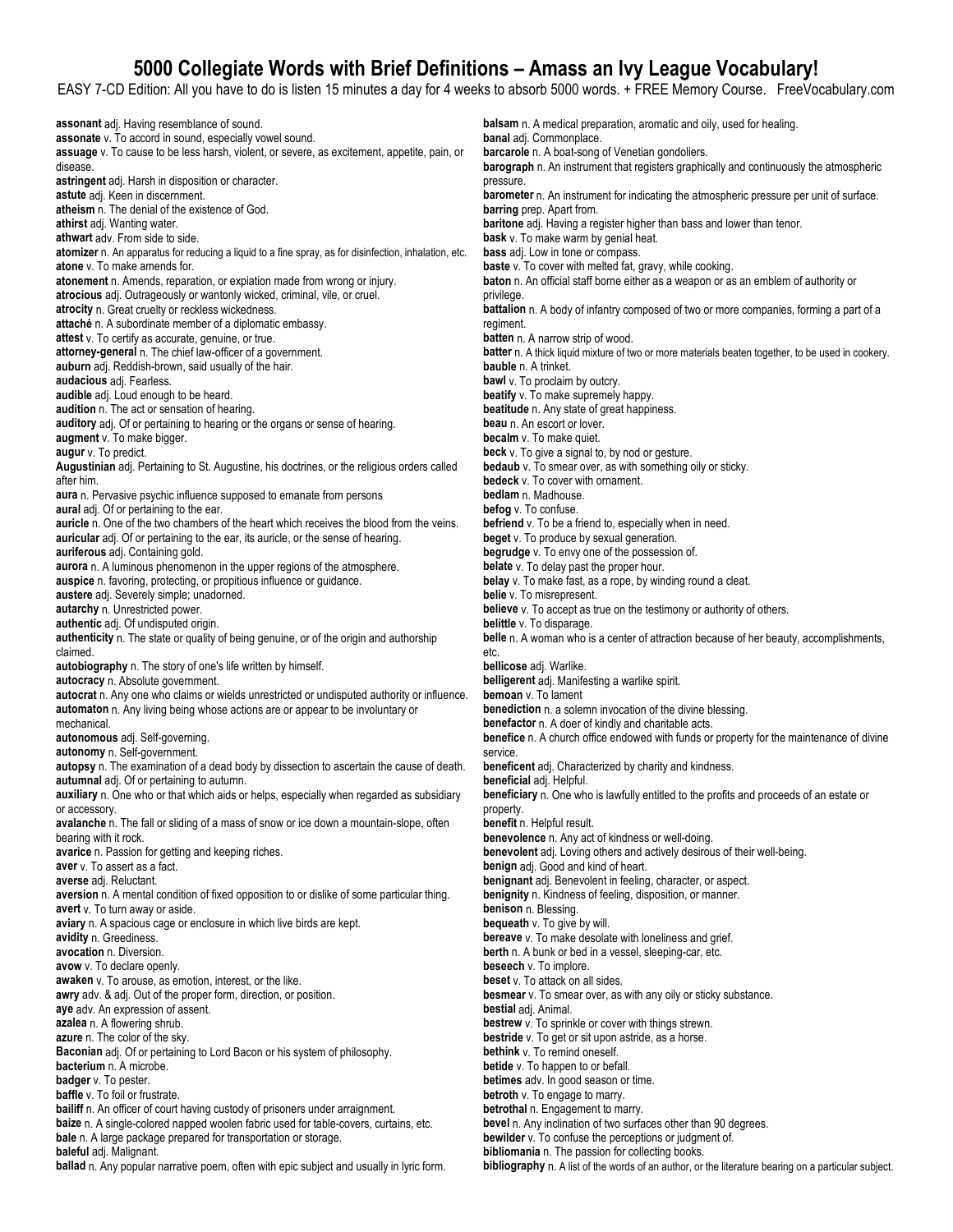EASY 7-CD Edition: All you have to do is listen 15 minutes a day for 4 weeks to absorb 5000 words. + FREE Memory Course. FreeVocabulary.com

**assonant** adj. Having resemblance of sound. **assonate** v. To accord in sound, especially vowel sound. **assuage** v. To cause to be less harsh, violent, or severe, as excitement, appetite, pain, or disease. **astringent** adj. Harsh in disposition or character. **astute** adj. Keen in discernment. **atheism** n. The denial of the existence of God. **athirst** adj. Wanting water. **athwart** adv. From side to side. **atomizer** n. An apparatus for reducing a liquid to a fine spray, as for disinfection, inhalation, etc. **atone** v. To make amends for. **atonement** n. Amends, reparation, or expiation made from wrong or injury. **atrocious** adj. Outrageously or wantonly wicked, criminal, vile, or cruel. **atrocity** n. Great cruelty or reckless wickedness. **attaché** n. A subordinate member of a diplomatic embassy. **attest** v. To certify as accurate, genuine, or true. **attorney-general** n. The chief law-officer of a government. **auburn** adj. Reddish-brown, said usually of the hair. **audacious** adj. Fearless. **audible** adj. Loud enough to be heard. **audition** n. The act or sensation of hearing. **auditory** adj. Of or pertaining to hearing or the organs or sense of hearing. **augment** v. To make bigger. **augur** v. To predict. **Augustinian** adj. Pertaining to St. Augustine, his doctrines, or the religious orders called after him. **aura** n. Pervasive psychic influence supposed to emanate from persons **aural** adj. Of or pertaining to the ear. **auricle** n. One of the two chambers of the heart which receives the blood from the veins. **auricular** adj. Of or pertaining to the ear, its auricle, or the sense of hearing. **auriferous** adj. Containing gold. **aurora** n. A luminous phenomenon in the upper regions of the atmosphere. **auspice** n. favoring, protecting, or propitious influence or guidance. **austere** adj. Severely simple; unadorned. **autarchy** n. Unrestricted power. **authentic** adj. Of undisputed origin. **authenticity** n. The state or quality of being genuine, or of the origin and authorship claimed. **autobiography** n. The story of one's life written by himself. **autocracy** n. Absolute government. **autocrat** n. Any one who claims or wields unrestricted or undisputed authority or influence. **automaton** n. Any living being whose actions are or appear to be involuntary or mechanical. **autonomous** adj. Self-governing. **autonomy** n. Self-government. **autopsy** n. The examination of a dead body by dissection to ascertain the cause of death. **autumnal** adj. Of or pertaining to autumn. **auxiliary** n. One who or that which aids or helps, especially when regarded as subsidiary or accessory. **avalanche** n. The fall or sliding of a mass of snow or ice down a mountain-slope, often bearing with it rock. **avarice** n. Passion for getting and keeping riches. **aver** v. To assert as a fact. **averse** adj. Reluctant. **aversion** n. A mental condition of fixed opposition to or dislike of some particular thing. **avert** v. To turn away or aside. **aviary** n. A spacious cage or enclosure in which live birds are kept. **avidity** n. Greediness. **avocation** n. Diversion. **avow** v. To declare openly. **awaken** v. To arouse, as emotion, interest, or the like. **awry** adv. & adj. Out of the proper form, direction, or position. **aye** adv. An expression of assent. **azalea** n. A flowering shrub. **azure** n. The color of the sky. **Baconian** adj. Of or pertaining to Lord Bacon or his system of philosophy. **bacterium** n. A microbe. **badger** v. To pester. **baffle** v. To foil or frustrate. **bailiff** n. An officer of court having custody of prisoners under arraignment. **baize** n. A single-colored napped woolen fabric used for table-covers, curtains, etc. **bale** n. A large package prepared for transportation or storage. **baleful** adj. Malignant. **ballad** n. Any popular narrative poem, often with epic subject and usually in lyric form.

**balsam** n. A medical preparation, aromatic and oily, used for healing. **banal** adj. Commonplace. **barcarole** n. A boat-song of Venetian gondoliers. **barograph** n. An instrument that registers graphically and continuously the atmospheric pressure. **barometer** n. An instrument for indicating the atmospheric pressure per unit of surface. **barring** prep. Apart from. **baritone** adj. Having a register higher than bass and lower than tenor. **bask** v. To make warm by genial heat. **bass** adj. Low in tone or compass. **baste** v. To cover with melted fat, gravy, while cooking. **baton** n. An official staff borne either as a weapon or as an emblem of authority or privilege. **battalion** n. A body of infantry composed of two or more companies, forming a part of a regiment. **batten** n. A narrow strip of wood. **batter** n. A thick liquid mixture of two or more materials beaten together, to be used in cookery. **bauble** n. A trinket. **bawl** v. To proclaim by outcry. **beatify** v. To make supremely happy. **beatitude** n. Any state of great happiness. **beau** n. An escort or lover. **becalm** v. To make quiet. **beck** v. To give a signal to, by nod or gesture. **bedaub** v. To smear over, as with something oily or sticky. **bedeck** v. To cover with ornament. **bedlam** n. Madhouse. **befog** v. To confuse. **befriend** v. To be a friend to, especially when in need. **beget** v. To produce by sexual generation. **begrudge** v. To envy one of the possession of. **belate** v. To delay past the proper hour. **belay** v. To make fast, as a rope, by winding round a cleat. **belie** v. To misrepresent. **believe** v. To accept as true on the testimony or authority of others. **belittle** v. To disparage. **belle** n. A woman who is a center of attraction because of her beauty, accomplishments, etc. **bellicose** adj. Warlike. **belligerent** adj. Manifesting a warlike spirit. **bemoan** v. To lament **benediction** n. a solemn invocation of the divine blessing. **benefactor** n. A doer of kindly and charitable acts. **benefice** n. A church office endowed with funds or property for the maintenance of divine service. **beneficent** adj. Characterized by charity and kindness. **beneficial** adj. Helpful. **beneficiary** n. One who is lawfully entitled to the profits and proceeds of an estate or property. **benefit** n. Helpful result. **benevolence** n. Any act of kindness or well-doing. **benevolent** adj. Loving others and actively desirous of their well-being. **benign** adj. Good and kind of heart. **benignant** adj. Benevolent in feeling, character, or aspect. **benignity** n. Kindness of feeling, disposition, or manner. **benison** n. Blessing. **bequeath** v. To give by will. **bereave** v. To make desolate with loneliness and grief. **berth** n. A bunk or bed in a vessel, sleeping-car, etc. **beseech** v. To implore. **beset** v. To attack on all sides. **besmear** v. To smear over, as with any oily or sticky substance. **bestial** adj. Animal. **bestrew** v. To sprinkle or cover with things strewn. **bestride** v. To get or sit upon astride, as a horse. **bethink** v. To remind oneself. **betide** v. To happen to or befall. **betimes** adv. In good season or time. **betroth** v. To engage to marry. **betrothal** n. Engagement to marry. **bevel** n. Any inclination of two surfaces other than 90 degrees. **bewilder** v. To confuse the perceptions or judgment of. **bibliomania** n. The passion for collecting books.

**bibliography** n. A list of the words of an author, or the literature bearing on a particular subject.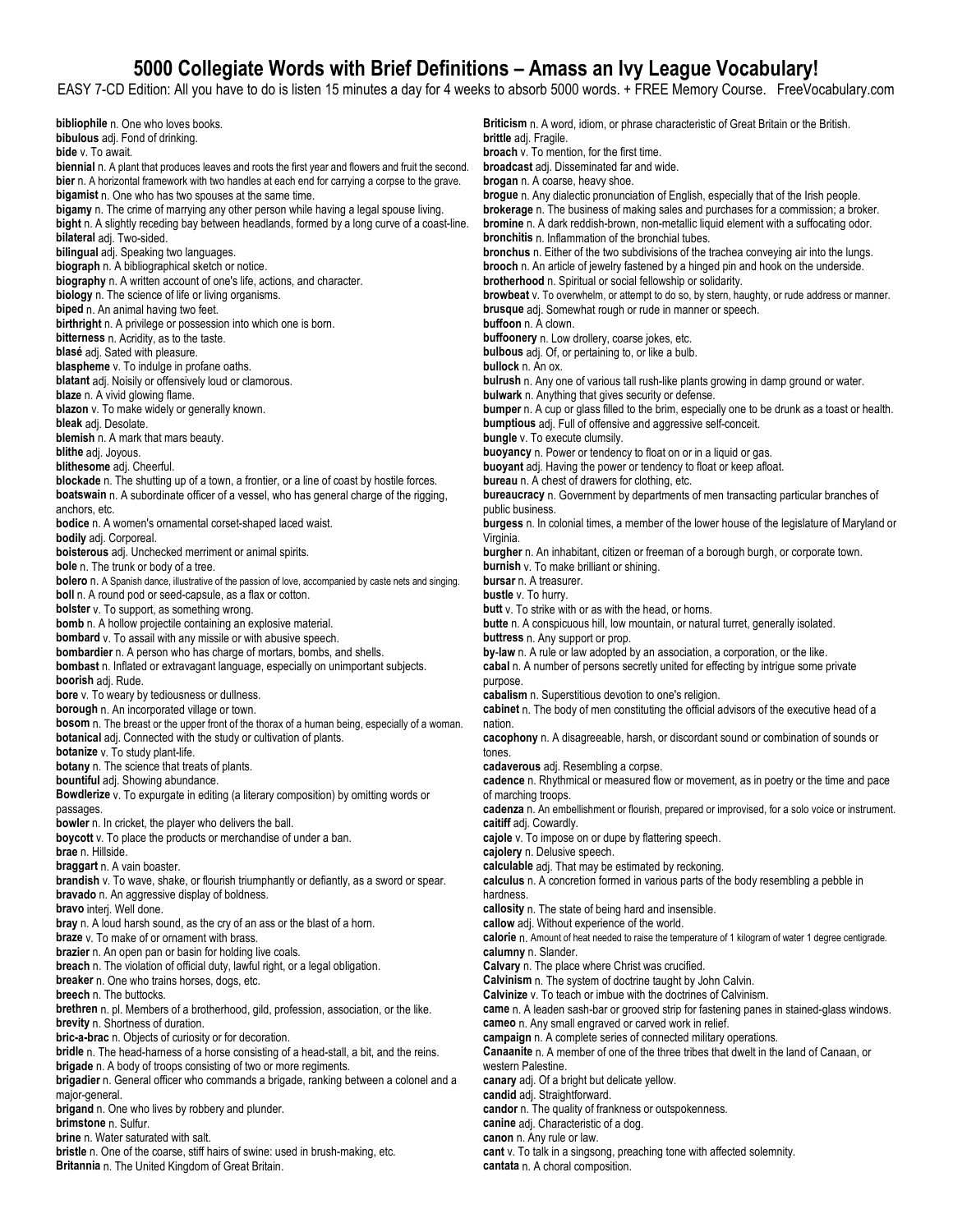EASY 7-CD Edition: All you have to do is listen 15 minutes a day for 4 weeks to absorb 5000 words. + FREE Memory Course. FreeVocabulary.com

**bibliophile** n. One who loves books. **bibulous** adj. Fond of drinking. **bide** v. To await. **biennial** n. A plant that produces leaves and roots the first year and flowers and fruit the second. **bier** n. A horizontal framework with two handles at each end for carrying a corpse to the grave. **bigamist** n. One who has two spouses at the same time. **bigamy** n. The crime of marrying any other person while having a legal spouse living. **bight** n. A slightly receding bay between headlands, formed by a long curve of a coast-line. **bilateral** adj. Two-sided. **bilingual** adj. Speaking two languages. **biograph** n. A bibliographical sketch or notice. **biography** n. A written account of one's life, actions, and character. **biology** n. The science of life or living organisms. **biped** n. An animal having two feet. **birthright** n. A privilege or possession into which one is born. **bitterness** n. Acridity, as to the taste. **blasé** adj. Sated with pleasure. **blaspheme** v. To indulge in profane oaths. **blatant** adj. Noisily or offensively loud or clamorous. **blaze** n. A vivid glowing flame. **blazon** v. To make widely or generally known. **bleak** adj. Desolate. **blemish** n. A mark that mars beauty. **blithe** adj. Joyous. **blithesome** adj. Cheerful. **blockade** n. The shutting up of a town, a frontier, or a line of coast by hostile forces. **boatswain** n. A subordinate officer of a vessel, who has general charge of the rigging, anchors, etc. **bodice** n. A women's ornamental corset-shaped laced waist. **bodily** adj. Corporeal. **boisterous** adj. Unchecked merriment or animal spirits. **bole** n. The trunk or body of a tree. **bolero** n. A Spanish dance, illustrative of the passion of love, accompanied by caste nets and singing. **boll** n. A round pod or seed-capsule, as a flax or cotton. **bolster** v. To support, as something wrong. **bomb** n. A hollow projectile containing an explosive material. **bombard** v. To assail with any missile or with abusive speech. **bombardier** n. A person who has charge of mortars, bombs, and shells. **bombast** n. Inflated or extravagant language, especially on unimportant subjects. **boorish** adj. Rude. **bore** v. To weary by tediousness or dullness. **borough** n. An incorporated village or town. **bosom** n. The breast or the upper front of the thorax of a human being, especially of a woman. **botanical** adj. Connected with the study or cultivation of plants. **botanize** v. To study plant-life. **botany** n. The science that treats of plants. **bountiful** adj. Showing abundance. **Bowdlerize** v. To expurgate in editing (a literary composition) by omitting words or passages. **bowler** n. In cricket, the player who delivers the ball. **boycott** v. To place the products or merchandise of under a ban. **brae** n. Hillside. **braggart** n. A vain boaster. **brandish** v. To wave, shake, or flourish triumphantly or defiantly, as a sword or spear. **bravado** n. An aggressive display of boldness. **bravo** interj. Well done. **bray** n. A loud harsh sound, as the cry of an ass or the blast of a horn. **braze** v. To make of or ornament with brass. **brazier** n. An open pan or basin for holding live coals. **breach** n. The violation of official duty, lawful right, or a legal obligation. **breaker** n. One who trains horses, dogs, etc. **breech** n. The buttocks. **brethren** n. pl. Members of a brotherhood, gild, profession, association, or the like. **brevity** n. Shortness of duration. **bric-a-brac** n. Objects of curiosity or for decoration. **bridle** n. The head-harness of a horse consisting of a head-stall, a bit, and the reins. **brigade** n. A body of troops consisting of two or more regiments. **brigadier** n. General officer who commands a brigade, ranking between a colonel and a major-general. **brigand** n. One who lives by robbery and plunder. **brimstone** n. Sulfur. **brine** n. Water saturated with salt. **bristle** n. One of the coarse, stiff hairs of swine: used in brush-making, etc. **Britannia** n. The United Kingdom of Great Britain. public business. Virginia. purpose. nation. tones. hardness. **cantata** n. A choral composition.

**Briticism** n. A word, idiom, or phrase characteristic of Great Britain or the British. **brittle** adj. Fragile. **broach** v. To mention, for the first time. **broadcast** adj. Disseminated far and wide. **brogan** n. A coarse, heavy shoe. **brogue** n. Any dialectic pronunciation of English, especially that of the Irish people. **brokerage** n. The business of making sales and purchases for a commission; a broker. **bromine** n. A dark reddish-brown, non-metallic liquid element with a suffocating odor. **bronchitis** n. Inflammation of the bronchial tubes. **bronchus** n. Either of the two subdivisions of the trachea conveying air into the lungs. **brooch** n. An article of jewelry fastened by a hinged pin and hook on the underside. **brotherhood** n. Spiritual or social fellowship or solidarity. **browbeat** v. To overwhelm, or attempt to do so, by stern, haughty, or rude address or manner. **brusque** adj. Somewhat rough or rude in manner or speech. **buffoon** n. A clown. **buffoonery** n. Low drollery, coarse jokes, etc. **bulbous** adj. Of, or pertaining to, or like a bulb. **bullock** n. An ox. **bulrush** n. Any one of various tall rush-like plants growing in damp ground or water. **bulwark** n. Anything that gives security or defense. **bumper** n. A cup or glass filled to the brim, especially one to be drunk as a toast or health. **bumptious** adj. Full of offensive and aggressive self-conceit. **bungle** v. To execute clumsily. **buoyancy** n. Power or tendency to float on or in a liquid or gas. **buoyant** adj. Having the power or tendency to float or keep afloat. **bureau** n. A chest of drawers for clothing, etc. **bureaucracy** n. Government by departments of men transacting particular branches of **burgess** n. In colonial times, a member of the lower house of the legislature of Maryland or **burgher** n. An inhabitant, citizen or freeman of a borough burgh, or corporate town. **burnish** v. To make brilliant or shining. **bursar** n. A treasurer. **bustle** v. To hurry. **butt** v. To strike with or as with the head, or horns. **butte** n. A conspicuous hill, low mountain, or natural turret, generally isolated. **buttress** n. Any support or prop. **by**-**law** n. A rule or law adopted by an association, a corporation, or the like. **cabal** n. A number of persons secretly united for effecting by intrigue some private **cabalism** n. Superstitious devotion to one's religion. **cabinet** n. The body of men constituting the official advisors of the executive head of a **cacophony** n. A disagreeable, harsh, or discordant sound or combination of sounds or **cadaverous** adj. Resembling a corpse. **cadence** n. Rhythmical or measured flow or movement, as in poetry or the time and pace of marching troops. **cadenza** n. An embellishment or flourish, prepared or improvised, for a solo voice or instrument. **caitiff** adj. Cowardly. **cajole** v. To impose on or dupe by flattering speech. **cajolery** n. Delusive speech. **calculable** adj. That may be estimated by reckoning. **calculus** n. A concretion formed in various parts of the body resembling a pebble in **callosity** n. The state of being hard and insensible. **callow** adj. Without experience of the world. **calorie** n. Amount of heat needed to raise the temperature of 1 kilogram of water 1 degree centigrade. **calumny** n. Slander. **Calvary** n. The place where Christ was crucified. **Calvinism** n. The system of doctrine taught by John Calvin. **Calvinize** v. To teach or imbue with the doctrines of Calvinism. **came** n. A leaden sash-bar or grooved strip for fastening panes in stained-glass windows. **cameo** n. Any small engraved or carved work in relief. **campaign** n. A complete series of connected military operations. **Canaanite** n. A member of one of the three tribes that dwelt in the land of Canaan, or western Palestine. **canary** adj. Of a bright but delicate yellow. **candid** adj. Straightforward. **candor** n. The quality of frankness or outspokenness. **canine** adj. Characteristic of a dog. **canon** n. Any rule or law. **cant** v. To talk in a singsong, preaching tone with affected solemnity.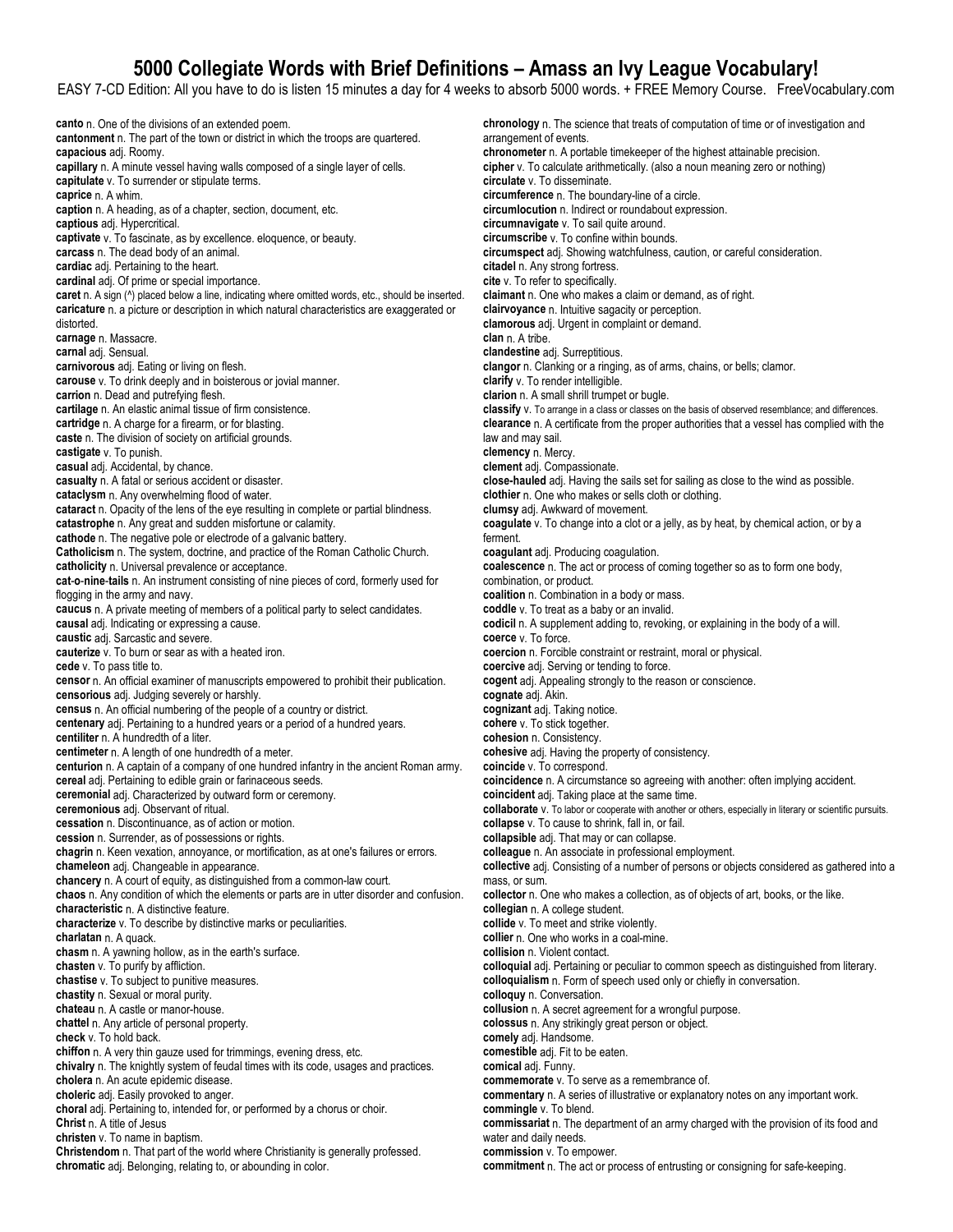EASY 7-CD Edition: All you have to do is listen 15 minutes a day for 4 weeks to absorb 5000 words. + FREE Memory Course. FreeVocabulary.com

**canto** n. One of the divisions of an extended poem. **cantonment** n. The part of the town or district in which the troops are quartered. **capacious** adj. Roomy. **capillary** n. A minute vessel having walls composed of a single layer of cells. **capitulate** v. To surrender or stipulate terms. **caprice** n. A whim. **caption** n. A heading, as of a chapter, section, document, etc. **captious** adj. Hypercritical. **captivate** v. To fascinate, as by excellence. eloquence, or beauty. **carcass** n. The dead body of an animal. **cardiac** adj. Pertaining to the heart. **cardinal** adj. Of prime or special importance. **caret** n. A sign (^) placed below a line, indicating where omitted words, etc., should be inserted. **caricature** n. a picture or description in which natural characteristics are exaggerated or distorted. **carnage** n. Massacre. **carnal** adj. Sensual. **carnivorous** adj. Eating or living on flesh. **carouse** v. To drink deeply and in boisterous or jovial manner. **carrion** n. Dead and putrefying flesh. **cartilage** n. An elastic animal tissue of firm consistence. **cartridge** n. A charge for a firearm, or for blasting. **caste** n. The division of society on artificial grounds. **castigate** v. To punish. **casual** adj. Accidental, by chance. **casualty** n. A fatal or serious accident or disaster. **cataclysm** n. Any overwhelming flood of water. **cataract** n. Opacity of the lens of the eye resulting in complete or partial blindness. **catastrophe** n. Any great and sudden misfortune or calamity. **cathode** n. The negative pole or electrode of a galvanic battery. **Catholicism** n. The system, doctrine, and practice of the Roman Catholic Church. **catholicity** n. Universal prevalence or acceptance. **cat**-**o**-**nine**-**tails** n. An instrument consisting of nine pieces of cord, formerly used for flogging in the army and navy. **caucus** n. A private meeting of members of a political party to select candidates. **causal** adj. Indicating or expressing a cause. **caustic** adj. Sarcastic and severe. **cauterize** v. To burn or sear as with a heated iron. **cede** v. To pass title to. **censor** n. An official examiner of manuscripts empowered to prohibit their publication. **censorious** adj. Judging severely or harshly. **census** n. An official numbering of the people of a country or district. **centenary** adj. Pertaining to a hundred years or a period of a hundred years. **centiliter** n. A hundredth of a liter. **centimeter** n. A length of one hundredth of a meter. **centurion** n. A captain of a company of one hundred infantry in the ancient Roman army. **cereal** adj. Pertaining to edible grain or farinaceous seeds. **ceremonial** adj. Characterized by outward form or ceremony. **ceremonious** adj. Observant of ritual. **cessation** n. Discontinuance, as of action or motion. **cession** n. Surrender, as of possessions or rights. **chagrin** n. Keen vexation, annoyance, or mortification, as at one's failures or errors. **chameleon** adj. Changeable in appearance. **chancery** n. A court of equity, as distinguished from a common-law court. **chaos** n. Any condition of which the elements or parts are in utter disorder and confusion. **characteristic** n. A distinctive feature. **characterize** v. To describe by distinctive marks or peculiarities. **charlatan** n. A quack. **chasm** n. A yawning hollow, as in the earth's surface. **chasten** v. To purify by affliction. **chastise** v. To subject to punitive measures. **chastity** n. Sexual or moral purity. **chateau** n. A castle or manor-house. **chattel** n. Any article of personal property. **check** v. To hold back. **chiffon** n. A very thin gauze used for trimmings, evening dress, etc. **chivalry** n. The knightly system of feudal times with its code, usages and practices. **cholera** n. An acute epidemic disease. **choleric** adj. Easily provoked to anger. **choral** adj. Pertaining to, intended for, or performed by a chorus or choir. **Christ** n. A title of Jesus **christen** v. To name in baptism. **Christendom** n. That part of the world where Christianity is generally professed. **chromatic** adj. Belonging, relating to, or abounding in color.

**chronology** n. The science that treats of computation of time or of investigation and arrangement of events. **chronometer** n. A portable timekeeper of the highest attainable precision. **cipher** v. To calculate arithmetically. (also a noun meaning zero or nothing) **circulate** v. To disseminate. **circumference** n. The boundary-line of a circle. **circumlocution** n. Indirect or roundabout expression. **circumnavigate** v. To sail quite around. **circumscribe** v. To confine within bounds. **circumspect** adj. Showing watchfulness, caution, or careful consideration. **citadel** n. Any strong fortress. **cite** v. To refer to specifically. **claimant** n. One who makes a claim or demand, as of right. **clairvoyance** n. Intuitive sagacity or perception. **clamorous** adj. Urgent in complaint or demand. **clan** n. A tribe. **clandestine** adj. Surreptitious. **clangor** n. Clanking or a ringing, as of arms, chains, or bells; clamor. **clarify** v. To render intelligible. **clarion** n. A small shrill trumpet or bugle. **classify** v. To arrange in a class or classes on the basis of observed resemblance; and differences. **clearance** n. A certificate from the proper authorities that a vessel has complied with the law and may sail. **clemency** n. Mercy. **clement** adj. Compassionate. **close-hauled** adj. Having the sails set for sailing as close to the wind as possible. **clothier** n. One who makes or sells cloth or clothing. **clumsy** adj. Awkward of movement. **coagulate** v. To change into a clot or a jelly, as by heat, by chemical action, or by a ferment. **coagulant** adj. Producing coagulation. **coalescence** n. The act or process of coming together so as to form one body, combination, or product. **coalition** n. Combination in a body or mass. **coddle** v. To treat as a baby or an invalid. **codicil** n. A supplement adding to, revoking, or explaining in the body of a will. **coerce** v. To force. **coercion** n. Forcible constraint or restraint, moral or physical. **coercive** adj. Serving or tending to force. **cogent** adj. Appealing strongly to the reason or conscience. **cognate** adj. Akin. **cognizant** adj. Taking notice. **cohere** v. To stick together. **cohesion** n. Consistency. **cohesive** adj. Having the property of consistency. **coincide** v. To correspond. **coincidence** n. A circumstance so agreeing with another: often implying accident. **coincident** adj. Taking place at the same time. **collaborate** v. To labor or cooperate with another or others, especially in literary or scientific pursuits. **collapse** v. To cause to shrink, fall in, or fail. **collapsible** adj. That may or can collapse. **colleague** n. An associate in professional employment. **collective** adj. Consisting of a number of persons or objects considered as gathered into a mass, or sum. **collector** n. One who makes a collection, as of objects of art, books, or the like. **collegian** n. A college student. **collide** v. To meet and strike violently. **collier** n. One who works in a coal-mine. **collision** n. Violent contact. **colloquial** adj. Pertaining or peculiar to common speech as distinguished from literary. **colloquialism** n. Form of speech used only or chiefly in conversation. **colloquy** n. Conversation. **collusion** n. A secret agreement for a wrongful purpose. **colossus** n. Any strikingly great person or object. **comely** adj. Handsome. **comestible** adj. Fit to be eaten. **comical** adj. Funny. **commemorate** v. To serve as a remembrance of. **commentary** n. A series of illustrative or explanatory notes on any important work. **commingle** v. To blend. **commissariat** n. The department of an army charged with the provision of its food and water and daily needs. **commission** v. To empower. **commitment** n. The act or process of entrusting or consigning for safe-keeping.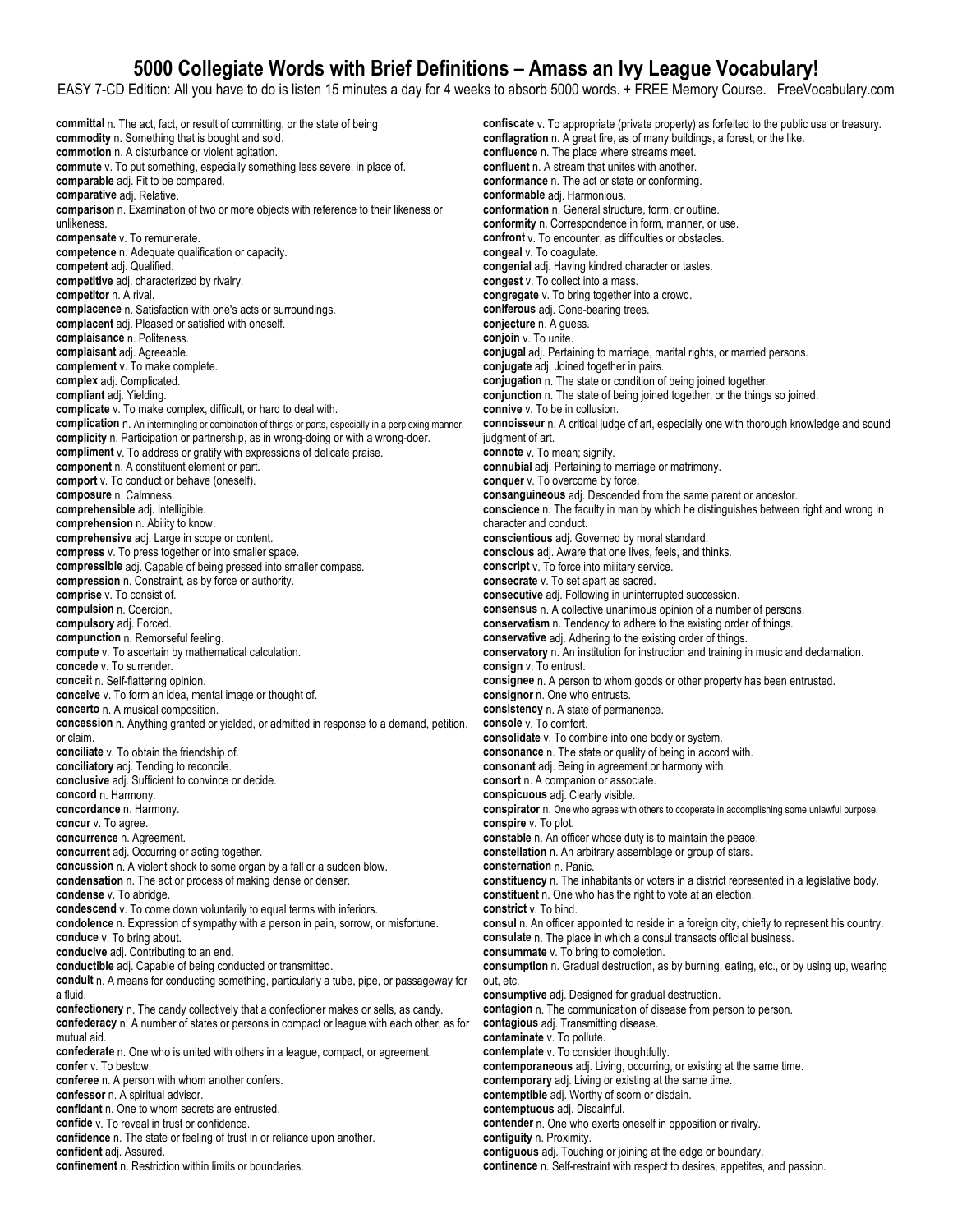EASY 7-CD Edition: All you have to do is listen 15 minutes a day for 4 weeks to absorb 5000 words. + FREE Memory Course. FreeVocabulary.com

**committal** n. The act, fact, or result of committing, or the state of being **commodity** n. Something that is bought and sold. **commotion** n. A disturbance or violent agitation. **commute** v. To put something, especially something less severe, in place of. **comparable** adj. Fit to be compared. **comparative** adj. Relative. **comparison** n. Examination of two or more objects with reference to their likeness or unlikeness. **compensate** v. To remunerate. **competence** n. Adequate qualification or capacity. **competent** adj. Qualified. **competitive** adj. characterized by rivalry. **competitor** n. A rival. **complacence** n. Satisfaction with one's acts or surroundings. **complacent** adj. Pleased or satisfied with oneself. **complaisance** n. Politeness. **complaisant** adj. Agreeable. **complement** v. To make complete. **complex** adj. Complicated. **compliant** adj. Yielding. **complicate** v. To make complex, difficult, or hard to deal with. **complication** n. An intermingling or combination of things or parts, especially in a perplexing manner. **complicity** n. Participation or partnership, as in wrong-doing or with a wrong-doer. **compliment** v. To address or gratify with expressions of delicate praise. **component** n. A constituent element or part. **comport** v. To conduct or behave (oneself). **composure** n. Calmness. **comprehensible** adj. Intelligible. **comprehension** n. Ability to know. **comprehensive** adj. Large in scope or content. **compress** v. To press together or into smaller space. **compressible** adj. Capable of being pressed into smaller compass. **compression** n. Constraint, as by force or authority. **comprise** v. To consist of. **compulsion** n. Coercion. **compulsory** adj. Forced. **compunction** n. Remorseful feeling. **compute** v. To ascertain by mathematical calculation. **concede** v. To surrender. **conceit** n. Self-flattering opinion. **conceive** v. To form an idea, mental image or thought of. **concerto** n. A musical composition. **concession** n. Anything granted or yielded, or admitted in response to a demand, petition, or claim. **conciliate** v. To obtain the friendship of. **conciliatory** adj. Tending to reconcile. **conclusive** adj. Sufficient to convince or decide. **concord** n. Harmony. **concordance** n. Harmony. **concur** v. To agree. **concurrence** n. Agreement. **concurrent** adj. Occurring or acting together. **concussion** n. A violent shock to some organ by a fall or a sudden blow. **condensation** n. The act or process of making dense or denser. **condense** v. To abridge. **condescend** v. To come down voluntarily to equal terms with inferiors. **condolence** n. Expression of sympathy with a person in pain, sorrow, or misfortune. **conduce** v. To bring about. **conducive** adj. Contributing to an end. **conductible** adj. Capable of being conducted or transmitted. **conduit** n. A means for conducting something, particularly a tube, pipe, or passageway for a fluid. **confectionery** n. The candy collectively that a confectioner makes or sells, as candy. **confederacy** n. A number of states or persons in compact or league with each other, as for mutual aid. **confederate** n. One who is united with others in a league, compact, or agreement. **confer** v. To bestow. **conferee** n. A person with whom another confers. **confessor** n. A spiritual advisor. **confidant** n. One to whom secrets are entrusted. **confide** v. To reveal in trust or confidence. **confidence** n. The state or feeling of trust in or reliance upon another. **confident** adj. Assured. **confinement** n. Restriction within limits or boundaries.

**confiscate** v. To appropriate (private property) as forfeited to the public use or treasury. **conflagration** n. A great fire, as of many buildings, a forest, or the like. **confluence** n. The place where streams meet. **confluent** n. A stream that unites with another. **conformance** n. The act or state or conforming. **conformable** adj. Harmonious. **conformation** n. General structure, form, or outline. **conformity** n. Correspondence in form, manner, or use. **confront** v. To encounter, as difficulties or obstacles. **congeal** v. To coagulate. **congenial** adj. Having kindred character or tastes. **congest** v. To collect into a mass. **congregate** v. To bring together into a crowd. **coniferous** adj. Cone-bearing trees. **conjecture** n. A guess. **conjoin** v. To unite. **conjugal** adj. Pertaining to marriage, marital rights, or married persons. **conjugate** adj. Joined together in pairs. **conjugation** n. The state or condition of being joined together. **conjunction** n. The state of being joined together, or the things so joined. **connive** v. To be in collusion. **connoisseur** n. A critical judge of art, especially one with thorough knowledge and sound judgment of art. **connote** v. To mean; signify. **connubial** adj. Pertaining to marriage or matrimony. **conquer** v. To overcome by force. **consanguineous** adj. Descended from the same parent or ancestor. **conscience** n. The faculty in man by which he distinguishes between right and wrong in character and conduct. **conscientious** adj. Governed by moral standard. **conscious** adj. Aware that one lives, feels, and thinks. **conscript** v. To force into military service. **consecrate** v. To set apart as sacred. **consecutive** adj. Following in uninterrupted succession. **consensus** n. A collective unanimous opinion of a number of persons. **conservatism** n. Tendency to adhere to the existing order of things. **conservative** adj. Adhering to the existing order of things. **conservatory** n. An institution for instruction and training in music and declamation. **consign** v. To entrust. **consignee** n. A person to whom goods or other property has been entrusted. **consignor** n. One who entrusts. **consistency** n. A state of permanence. **console** v. To comfort. **consolidate** v. To combine into one body or system. **consonance** n. The state or quality of being in accord with. **consonant** adj. Being in agreement or harmony with. **consort** n. A companion or associate. **conspicuous** adj. Clearly visible. **conspirator** n. One who agrees with others to cooperate in accomplishing some unlawful purpose. **conspire** v. To plot. **constable** n. An officer whose duty is to maintain the peace. **constellation** n. An arbitrary assemblage or group of stars. **consternation** n. Panic. **constituency** n. The inhabitants or voters in a district represented in a legislative body. **constituent** n. One who has the right to vote at an election. **constrict** v. To bind. **consul** n. An officer appointed to reside in a foreign city, chiefly to represent his country. **consulate** n. The place in which a consul transacts official business. **consummate** v. To bring to completion. **consumption** n. Gradual destruction, as by burning, eating, etc., or by using up, wearing out, etc. **consumptive** adj. Designed for gradual destruction. **contagion** n. The communication of disease from person to person. **contagious** adj. Transmitting disease. **contaminate** v. To pollute. **contemplate** v. To consider thoughtfully. **contemporaneous** adj. Living, occurring, or existing at the same time. **contemporary** adj. Living or existing at the same time. **contemptible** adj. Worthy of scorn or disdain. **contemptuous** adj. Disdainful. **contender** n. One who exerts oneself in opposition or rivalry. **contiguity** n. Proximity. **contiguous** adj. Touching or joining at the edge or boundary. **continence** n. Self-restraint with respect to desires, appetites, and passion.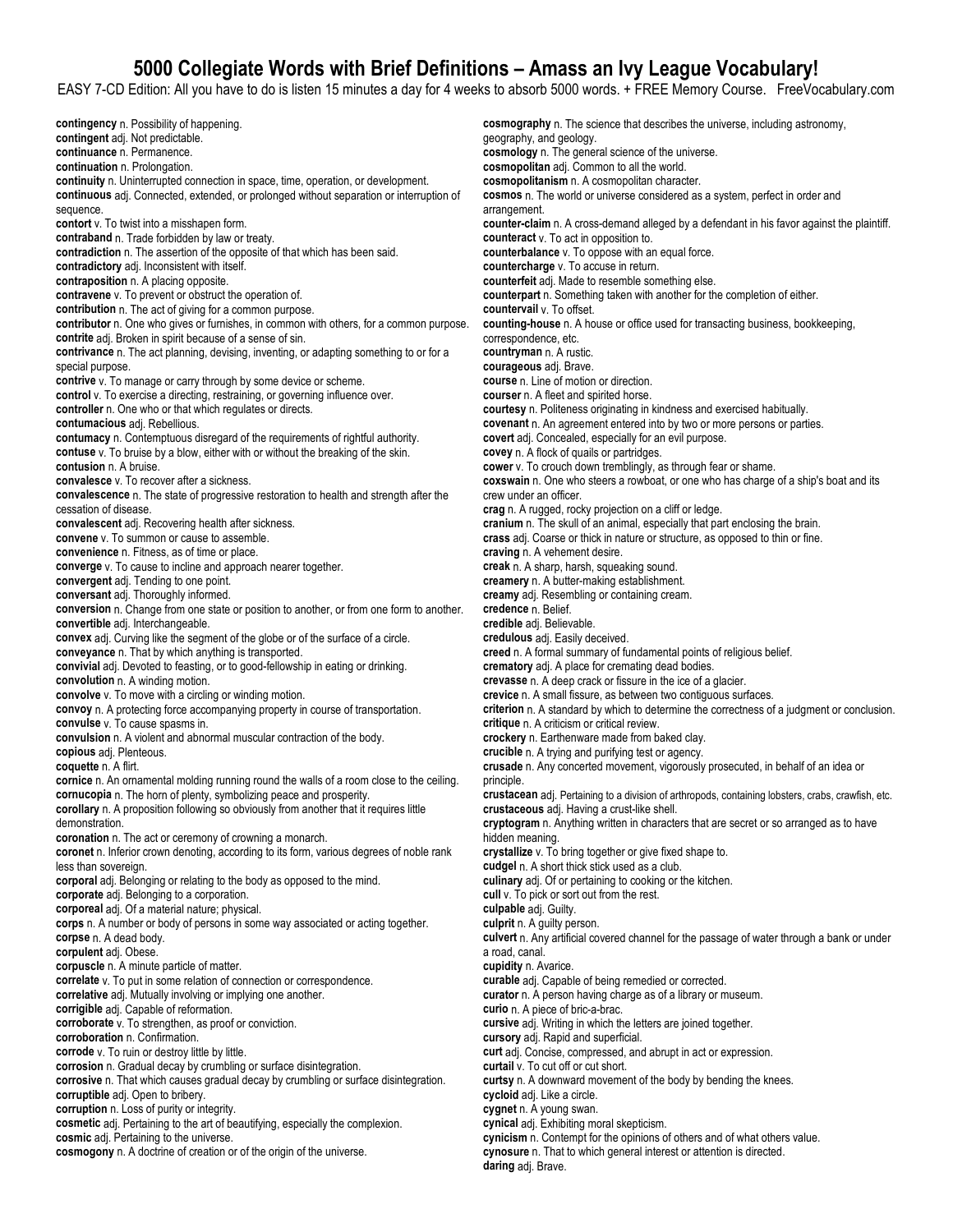EASY 7-CD Edition: All you have to do is listen 15 minutes a day for 4 weeks to absorb 5000 words. + FREE Memory Course. FreeVocabulary.com

**contingency** n. Possibility of happening. **contingent** adj. Not predictable. **continuance** n. Permanence. **continuation** n. Prolongation. **continuity** n. Uninterrupted connection in space, time, operation, or development. **continuous** adj. Connected, extended, or prolonged without separation or interruption of sequence. **contort** v. To twist into a misshapen form. **contraband** n. Trade forbidden by law or treaty. **contradiction** n. The assertion of the opposite of that which has been said. **contradictory** adj. Inconsistent with itself. **contraposition** n. A placing opposite. **contravene** v. To prevent or obstruct the operation of. **contribution** n. The act of giving for a common purpose. **contributor** n. One who gives or furnishes, in common with others, for a common purpose. **contrite** adj. Broken in spirit because of a sense of sin. **contrivance** n. The act planning, devising, inventing, or adapting something to or for a special purpose. **contrive** v. To manage or carry through by some device or scheme. **control** v. To exercise a directing, restraining, or governing influence over. **controller** n. One who or that which regulates or directs. **contumacious** adj. Rebellious. **contumacy** n. Contemptuous disregard of the requirements of rightful authority. **contuse** v. To bruise by a blow, either with or without the breaking of the skin. **contusion** n. A bruise. **convalesce** v. To recover after a sickness. **convalescence** n. The state of progressive restoration to health and strength after the cessation of disease. **convalescent** adj. Recovering health after sickness. **convene** v. To summon or cause to assemble. **convenience** n. Fitness, as of time or place. **converge** v. To cause to incline and approach nearer together. **convergent** adj. Tending to one point. **conversant** adj. Thoroughly informed. **conversion** n. Change from one state or position to another, or from one form to another. **convertible** adj. Interchangeable. **convex** adj. Curving like the segment of the globe or of the surface of a circle. **conveyance** n. That by which anything is transported. **convivial** adj. Devoted to feasting, or to good-fellowship in eating or drinking. **convolution** n. A winding motion. **convolve** v. To move with a circling or winding motion. **convoy** n. A protecting force accompanying property in course of transportation. **convulse** v. To cause spasms in. **convulsion** n. A violent and abnormal muscular contraction of the body. **copious** adj. Plenteous. **coquette** n. A flirt. **cornice** n. An ornamental molding running round the walls of a room close to the ceiling. **cornucopia** n. The horn of plenty, symbolizing peace and prosperity. **corollary** n. A proposition following so obviously from another that it requires little demonstration. **coronation** n. The act or ceremony of crowning a monarch. **coronet** n. Inferior crown denoting, according to its form, various degrees of noble rank less than sovereign. **corporal** adj. Belonging or relating to the body as opposed to the mind. **corporate** adj. Belonging to a corporation. **corporeal** adj. Of a material nature; physical. **corps** n. A number or body of persons in some way associated or acting together. **corpse** n. A dead body. **corpulent** adj. Obese. **corpuscle** n. A minute particle of matter. **correlate** v. To put in some relation of connection or correspondence. **correlative** adj. Mutually involving or implying one another. **corrigible** adj. Capable of reformation. **corroborate** v. To strengthen, as proof or conviction. **corroboration** n. Confirmation. corrode v. To ruin or destroy little by little. **corrosion** n. Gradual decay by crumbling or surface disintegration. **corrosive** n. That which causes gradual decay by crumbling or surface disintegration. **corruptible** adj. Open to bribery. **corruption** n. Loss of purity or integrity. **cosmetic** adj. Pertaining to the art of beautifying, especially the complexion. **cosmic** adj. Pertaining to the universe. **cosmogony** n. A doctrine of creation or of the origin of the universe.

**cosmography** n. The science that describes the universe, including astronomy, geography, and geology. **cosmology** n. The general science of the universe. **cosmopolitan** adj. Common to all the world. **cosmopolitanism** n. A cosmopolitan character. **cosmos** n. The world or universe considered as a system, perfect in order and arrangement. **counter-claim** n. A cross-demand alleged by a defendant in his favor against the plaintiff. **counteract** v. To act in opposition to. **counterbalance** v. To oppose with an equal force. **countercharge** v. To accuse in return. **counterfeit** adj. Made to resemble something else. **counterpart** n. Something taken with another for the completion of either. **countervail** v. To offset. **counting-house** n. A house or office used for transacting business, bookkeeping, correspondence, etc. **countryman** n. A rustic. **courageous** adj. Brave. **course** n. Line of motion or direction. **courser** n. A fleet and spirited horse. **courtesy** n. Politeness originating in kindness and exercised habitually. **covenant** n. An agreement entered into by two or more persons or parties. **covert** adj. Concealed, especially for an evil purpose. **covey** n. A flock of quails or partridges. **cower** v. To crouch down tremblingly, as through fear or shame. **coxswain** n. One who steers a rowboat, or one who has charge of a ship's boat and its crew under an officer. **crag** n. A rugged, rocky projection on a cliff or ledge. **cranium** n. The skull of an animal, especially that part enclosing the brain. **crass** adj. Coarse or thick in nature or structure, as opposed to thin or fine. **craving** n. A vehement desire. **creak** n. A sharp, harsh, squeaking sound. **creamery** n. A butter-making establishment. **creamy** adj. Resembling or containing cream. **credence** n. Belief. **credible** adj. Believable. **credulous** adj. Easily deceived. **creed** n. A formal summary of fundamental points of religious belief. **crematory** adj. A place for cremating dead bodies. **crevasse** n. A deep crack or fissure in the ice of a glacier. **crevice** n. A small fissure, as between two contiguous surfaces. **criterion** n. A standard by which to determine the correctness of a judgment or conclusion. **critique** n. A criticism or critical review. **crockery** n. Earthenware made from baked clay. **crucible** n. A trying and purifying test or agency. **crusade** n. Any concerted movement, vigorously prosecuted, in behalf of an idea or principle. **crustacean** adj. Pertaining to a division of arthropods, containing lobsters, crabs, crawfish, etc. **crustaceous** adj. Having a crust-like shell. **cryptogram** n. Anything written in characters that are secret or so arranged as to have hidden meaning. **crystallize** v. To bring together or give fixed shape to. **cudgel** n. A short thick stick used as a club. **culinary** adj. Of or pertaining to cooking or the kitchen. **cull** v. To pick or sort out from the rest. **culpable** adj. Guilty. **culprit** n. A guilty person. **culvert** n. Any artificial covered channel for the passage of water through a bank or under a road, canal. **cupidity** n. Avarice. **curable** adj. Capable of being remedied or corrected. **curator** n. A person having charge as of a library or museum. **curio** n. A piece of bric-a-brac. **cursive** adj. Writing in which the letters are joined together. **cursory** adj. Rapid and superficial. **curt** adj. Concise, compressed, and abrupt in act or expression. **curtail** v. To cut off or cut short. **curtsy** n. A downward movement of the body by bending the knees. **cycloid** adj. Like a circle. **cygnet** n. A young swan. **cynical** adj. Exhibiting moral skepticism. **cynicism** n. Contempt for the opinions of others and of what others value.

**cynosure** n. That to which general interest or attention is directed.

**daring** adj. Brave.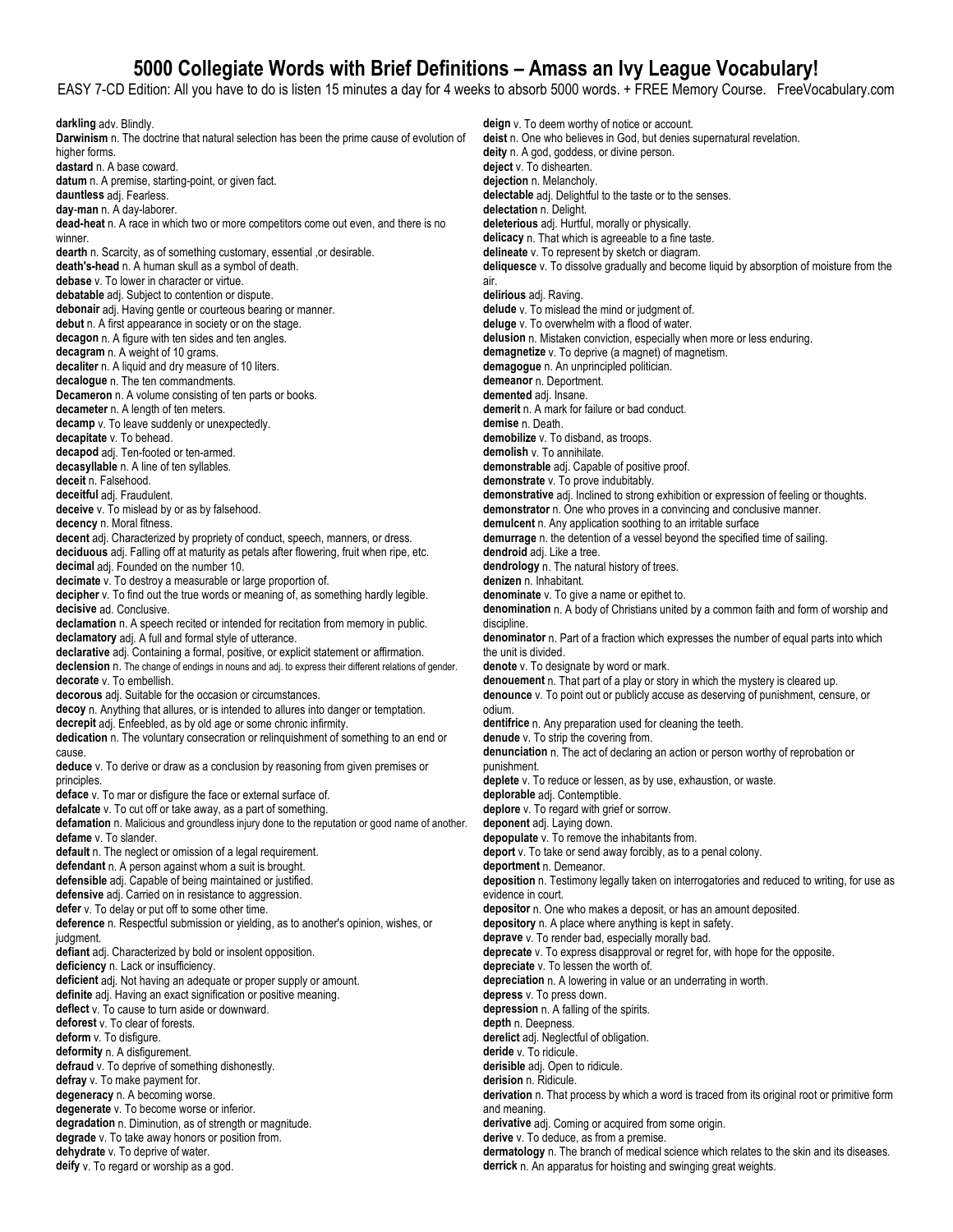EASY 7-CD Edition: All you have to do is listen 15 minutes a day for 4 weeks to absorb 5000 words. + FREE Memory Course. FreeVocabulary.com

**darkling** adv. Blindly. **Darwinism** n. The doctrine that natural selection has been the prime cause of evolution of higher forms. **dastard** n. A base coward. **datum** n. A premise, starting-point, or given fact. **dauntless** adj. Fearless. **day**-**man** n. A day-laborer. **dead-heat** n. A race in which two or more competitors come out even, and there is no winner. **dearth** n. Scarcity, as of something customary, essential ,or desirable. **death's-head** n. A human skull as a symbol of death. **debase** v. To lower in character or virtue. **debatable** adj. Subject to contention or dispute. **debonair** adj. Having gentle or courteous bearing or manner. **debut** n. A first appearance in society or on the stage. **decagon** n. A figure with ten sides and ten angles. **decagram** n. A weight of 10 grams. **decaliter** n. A liquid and dry measure of 10 liters. **decalogue** n. The ten commandments. **Decameron** n. A volume consisting of ten parts or books. **decameter** n. A length of ten meters. **decamp** v. To leave suddenly or unexpectedly. **decapitate** v. To behead. **decapod** adj. Ten-footed or ten-armed. **decasyllable** n. A line of ten syllables. **deceit** n. Falsehood. **deceitful** adj. Fraudulent. **deceive** v. To mislead by or as by falsehood. **decency** n. Moral fitness. **decent** adj. Characterized by propriety of conduct, speech, manners, or dress. **deciduous** adj. Falling off at maturity as petals after flowering, fruit when ripe, etc. **decimal** adj. Founded on the number 10. **decimate** v. To destroy a measurable or large proportion of. **decipher** v. To find out the true words or meaning of, as something hardly legible. **decisive** ad. Conclusive. **declamation** n. A speech recited or intended for recitation from memory in public. **declamatory** adj. A full and formal style of utterance. **declarative** adj. Containing a formal, positive, or explicit statement or affirmation. **declension** n. The change of endings in nouns and adj. to express their different relations of gender. **decorate** v. To embellish. **decorous** adj. Suitable for the occasion or circumstances. **decoy** n. Anything that allures, or is intended to allures into danger or temptation. **decrepit** adj. Enfeebled, as by old age or some chronic infirmity. **dedication** n. The voluntary consecration or relinquishment of something to an end or cause. **deduce** v. To derive or draw as a conclusion by reasoning from given premises or principles. **deface** v. To mar or disfigure the face or external surface of. **defalcate** v. To cut off or take away, as a part of something. **defamation** n. Malicious and groundless injury done to the reputation or good name of another. **defame** v. To slander. **default** n. The neglect or omission of a legal requirement. **defendant** n. A person against whom a suit is brought. **defensible** adj. Capable of being maintained or justified. **defensive** adj. Carried on in resistance to aggression. **defer** v. To delay or put off to some other time. **deference** n. Respectful submission or yielding, as to another's opinion, wishes, or judgment. **defiant** adj. Characterized by bold or insolent opposition. **deficiency** n. Lack or insufficiency. **deficient** adj. Not having an adequate or proper supply or amount. **definite** adj. Having an exact signification or positive meaning. **deflect** v. To cause to turn aside or downward. **deforest** v. To clear of forests. **deform** v. To disfigure. **deformity** n. A disfigurement. **defraud** v. To deprive of something dishonestly. **defray** v. To make payment for. **degeneracy** n. A becoming worse. **degenerate** v. To become worse or inferior. **degradation** n. Diminution, as of strength or magnitude. **degrade** v. To take away honors or position from. **dehydrate** v. To deprive of water. **deify** v. To regard or worship as a god.

**deign** v. To deem worthy of notice or account. **deist** n. One who believes in God, but denies supernatural revelation. **deity** n. A god, goddess, or divine person. **deject** v. To dishearten. **dejection** n. Melancholy. **delectable** adj. Delightful to the taste or to the senses. **delectation** n. Delight. **deleterious** adj. Hurtful, morally or physically. **delicacy** n. That which is agreeable to a fine taste. **delineate** v. To represent by sketch or diagram. **deliquesce** v. To dissolve gradually and become liquid by absorption of moisture from the air. **delirious** adj. Raving. **delude** v. To mislead the mind or judgment of. **deluge** v. To overwhelm with a flood of water. **delusion** n. Mistaken conviction, especially when more or less enduring. **demagnetize** v. To deprive (a magnet) of magnetism. **demagogue** n. An unprincipled politician. **demeanor** n. Deportment. **demented** adj. Insane. **demerit** n. A mark for failure or bad conduct. **demise** n. Death. **demobilize** v. To disband, as troops. **demolish** v. To annihilate. **demonstrable** adj. Capable of positive proof. **demonstrate** v. To prove indubitably. **demonstrative** adj. Inclined to strong exhibition or expression of feeling or thoughts. **demonstrator** n. One who proves in a convincing and conclusive manner. **demulcent** n. Any application soothing to an irritable surface **demurrage** n. the detention of a vessel beyond the specified time of sailing. **dendroid** adj. Like a tree. **dendrology** n. The natural history of trees. **denizen** n. Inhabitant. **denominate** v. To give a name or epithet to. **denomination** n. A body of Christians united by a common faith and form of worship and discipline. **denominator** n. Part of a fraction which expresses the number of equal parts into which the unit is divided. **denote** v. To designate by word or mark. **denouement** n. That part of a play or story in which the mystery is cleared up. **denounce** v. To point out or publicly accuse as deserving of punishment, censure, or odium. **dentifrice** n. Any preparation used for cleaning the teeth. **denude** v. To strip the covering from. **denunciation** n. The act of declaring an action or person worthy of reprobation or punishment. **deplete** v. To reduce or lessen, as by use, exhaustion, or waste. **deplorable** adj. Contemptible. **deplore** v. To regard with grief or sorrow. **deponent** adj. Laying down. **depopulate** v. To remove the inhabitants from. **deport** v. To take or send away forcibly, as to a penal colony. **deportment** n. Demeanor. **deposition** n. Testimony legally taken on interrogatories and reduced to writing, for use as evidence in court. **depositor** n. One who makes a deposit, or has an amount deposited. **depository** n. A place where anything is kept in safety. **deprave** v. To render bad, especially morally bad. **deprecate** v. To express disapproval or regret for, with hope for the opposite. **depreciate** v. To lessen the worth of. **depreciation** n. A lowering in value or an underrating in worth. **depress** v. To press down. **depression** n. A falling of the spirits. **depth** n. Deepness. **derelict** adj. Neglectful of obligation. **deride** v. To ridicule. **derisible** adj. Open to ridicule. **derision** n. Ridicule. **derivation** n. That process by which a word is traced from its original root or primitive form and meaning. **derivative** adj. Coming or acquired from some origin. **derive** v. To deduce, as from a premise. **dermatology** n. The branch of medical science which relates to the skin and its diseases. **derrick** n. An apparatus for hoisting and swinging great weights.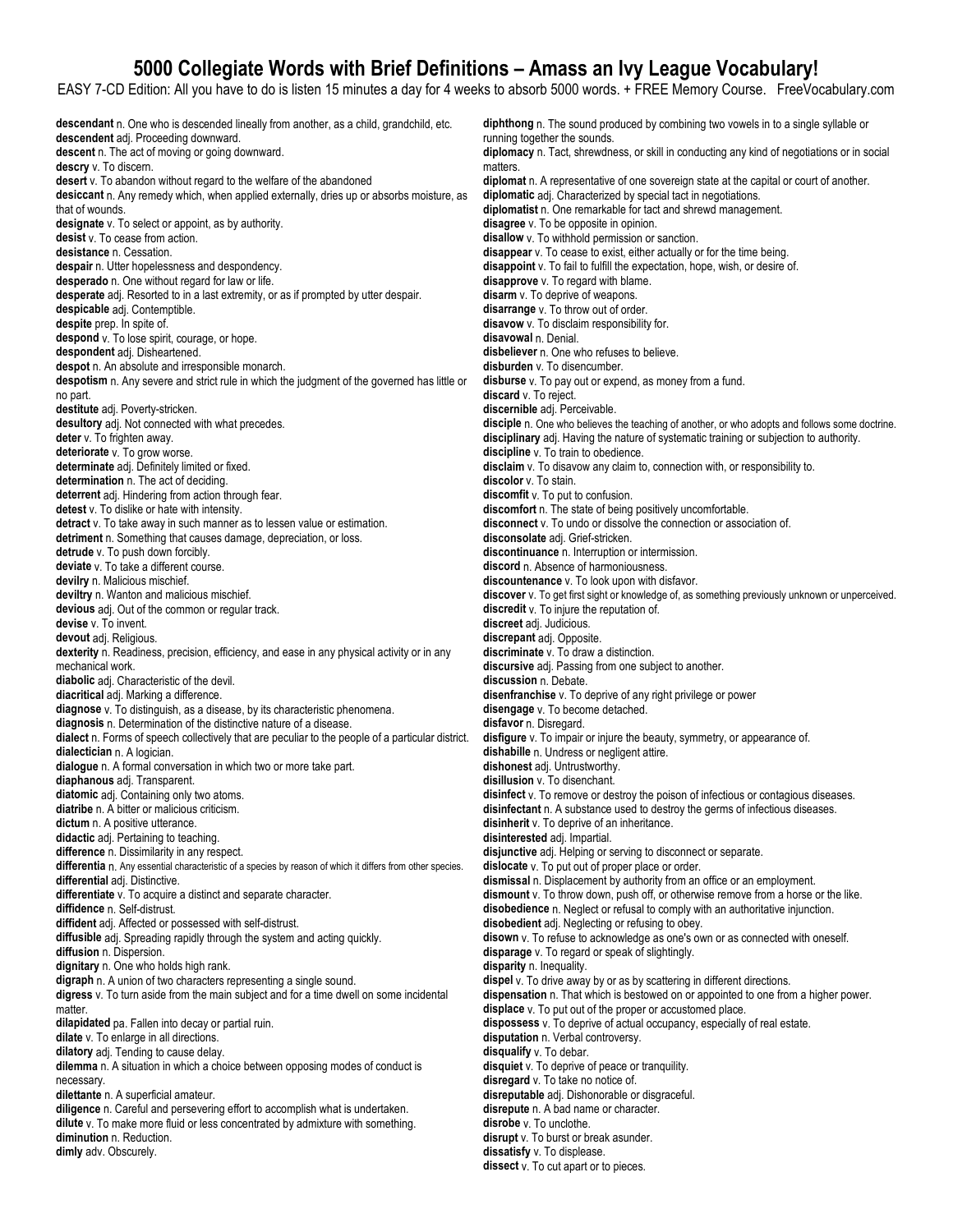EASY 7-CD Edition: All you have to do is listen 15 minutes a day for 4 weeks to absorb 5000 words. + FREE Memory Course. FreeVocabulary.com

**descendant** n. One who is descended lineally from another, as a child, grandchild, etc. **descendent** adj. Proceeding downward. **descent** n. The act of moving or going downward. **descry** v. To discern. **desert** v. To abandon without regard to the welfare of the abandoned **desiccant** n. Any remedy which, when applied externally, dries up or absorbs moisture, as that of wounds. **designate** v. To select or appoint, as by authority. **desist** v. To cease from action. **desistance** n. Cessation. **despair** n. Utter hopelessness and despondency. **desperado** n. One without regard for law or life. **desperate** adj. Resorted to in a last extremity, or as if prompted by utter despair. **despicable** adj. Contemptible. **despite** prep. In spite of. **despond** v. To lose spirit, courage, or hope. **despondent** adj. Disheartened. **despot** n. An absolute and irresponsible monarch. **despotism** n. Any severe and strict rule in which the judgment of the governed has little or no part. **destitute** adj. Poverty-stricken. **desultory** adj. Not connected with what precedes. **deter** v. To frighten away. **deteriorate** v. To grow worse. **determinate** adj. Definitely limited or fixed. **determination** n. The act of deciding. **deterrent** adj. Hindering from action through fear. **detest** v. To dislike or hate with intensity. **detract** v. To take away in such manner as to lessen value or estimation. **detriment** n. Something that causes damage, depreciation, or loss. **detrude** v. To push down forcibly. **deviate** v. To take a different course. **devilry** n. Malicious mischief. **deviltry** n. Wanton and malicious mischief. **devious** adj. Out of the common or regular track. **devise** v. To invent. **devout** adj. Religious. **dexterity** n. Readiness, precision, efficiency, and ease in any physical activity or in any mechanical work. **diabolic** adj. Characteristic of the devil. **diacritical** adj. Marking a difference. **diagnose** v. To distinguish, as a disease, by its characteristic phenomena. **diagnosis** n. Determination of the distinctive nature of a disease. **dialect** n. Forms of speech collectively that are peculiar to the people of a particular district. **dialectician** n. A logician. **dialogue** n. A formal conversation in which two or more take part. **diaphanous** adj. Transparent. **diatomic** adj. Containing only two atoms. **diatribe** n. A bitter or malicious criticism. **dictum** n. A positive utterance. **didactic** adj. Pertaining to teaching. **difference** n. Dissimilarity in any respect. **differentia** n. Any essential characteristic of a species by reason of which it differs from other species. **differential** adj. Distinctive. **differentiate** v. To acquire a distinct and separate character. **diffidence** n. Self-distrust. **diffident** adj. Affected or possessed with self-distrust. **diffusible** adj. Spreading rapidly through the system and acting quickly. **diffusion** n. Dispersion. **dignitary** n. One who holds high rank. **digraph** n. A union of two characters representing a single sound. **digress** v. To turn aside from the main subject and for a time dwell on some incidental matter. **dilapidated** pa. Fallen into decay or partial ruin. **dilate** v. To enlarge in all directions. **dilatory** adj. Tending to cause delay. **dilemma** n. A situation in which a choice between opposing modes of conduct is necessary. **dilettante** n. A superficial amateur. **diligence** n. Careful and persevering effort to accomplish what is undertaken. **dilute** v. To make more fluid or less concentrated by admixture with something. **diminution** n. Reduction. **dimly** adv. Obscurely.

**diphthong** n. The sound produced by combining two vowels in to a single syllable or running together the sounds. **diplomacy** n. Tact, shrewdness, or skill in conducting any kind of negotiations or in social matters. **diplomat** n. A representative of one sovereign state at the capital or court of another. **diplomatic** adj. Characterized by special tact in negotiations. **diplomatist** n. One remarkable for tact and shrewd management. **disagree** v. To be opposite in opinion. **disallow** v. To withhold permission or sanction. **disappear** v. To cease to exist, either actually or for the time being. **disappoint** v. To fail to fulfill the expectation, hope, wish, or desire of. **disapprove** v. To regard with blame. **disarm** v. To deprive of weapons. **disarrange** v. To throw out of order. **disavow** v. To disclaim responsibility for. **disavowal** n. Denial. **disbeliever** n. One who refuses to believe. **disburden** v. To disencumber. **disburse** v. To pay out or expend, as money from a fund. **discard** v. To reject. **discernible** adj. Perceivable. **disciple** n. One who believes the teaching of another, or who adopts and follows some doctrine. **disciplinary** adj. Having the nature of systematic training or subjection to authority. **discipline** v. To train to obedience. **disclaim** v. To disavow any claim to, connection with, or responsibility to. **discolor** v. To stain. **discomfit** v. To put to confusion. **discomfort** n. The state of being positively uncomfortable. **disconnect** v. To undo or dissolve the connection or association of. **disconsolate** adj. Grief-stricken. **discontinuance** n. Interruption or intermission. **discord** n. Absence of harmoniousness. **discountenance** v. To look upon with disfavor. **discover** v. To get first sight or knowledge of, as something previously unknown or unperceived. **discredit** v. To injure the reputation of. **discreet** adj. Judicious. **discrepant** adj. Opposite. **discriminate** v. To draw a distinction. **discursive** adj. Passing from one subject to another. **discussion** n. Debate. **disenfranchise** v. To deprive of any right privilege or power **disengage** v. To become detached. **disfavor** n. Disregard. **disfigure** v. To impair or injure the beauty, symmetry, or appearance of. **dishabille** n. Undress or negligent attire. **dishonest** adj. Untrustworthy. **disillusion** v. To disenchant. **disinfect** v. To remove or destroy the poison of infectious or contagious diseases. **disinfectant** n. A substance used to destroy the germs of infectious diseases. **disinherit** v. To deprive of an inheritance. **disinterested** adj. Impartial. **disjunctive** adj. Helping or serving to disconnect or separate. **dislocate** v. To put out of proper place or order. **dismissal** n. Displacement by authority from an office or an employment. **dismount** v. To throw down, push off, or otherwise remove from a horse or the like. **disobedience** n. Neglect or refusal to comply with an authoritative injunction. **disobedient** adj. Neglecting or refusing to obey. **disown** v. To refuse to acknowledge as one's own or as connected with oneself. **disparage** v. To regard or speak of slightingly. **disparity** n. Inequality. **dispel** v. To drive away by or as by scattering in different directions. **dispensation** n. That which is bestowed on or appointed to one from a higher power. **displace** v. To put out of the proper or accustomed place. **dispossess** v. To deprive of actual occupancy, especially of real estate. **disputation** n. Verbal controversy. **disqualify** v. To debar. **disquiet** v. To deprive of peace or tranquility. **disregard** v. To take no notice of. **disreputable** adj. Dishonorable or disgraceful. **disrepute** n. A bad name or character. **disrobe** v. To unclothe. **disrupt** v. To burst or break asunder. **dissatisfy** v. To displease. **dissect** v. To cut apart or to pieces.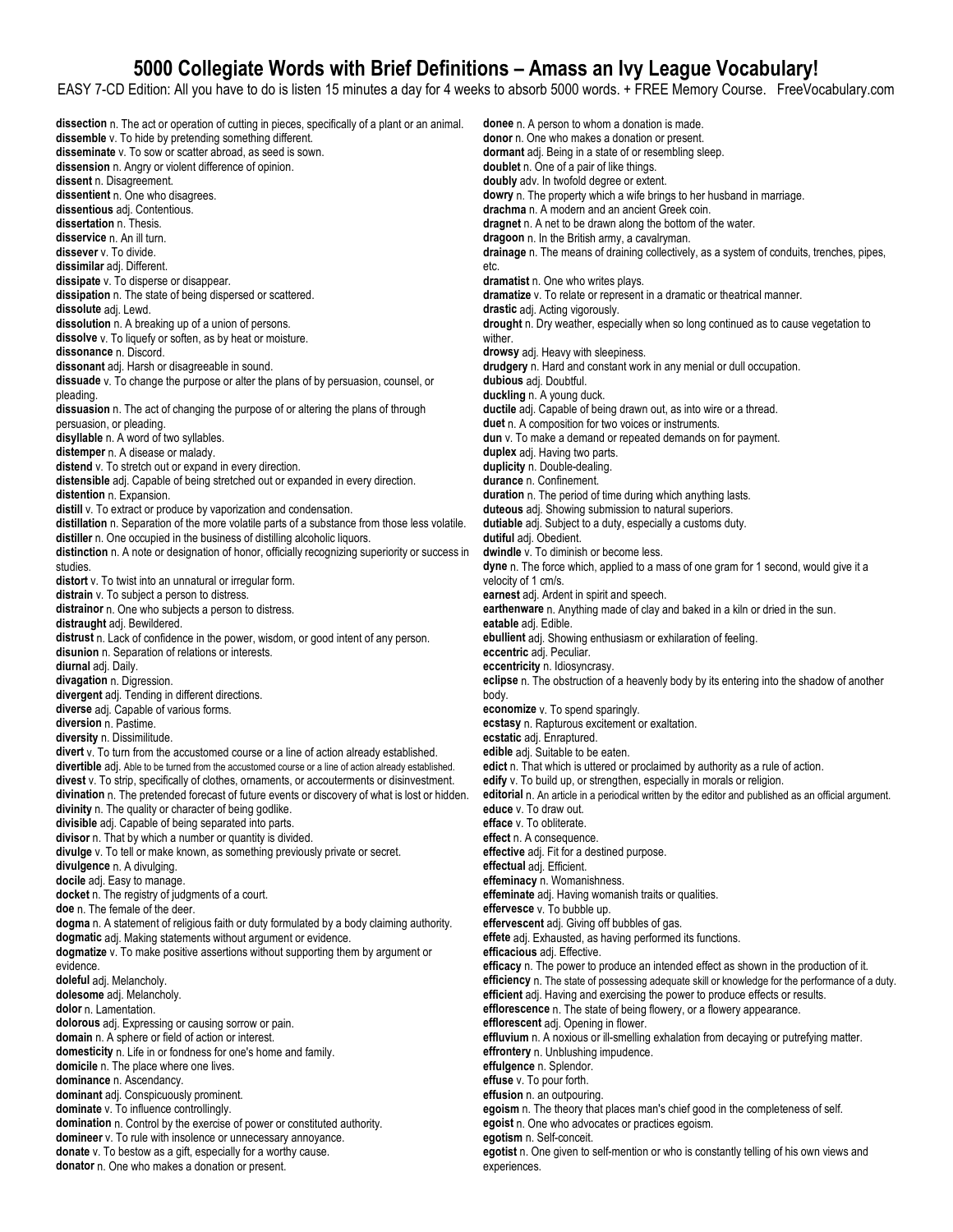EASY 7-CD Edition: All you have to do is listen 15 minutes a day for 4 weeks to absorb 5000 words. + FREE Memory Course. FreeVocabulary.com

experiences.

**dissection** n. The act or operation of cutting in pieces, specifically of a plant or an animal. **dissemble** v. To hide by pretending something different. **disseminate** v. To sow or scatter abroad, as seed is sown. **dissension** n. Angry or violent difference of opinion. **dissent** n. Disagreement. **dissentient** n. One who disagrees. **dissentious** adj. Contentious. **dissertation** n. Thesis. **disservice** n. An ill turn. **dissever** v. To divide. **dissimilar** adj. Different. **dissipate** v. To disperse or disappear. **dissipation** n. The state of being dispersed or scattered. **dissolute** adj. Lewd. **dissolution** n. A breaking up of a union of persons. **dissolve** v. To liquefy or soften, as by heat or moisture. **dissonance** n. Discord. **dissonant** adj. Harsh or disagreeable in sound. **dissuade** v. To change the purpose or alter the plans of by persuasion, counsel, or pleading. **dissuasion** n. The act of changing the purpose of or altering the plans of through persuasion, or pleading. **disyllable** n. A word of two syllables. **distemper** n. A disease or malady. **distend** v. To stretch out or expand in every direction. **distensible** adj. Capable of being stretched out or expanded in every direction. **distention** n. Expansion. **distill** v. To extract or produce by vaporization and condensation. **distillation** n. Separation of the more volatile parts of a substance from those less volatile. **distiller** n. One occupied in the business of distilling alcoholic liquors. **distinction** n. A note or designation of honor, officially recognizing superiority or success in studies. **distort** v. To twist into an unnatural or irregular form. **distrain** v. To subject a person to distress. **distrainor** n. One who subjects a person to distress. **distraught** adj. Bewildered. **distrust** n. Lack of confidence in the power, wisdom, or good intent of any person. **disunion** n. Separation of relations or interests. **diurnal** adj. Daily. **divagation** n. Digression. **divergent** adj. Tending in different directions. **diverse** adj. Capable of various forms. **diversion** n. Pastime. **diversity** n. Dissimilitude. **divert** v. To turn from the accustomed course or a line of action already established. **divertible** adj. Able to be turned from the accustomed course or a line of action already established. **divest** v. To strip, specifically of clothes, ornaments, or accouterments or disinvestment. **divination** n. The pretended forecast of future events or discovery of what is lost or hidden. **divinity** n. The quality or character of being godlike. **divisible** adj. Capable of being separated into parts. **divisor** n. That by which a number or quantity is divided. **divulge** v. To tell or make known, as something previously private or secret. **divulgence** n. A divulging. **docile** adj. Easy to manage. **docket** n. The registry of judgments of a court. **doe** n. The female of the deer. **dogma** n. A statement of religious faith or duty formulated by a body claiming authority. **dogmatic** adj. Making statements without argument or evidence. **dogmatize** v. To make positive assertions without supporting them by argument or evidence. **doleful** adj. Melancholy. **dolesome** adj. Melancholy. **dolor** n. Lamentation. **dolorous** adj. Expressing or causing sorrow or pain. **domain** n. A sphere or field of action or interest. **domesticity** n. Life in or fondness for one's home and family. **domicile** n. The place where one lives. **dominance** n. Ascendancy. **dominant** adj. Conspicuously prominent. **dominate** v. To influence controllingly. **domination** n. Control by the exercise of power or constituted authority. **domineer** v. To rule with insolence or unnecessary annoyance. **donate** v. To bestow as a gift, especially for a worthy cause. **donator** n. One who makes a donation or present.

**donee** n. A person to whom a donation is made. **donor** n. One who makes a donation or present. **dormant** adj. Being in a state of or resembling sleep. **doublet** n. One of a pair of like things. **doubly** adv. In twofold degree or extent. **dowry** n. The property which a wife brings to her husband in marriage. **drachma** n. A modern and an ancient Greek coin. **dragnet** n. A net to be drawn along the bottom of the water. **dragoon** n. In the British army, a cavalryman. **drainage** n. The means of draining collectively, as a system of conduits, trenches, pipes, etc. **dramatist** n. One who writes plays. **dramatize** v. To relate or represent in a dramatic or theatrical manner. **drastic** adj. Acting vigorously. **drought** n. Dry weather, especially when so long continued as to cause vegetation to wither. **drowsy** adj. Heavy with sleepiness. **drudgery** n. Hard and constant work in any menial or dull occupation. **dubious** adj. Doubtful. **duckling** n. A young duck. **ductile** adj. Capable of being drawn out, as into wire or a thread. **duet** n. A composition for two voices or instruments. **dun** v. To make a demand or repeated demands on for payment. **duplex** adj. Having two parts. **duplicity** n. Double-dealing. **durance** n. Confinement. **duration** n. The period of time during which anything lasts. **duteous** adj. Showing submission to natural superiors. **dutiable** adj. Subject to a duty, especially a customs duty. **dutiful** adj. Obedient. **dwindle** v. To diminish or become less. **dyne** n. The force which, applied to a mass of one gram for 1 second, would give it a velocity of 1 cm/s. **earnest** adj. Ardent in spirit and speech. **earthenware** n. Anything made of clay and baked in a kiln or dried in the sun. **eatable** adj. Edible. **ebullient** adj. Showing enthusiasm or exhilaration of feeling. **eccentric** adj. Peculiar. **eccentricity** n. Idiosyncrasy. **eclipse** n. The obstruction of a heavenly body by its entering into the shadow of another body. **economize** v. To spend sparingly. **ecstasy** n. Rapturous excitement or exaltation. **ecstatic** adj. Enraptured. **edible** adj. Suitable to be eaten. **edict** n. That which is uttered or proclaimed by authority as a rule of action. **edify** v. To build up, or strengthen, especially in morals or religion. **editorial** n. An article in a periodical written by the editor and published as an official argument. **educe** v. To draw out. **efface** v. To obliterate. **effect** n. A consequence. **effective** adj. Fit for a destined purpose. **effectual** adj. Efficient. **effeminacy** n. Womanishness. **effeminate** adj. Having womanish traits or qualities. **effervesce** v. To bubble up. **effervescent** adj. Giving off bubbles of gas. **effete** adj. Exhausted, as having performed its functions. **efficacious** adj. Effective. **efficacy** n. The power to produce an intended effect as shown in the production of it. **efficiency** n. The state of possessing adequate skill or knowledge for the performance of a duty. **efficient** adj. Having and exercising the power to produce effects or results. **efflorescence** n. The state of being flowery, or a flowery appearance. **efflorescent** adj. Opening in flower. **effluvium** n. A noxious or ill-smelling exhalation from decaying or putrefying matter. **effrontery** n. Unblushing impudence. **effulgence** n. Splendor. **effuse** v. To pour forth. **effusion** n. an outpouring. **egoism** n. The theory that places man's chief good in the completeness of self. **egoist** n. One who advocates or practices egoism. **egotism** n. Self-conceit. **egotist** n. One given to self-mention or who is constantly telling of his own views and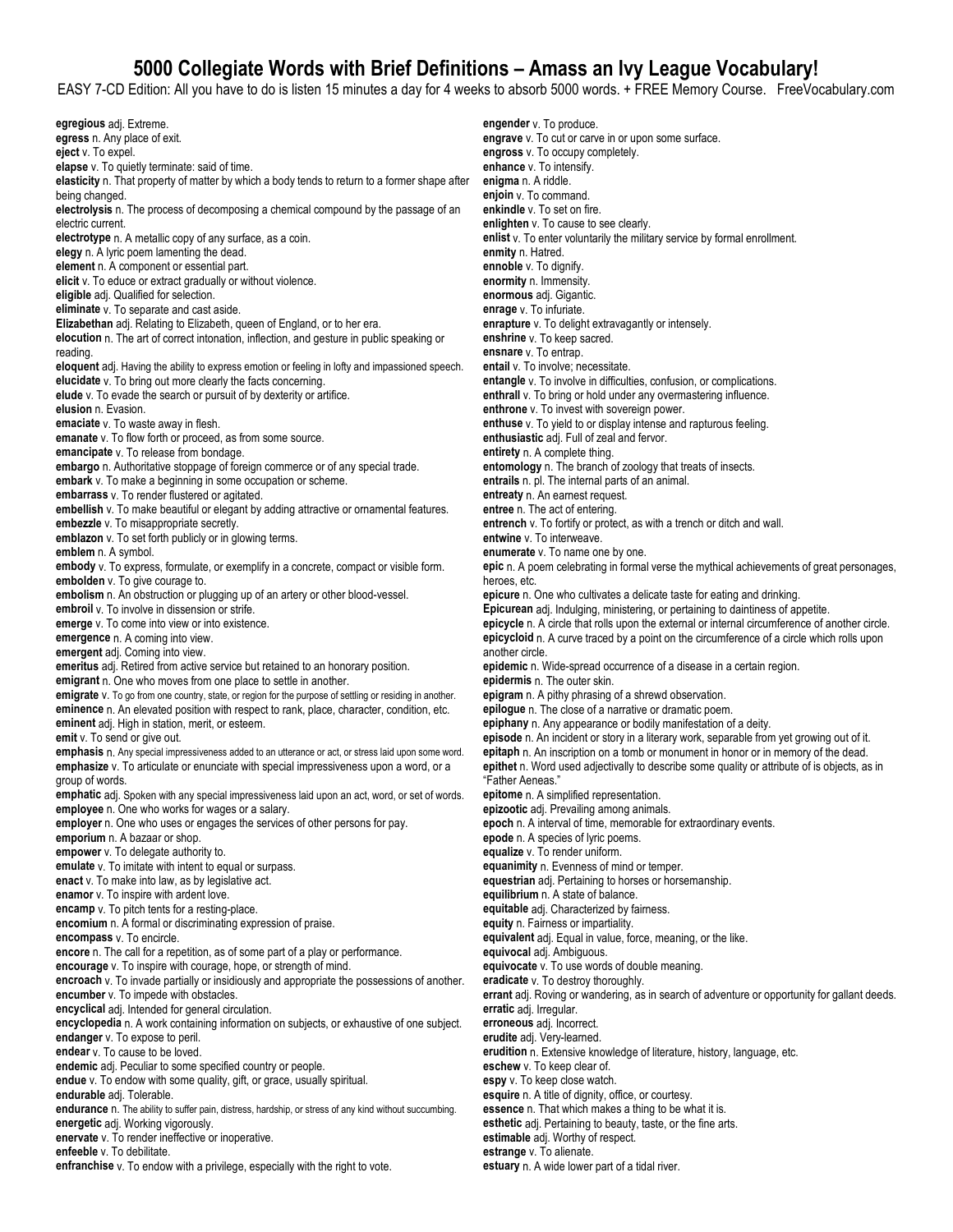EASY 7-CD Edition: All you have to do is listen 15 minutes a day for 4 weeks to absorb 5000 words. + FREE Memory Course. FreeVocabulary.com

**egregious** adj. Extreme. **egress** n. Any place of exit. **eject** v. To expel. **elapse** v. To quietly terminate: said of time. **elasticity** n. That property of matter by which a body tends to return to a former shape after being changed. **electrolysis** n. The process of decomposing a chemical compound by the passage of an electric current. **electrotype** n. A metallic copy of any surface, as a coin. **elegy** n. A lyric poem lamenting the dead. **element** n. A component or essential part. **elicit** v. To educe or extract gradually or without violence. **eligible** adj. Qualified for selection. **eliminate** v. To separate and cast aside. **Elizabethan** adj. Relating to Elizabeth, queen of England, or to her era. **elocution** n. The art of correct intonation, inflection, and gesture in public speaking or reading. **eloquent** adj. Having the ability to express emotion or feeling in lofty and impassioned speech. **elucidate** v. To bring out more clearly the facts concerning. **elude** v. To evade the search or pursuit of by dexterity or artifice. **elusion** n. Evasion. **emaciate** v. To waste away in flesh. **emanate** v. To flow forth or proceed, as from some source. **emancipate** v. To release from bondage. **embargo** n. Authoritative stoppage of foreign commerce or of any special trade. **embark** v. To make a beginning in some occupation or scheme. **embarrass** v. To render flustered or agitated. **embellish** v. To make beautiful or elegant by adding attractive or ornamental features. **embezzle** v. To misappropriate secretly. **emblazon** v. To set forth publicly or in glowing terms. **emblem** n. A symbol. **embody** v. To express, formulate, or exemplify in a concrete, compact or visible form. **embolden** v. To give courage to. **embolism** n. An obstruction or plugging up of an artery or other blood-vessel. **embroil** v. To involve in dissension or strife. **emerge** v. To come into view or into existence. **emergence** n. A coming into view. **emergent** adj. Coming into view. **emeritus** adj. Retired from active service but retained to an honorary position. **emigrant** n. One who moves from one place to settle in another. **emigrate** v. To go from one country, state, or region for the purpose of settling or residing in another. **eminence** n. An elevated position with respect to rank, place, character, condition, etc. **eminent** adj. High in station, merit, or esteem. **emit** v. To send or give out. **emphasis** n. Any special impressiveness added to an utterance or act, or stress laid upon some word. **emphasize** v. To articulate or enunciate with special impressiveness upon a word, or a group of words. **emphatic** adj. Spoken with any special impressiveness laid upon an act, word, or set of words. **employee** n. One who works for wages or a salary. **employer** n. One who uses or engages the services of other persons for pay. **emporium** n. A bazaar or shop. **empower** v. To delegate authority to. **emulate** v. To imitate with intent to equal or surpass. **enact** v. To make into law, as by legislative act. **enamor** v. To inspire with ardent love. **encamp** v. To pitch tents for a resting-place. **encomium** n. A formal or discriminating expression of praise. **encompass** v. To encircle. **encore** n. The call for a repetition, as of some part of a play or performance. **encourage** v. To inspire with courage, hope, or strength of mind. **encroach** v. To invade partially or insidiously and appropriate the possessions of another. **encumber** v. To impede with obstacles. **encyclical** adj. Intended for general circulation. **encyclopedia** n. A work containing information on subjects, or exhaustive of one subject. **endanger** v. To expose to peril. **endear** v. To cause to be loved. **endemic** adj. Peculiar to some specified country or people. **endue** v. To endow with some quality, gift, or grace, usually spiritual. **endurable** adj. Tolerable. **endurance** n. The ability to suffer pain, distress, hardship, or stress of any kind without succumbing. **energetic** adj. Working vigorously. **enervate** v. To render ineffective or inoperative. **enfeeble** v. To debilitate. **enfranchise** v. To endow with a privilege, especially with the right to vote.

**engender** v. To produce. **engrave** v. To cut or carve in or upon some surface. **engross** v. To occupy completely. **enhance** v. To intensify. **enigma** n. A riddle. **enjoin** v. To command. **enkindle** v. To set on fire. **enlighten** v. To cause to see clearly. **enlist** v. To enter voluntarily the military service by formal enrollment. **enmity** n. Hatred. **ennoble** v. To dignify. **enormity** n. Immensity. **enormous** adj. Gigantic. **enrage** v. To infuriate. **enrapture** v. To delight extravagantly or intensely. **enshrine** v. To keep sacred. **ensnare** v. To entrap. **entail** v. To involve; necessitate. **entangle** v. To involve in difficulties, confusion, or complications. **enthrall** v. To bring or hold under any overmastering influence. **enthrone** v. To invest with sovereign power. **enthuse** v. To yield to or display intense and rapturous feeling. **enthusiastic** adj. Full of zeal and fervor. **entirety** n. A complete thing. **entomology** n. The branch of zoology that treats of insects. **entrails** n. pl. The internal parts of an animal. **entreaty** n. An earnest request. **entree** n. The act of entering. **entrench** v. To fortify or protect, as with a trench or ditch and wall. **entwine** v. To interweave. **enumerate** v. To name one by one. **epic** n. A poem celebrating in formal verse the mythical achievements of great personages, heroes, etc. **epicure** n. One who cultivates a delicate taste for eating and drinking. **Epicurean** adj. Indulging, ministering, or pertaining to daintiness of appetite. **epicycle** n. A circle that rolls upon the external or internal circumference of another circle. **epicycloid** n. A curve traced by a point on the circumference of a circle which rolls upon another circle. **epidemic** n. Wide-spread occurrence of a disease in a certain region. **epidermis** n. The outer skin. **epigram** n. A pithy phrasing of a shrewd observation. **epilogue** n. The close of a narrative or dramatic poem. **epiphany** n. Any appearance or bodily manifestation of a deity. **episode** n. An incident or story in a literary work, separable from yet growing out of it. **epitaph** n. An inscription on a tomb or monument in honor or in memory of the dead. **epithet** n. Word used adjectivally to describe some quality or attribute of is objects, as in "Father Aeneas." **epitome** n. A simplified representation. **epizootic** adj. Prevailing among animals. **epoch** n. A interval of time, memorable for extraordinary events. **epode** n. A species of lyric poems. **equalize** v. To render uniform. **equanimity** n. Evenness of mind or temper. **equestrian** adj. Pertaining to horses or horsemanship. **equilibrium** n. A state of balance. **equitable** adj. Characterized by fairness. **equity** n. Fairness or impartiality. **equivalent** adj. Equal in value, force, meaning, or the like. **equivocal** adj. Ambiguous. **equivocate** v. To use words of double meaning. **eradicate** v. To destroy thoroughly. **errant** adj. Roving or wandering, as in search of adventure or opportunity for gallant deeds. **erratic** adj. Irregular. **erroneous** adj. Incorrect. **erudite** adj. Very-learned. **erudition** n. Extensive knowledge of literature, history, language, etc. **eschew** v. To keep clear of. **espy** v. To keep close watch. **esquire** n. A title of dignity, office, or courtesy. **essence** n. That which makes a thing to be what it is. **esthetic** adj. Pertaining to beauty, taste, or the fine arts. **estimable** adj. Worthy of respect.

**estrange** v. To alienate.

**estuary** n. A wide lower part of a tidal river.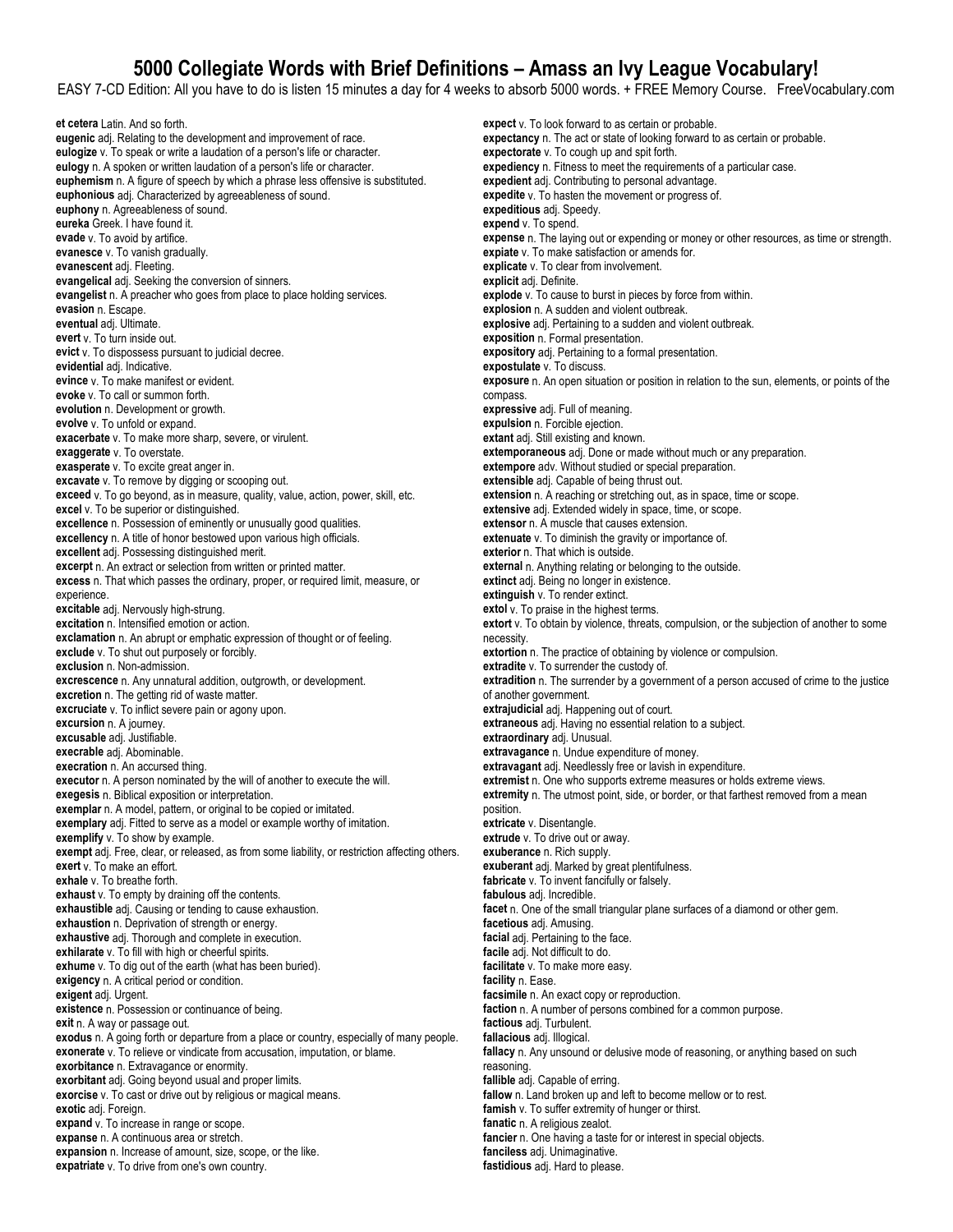EASY 7-CD Edition: All you have to do is listen 15 minutes a day for 4 weeks to absorb 5000 words. + FREE Memory Course. FreeVocabulary.com

**et cetera** Latin. And so forth. **eugenic** adj. Relating to the development and improvement of race. **eulogize** v. To speak or write a laudation of a person's life or character. **eulogy** n. A spoken or written laudation of a person's life or character. **euphemism** n. A figure of speech by which a phrase less offensive is substituted. **euphonious** adj. Characterized by agreeableness of sound. **euphony** n. Agreeableness of sound. **eureka** Greek. I have found it. **evade** v. To avoid by artifice. **evanesce** v. To vanish gradually. **evanescent** adj. Fleeting. **evangelical** adj. Seeking the conversion of sinners. **evangelist** n. A preacher who goes from place to place holding services. **evasion** n. Escape. **eventual** adj. Ultimate. **evert** v. To turn inside out. **evict** v. To dispossess pursuant to judicial decree. **evidential** adj. Indicative. **evince** v. To make manifest or evident. **evoke** v. To call or summon forth. **evolution** n. Development or growth. **evolve** v. To unfold or expand. **exacerbate** v. To make more sharp, severe, or virulent. **exaggerate** v. To overstate. **exasperate** v. To excite great anger in. **excavate** v. To remove by digging or scooping out. **exceed** v. To go beyond, as in measure, quality, value, action, power, skill, etc. **excel** v. To be superior or distinguished. **excellence** n. Possession of eminently or unusually good qualities. **excellency** n. A title of honor bestowed upon various high officials. **excellent** adj. Possessing distinguished merit. **excerpt** n. An extract or selection from written or printed matter. **excess** n. That which passes the ordinary, proper, or required limit, measure, or experience. **excitable** adj. Nervously high-strung. **excitation** n. Intensified emotion or action. **exclamation** n. An abrupt or emphatic expression of thought or of feeling. **exclude** v. To shut out purposely or forcibly. **exclusion** n. Non-admission. **excrescence** n. Any unnatural addition, outgrowth, or development. **excretion** n. The getting rid of waste matter. **excruciate** v. To inflict severe pain or agony upon. **excursion** n. A journey. **excusable** adj. Justifiable. **execrable** adj. Abominable. **execration** n. An accursed thing. **executor** n. A person nominated by the will of another to execute the will. **exegesis** n. Biblical exposition or interpretation. **exemplar** n. A model, pattern, or original to be copied or imitated. **exemplary** adj. Fitted to serve as a model or example worthy of imitation. **exemplify** v. To show by example. **exempt** adj. Free, clear, or released, as from some liability, or restriction affecting others. **exert** v. To make an effort. **exhale** v. To breathe forth. **exhaust** v. To empty by draining off the contents. **exhaustible** adj. Causing or tending to cause exhaustion. **exhaustion** n. Deprivation of strength or energy. **exhaustive** adj. Thorough and complete in execution. **exhilarate** v. To fill with high or cheerful spirits. **exhume** v. To dig out of the earth (what has been buried). **exigency** n. A critical period or condition. **exigent** adj. Urgent. **existence** n. Possession or continuance of being. **exit** n. A way or passage out. **exodus** n. A going forth or departure from a place or country, especially of many people. **exonerate** v. To relieve or vindicate from accusation, imputation, or blame. **exorbitance** n. Extravagance or enormity. **exorbitant** adj. Going beyond usual and proper limits. **exorcise** v. To cast or drive out by religious or magical means. **exotic** adj. Foreign. **expand** v. To increase in range or scope. **expanse** n. A continuous area or stretch. **expansion** n. Increase of amount, size, scope, or the like. **expatriate** v. To drive from one's own country.

**expect** v. To look forward to as certain or probable. **expectancy** n. The act or state of looking forward to as certain or probable. **expectorate** v. To cough up and spit forth. **expediency** n. Fitness to meet the requirements of a particular case. **expedient** adj. Contributing to personal advantage. **expedite** v. To hasten the movement or progress of. **expeditious** adj. Speedy. **expend** v. To spend. **expense** n. The laying out or expending or money or other resources, as time or strength. **expiate** v. To make satisfaction or amends for. **explicate** v. To clear from involvement. **explicit** adj. Definite. **explode** v. To cause to burst in pieces by force from within. **explosion** n. A sudden and violent outbreak. **explosive** adj. Pertaining to a sudden and violent outbreak. **exposition** n. Formal presentation. **expository** adj. Pertaining to a formal presentation. **expostulate** v. To discuss. **exposure** n. An open situation or position in relation to the sun, elements, or points of the compass. **expressive** adj. Full of meaning. **expulsion** n. Forcible ejection. **extant** adj. Still existing and known. **extemporaneous** adj. Done or made without much or any preparation. **extempore** adv. Without studied or special preparation. **extensible** adj. Capable of being thrust out. **extension** n. A reaching or stretching out, as in space, time or scope. **extensive** adj. Extended widely in space, time, or scope. **extensor** n. A muscle that causes extension. **extenuate** v. To diminish the gravity or importance of. **exterior** n. That which is outside. **external** n. Anything relating or belonging to the outside. **extinct** adj. Being no longer in existence. **extinguish** v. To render extinct. **extol** v. To praise in the highest terms. **extort** v. To obtain by violence, threats, compulsion, or the subjection of another to some necessity. **extortion** n. The practice of obtaining by violence or compulsion. **extradite** v. To surrender the custody of. **extradition** n. The surrender by a government of a person accused of crime to the justice of another government. **extrajudicial** adj. Happening out of court. **extraneous** adj. Having no essential relation to a subject. **extraordinary** adj. Unusual. **extravagance** n. Undue expenditure of money. **extravagant** adj. Needlessly free or lavish in expenditure. **extremist** n. One who supports extreme measures or holds extreme views. **extremity** n. The utmost point, side, or border, or that farthest removed from a mean position. **extricate** v. Disentangle. **extrude** v. To drive out or away. **exuberance** n. Rich supply. **exuberant** adj. Marked by great plentifulness. **fabricate** v. To invent fancifully or falsely. **fabulous** adj. Incredible. **facet** n. One of the small triangular plane surfaces of a diamond or other gem. **facetious** adj. Amusing. **facial** adj. Pertaining to the face. **facile** adj. Not difficult to do. **facilitate** v. To make more easy. **facility** n. Ease. **facsimile** n. An exact copy or reproduction. **faction** n. A number of persons combined for a common purpose. **factious** adj. Turbulent. **fallacious** adj. Illogical. **fallacy** n. Any unsound or delusive mode of reasoning, or anything based on such reasoning. **fallible** adj. Capable of erring. **fallow** n. Land broken up and left to become mellow or to rest. **famish** v. To suffer extremity of hunger or thirst. **fanatic** n. A religious zealot. **fancier** n. One having a taste for or interest in special objects. **fanciless** adj. Unimaginative. **fastidious** adj. Hard to please.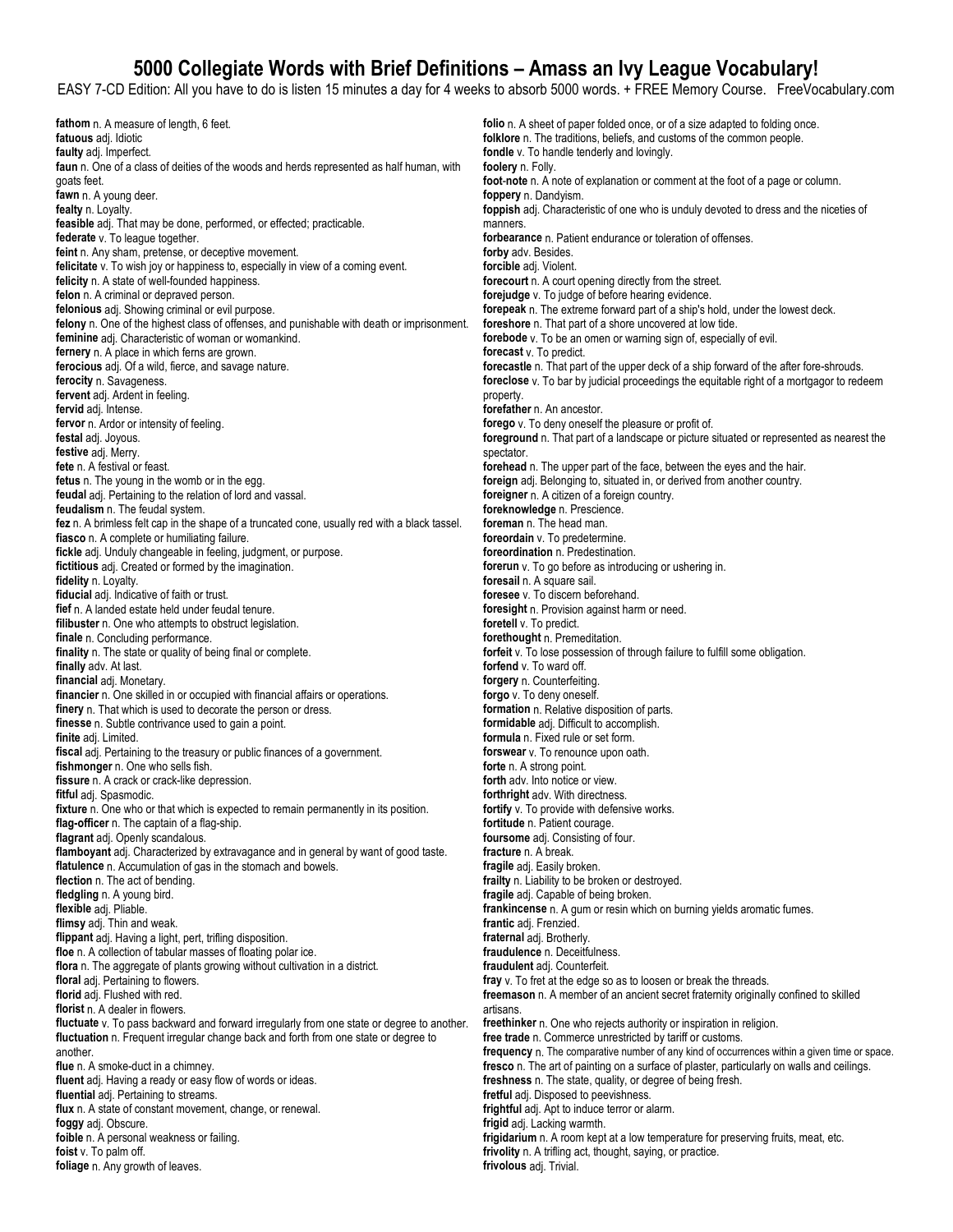EASY 7-CD Edition: All you have to do is listen 15 minutes a day for 4 weeks to absorb 5000 words. + FREE Memory Course. FreeVocabulary.com

fathom n. A measure of length, 6 feet. **fatuous** adj. Idiotic **faulty** adj. Imperfect. **faun** n. One of a class of deities of the woods and herds represented as half human, with goats feet. **fawn** n. A young deer. **fealty** n. Loyalty. **feasible** adj. That may be done, performed, or effected; practicable. **federate** v. To league together. **feint** n. Any sham, pretense, or deceptive movement. **felicitate** v. To wish joy or happiness to, especially in view of a coming event. **felicity** n. A state of well-founded happiness. **felon** n. A criminal or depraved person. felonious adj. Showing criminal or evil purpose. **felony** n. One of the highest class of offenses, and punishable with death or imprisonment. **feminine** adj. Characteristic of woman or womankind. **fernery** n. A place in which ferns are grown. **ferocious** adj. Of a wild, fierce, and savage nature. **ferocity** n. Savageness. **fervent** adj. Ardent in feeling. **fervid** adj. Intense. **fervor** n. Ardor or intensity of feeling. **festal** adj. Joyous. **festive** adj. Merry. **fete** n. A festival or feast. **fetus** n. The young in the womb or in the egg. **feudal** adj. Pertaining to the relation of lord and vassal. **feudalism** n. The feudal system. **fez** n. A brimless felt cap in the shape of a truncated cone, usually red with a black tassel. **fiasco** n. A complete or humiliating failure. **fickle** adj. Unduly changeable in feeling, judgment, or purpose. **fictitious** adj. Created or formed by the imagination. **fidelity** n. Loyalty. **fiducial** adj. Indicative of faith or trust. **fief** n. A landed estate held under feudal tenure. **filibuster** n. One who attempts to obstruct legislation. **finale** n. Concluding performance. **finality** n. The state or quality of being final or complete. **finally** adv. At last. **financial** adj. Monetary. **financier** n. One skilled in or occupied with financial affairs or operations. **finery** n. That which is used to decorate the person or dress. **finesse** n. Subtle contrivance used to gain a point. **finite** adj. Limited. **fiscal** adj. Pertaining to the treasury or public finances of a government. **fishmonger** n. One who sells fish. **fissure** n. A crack or crack-like depression. **fitful** adj. Spasmodic. fixture n. One who or that which is expected to remain permanently in its position. **flag-officer** n. The captain of a flag-ship. **flagrant** adj. Openly scandalous. **flamboyant** adj. Characterized by extravagance and in general by want of good taste. **flatulence** n. Accumulation of gas in the stomach and bowels. **flection** n. The act of bending. **fledgling** n. A young bird. **flexible** adj. Pliable. **flimsy** adj. Thin and weak. **flippant** adj. Having a light, pert, trifling disposition. **floe** n. A collection of tabular masses of floating polar ice. flora n. The aggregate of plants growing without cultivation in a district. **floral** adj. Pertaining to flowers. **florid** adj. Flushed with red. **florist** n. A dealer in flowers. **fluctuate** v. To pass backward and forward irregularly from one state or degree to another. **fluctuation** n. Frequent irregular change back and forth from one state or degree to another. **flue** n. A smoke-duct in a chimney. **fluent** adj. Having a ready or easy flow of words or ideas. **fluential** adj. Pertaining to streams. **flux** n. A state of constant movement, change, or renewal. **foggy** adj. Obscure. **foible** n. A personal weakness or failing. **foist** v. To palm off. **foliage** n. Any growth of leaves.

**folio** n. A sheet of paper folded once, or of a size adapted to folding once. **folklore** n. The traditions, beliefs, and customs of the common people. **fondle** v. To handle tenderly and lovingly. **foolery** n. Folly. **foot**-**note** n. A note of explanation or comment at the foot of a page or column. **foppery** n. Dandyism. **foppish** adj. Characteristic of one who is unduly devoted to dress and the niceties of manners. **forbearance** n. Patient endurance or toleration of offenses. **forby** adv. Besides. **forcible** adj. Violent. **forecourt** n. A court opening directly from the street. **forejudge** v. To judge of before hearing evidence. **forepeak** n. The extreme forward part of a ship's hold, under the lowest deck. **foreshore** n. That part of a shore uncovered at low tide. **forebode** v. To be an omen or warning sign of, especially of evil. **forecast** v. To predict. **forecastle** n. That part of the upper deck of a ship forward of the after fore-shrouds. **foreclose** v. To bar by judicial proceedings the equitable right of a mortgagor to redeem property. **forefather** n. An ancestor. **forego** v. To deny oneself the pleasure or profit of. **foreground** n. That part of a landscape or picture situated or represented as nearest the spectator. **forehead** n. The upper part of the face, between the eyes and the hair. **foreign** adj. Belonging to, situated in, or derived from another country. **foreigner** n. A citizen of a foreign country. **foreknowledge** n. Prescience. **foreman** n. The head man. **foreordain** v. To predetermine. **foreordination** n. Predestination. **forerun** v. To go before as introducing or ushering in. **foresail** n. A square sail. **foresee** v. To discern beforehand. **foresight** n. Provision against harm or need. **foretell** v. To predict. **forethought** n. Premeditation. **forfeit** v. To lose possession of through failure to fulfill some obligation. **forfend** v. To ward off. **forgery** n. Counterfeiting. **forgo** v. To deny oneself. **formation** n. Relative disposition of parts. **formidable** adj. Difficult to accomplish. **formula** n. Fixed rule or set form. **forswear** v. To renounce upon oath. **forte** n. A strong point. **forth** adv. Into notice or view. **forthright** adv. With directness. **fortify** v. To provide with defensive works. **fortitude** n. Patient courage. **foursome** adj. Consisting of four. **fracture** n. A break. **fragile** adj. Easily broken. **frailty** n. Liability to be broken or destroyed. **fragile** adj. Capable of being broken. frankincense n. A gum or resin which on burning yields aromatic fumes. **frantic** adj. Frenzied. **fraternal** adj. Brotherly. **fraudulence** n. Deceitfulness. **fraudulent** adj. Counterfeit. **fray** v. To fret at the edge so as to loosen or break the threads. **freemason** n. A member of an ancient secret fraternity originally confined to skilled artisans. **freethinker** n. One who rejects authority or inspiration in religion. **free trade** n. Commerce unrestricted by tariff or customs. **frequency** n. The comparative number of any kind of occurrences within a given time or space. **fresco** n. The art of painting on a surface of plaster, particularly on walls and ceilings. **freshness** n. The state, quality, or degree of being fresh. **fretful** adj. Disposed to peevishness. **frightful** adj. Apt to induce terror or alarm. **frigid** adj. Lacking warmth. **frigidarium** n. A room kept at a low temperature for preserving fruits, meat, etc. **frivolity** n. A trifling act, thought, saying, or practice. **frivolous** adj. Trivial.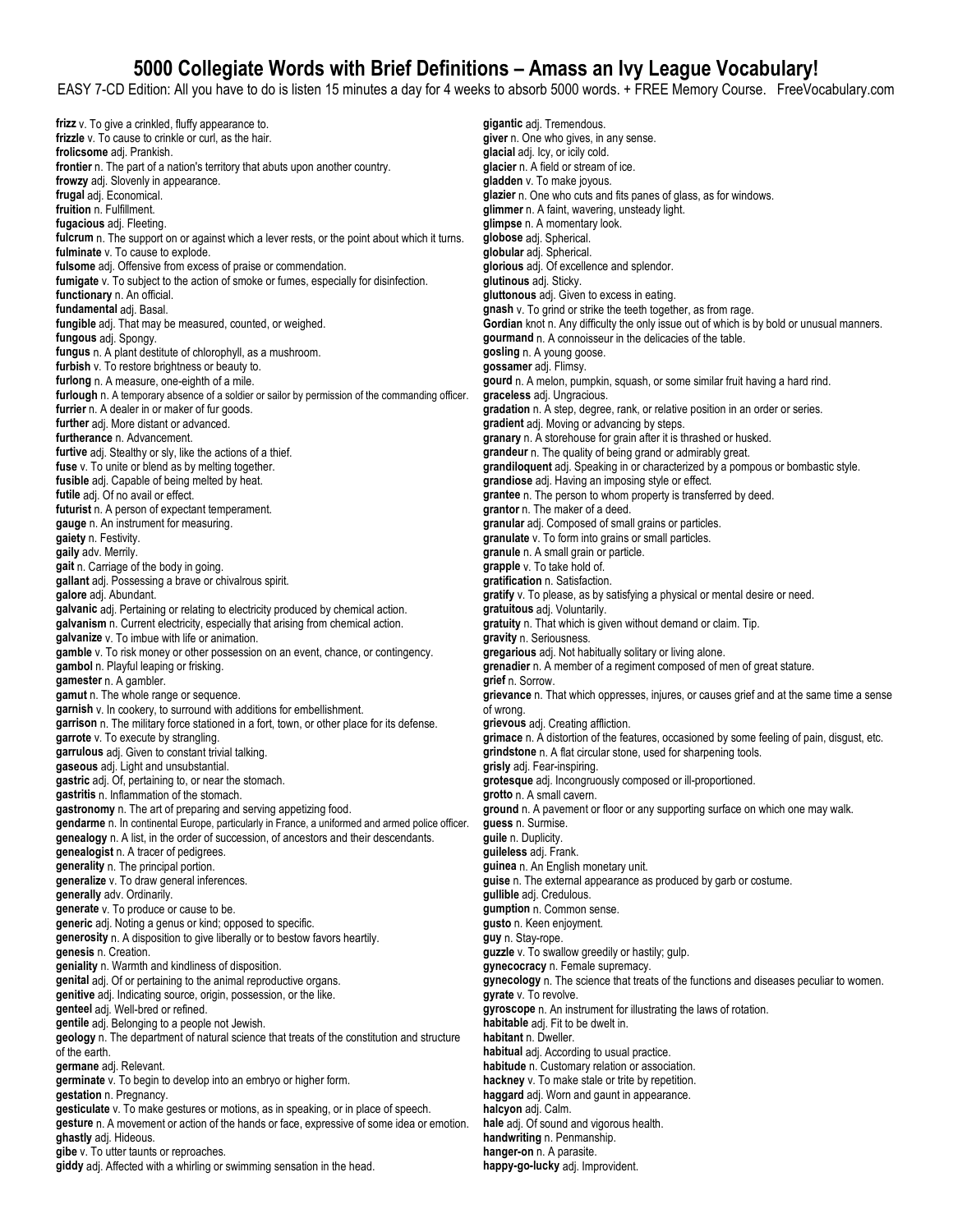EASY 7-CD Edition: All you have to do is listen 15 minutes a day for 4 weeks to absorb 5000 words. + FREE Memory Course. FreeVocabulary.com

**frizz** v. To give a crinkled, fluffy appearance to. **frizzle** v. To cause to crinkle or curl, as the hair. **frolicsome** adj. Prankish. **frontier** n. The part of a nation's territory that abuts upon another country. **frowzy** adj. Slovenly in appearance. **frugal** adj. Economical. **fruition** n. Fulfillment. **fugacious** adj. Fleeting. fulcrum n. The support on or against which a lever rests, or the point about which it turns. **fulminate** v. To cause to explode. **fulsome** adj. Offensive from excess of praise or commendation. **fumigate** v. To subject to the action of smoke or fumes, especially for disinfection. **functionary** n. An official. **fundamental** adj. Basal. **fungible** adj. That may be measured, counted, or weighed. **fungous** adj. Spongy. **fungus** n. A plant destitute of chlorophyll, as a mushroom. **furbish** v. To restore brightness or beauty to. **furlong** n. A measure, one-eighth of a mile. furlough n. A temporary absence of a soldier or sailor by permission of the commanding officer. **furrier** n. A dealer in or maker of fur goods. **further** adj. More distant or advanced. **furtherance** n. Advancement. **furtive** adj. Stealthy or sly, like the actions of a thief. **fuse** v. To unite or blend as by melting together. **fusible** adj. Capable of being melted by heat. **futile** adj. Of no avail or effect. **futurist** n. A person of expectant temperament. **gauge** n. An instrument for measuring. **gaiety** n. Festivity. **gaily** adv. Merrily. **gait** n. Carriage of the body in going. **gallant** adj. Possessing a brave or chivalrous spirit. **galore** adj. Abundant. **galvanic** adj. Pertaining or relating to electricity produced by chemical action. **galvanism** n. Current electricity, especially that arising from chemical action. **galvanize** v. To imbue with life or animation. **gamble** v. To risk money or other possession on an event, chance, or contingency. **gambol** n. Playful leaping or frisking. **gamester** n. A gambler. **gamut** n. The whole range or sequence. **garnish** v. In cookery, to surround with additions for embellishment. **garrison** n. The military force stationed in a fort, town, or other place for its defense. **garrote** v. To execute by strangling. **garrulous** adj. Given to constant trivial talking. **gaseous** adj. Light and unsubstantial. **gastric** adj. Of, pertaining to, or near the stomach. **gastritis** n. Inflammation of the stomach. **gastronomy** n. The art of preparing and serving appetizing food. **gendarme** n. In continental Europe, particularly in France, a uniformed and armed police officer. **genealogy** n. A list, in the order of succession, of ancestors and their descendants. **genealogist** n. A tracer of pedigrees. **generality** n. The principal portion. **generalize** v. To draw general inferences. **generally** adv. Ordinarily. **generate** v. To produce or cause to be. **generic** adj. Noting a genus or kind; opposed to specific. **generosity** n. A disposition to give liberally or to bestow favors heartily. **genesis** n. Creation. **geniality** n. Warmth and kindliness of disposition. **genital** adj. Of or pertaining to the animal reproductive organs. **genitive** adj. Indicating source, origin, possession, or the like. **genteel** adj. Well-bred or refined. **gentile** adj. Belonging to a people not Jewish. **geology** n. The department of natural science that treats of the constitution and structure of the earth. **germane** adj. Relevant. **germinate** v. To begin to develop into an embryo or higher form. **gestation** n. Pregnancy. **gesticulate** v. To make gestures or motions, as in speaking, or in place of speech. **gesture** n. A movement or action of the hands or face, expressive of some idea or emotion. **ghastly** adj. Hideous. **gibe** v. To utter taunts or reproaches. **giddy** adj. Affected with a whirling or swimming sensation in the head.

**gigantic** adj. Tremendous. **giver** n. One who gives, in any sense. **glacial** adj. Icy, or icily cold. **glacier** n. A field or stream of ice. **gladden** v. To make joyous. **glazier** n. One who cuts and fits panes of glass, as for windows. **glimmer** n. A faint, wavering, unsteady light. **glimpse** n. A momentary look. **globose** adj. Spherical. **globular** adj. Spherical. **glorious** adj. Of excellence and splendor. **glutinous** adj. Sticky. **gluttonous** adj. Given to excess in eating. **gnash** v. To grind or strike the teeth together, as from rage. **Gordian** knot n. Any difficulty the only issue out of which is by bold or unusual manners. **gourmand** n. A connoisseur in the delicacies of the table. **gosling** n. A young goose. **gossamer** adj. Flimsy. **gourd** n. A melon, pumpkin, squash, or some similar fruit having a hard rind. **graceless** adj. Ungracious. **gradation** n. A step, degree, rank, or relative position in an order or series. **gradient** adj. Moving or advancing by steps. **granary** n. A storehouse for grain after it is thrashed or husked. **grandeur** n. The quality of being grand or admirably great. **grandiloquent** adj. Speaking in or characterized by a pompous or bombastic style. **grandiose** adj. Having an imposing style or effect. **grantee** n. The person to whom property is transferred by deed. **grantor** n. The maker of a deed. **granular** adj. Composed of small grains or particles. **granulate** v. To form into grains or small particles. **granule** n. A small grain or particle. **grapple** v. To take hold of. **gratification** n. Satisfaction. **gratify** v. To please, as by satisfying a physical or mental desire or need. **gratuitous** adj. Voluntarily. **gratuity** n. That which is given without demand or claim. Tip. **gravity** n. Seriousness. **gregarious** adj. Not habitually solitary or living alone. **grenadier** n. A member of a regiment composed of men of great stature. **grief** n. Sorrow. **grievance** n. That which oppresses, injures, or causes grief and at the same time a sense of wrong. **grievous** adj. Creating affliction. **grimace** n. A distortion of the features, occasioned by some feeling of pain, disgust, etc. **grindstone** n. A flat circular stone, used for sharpening tools. **grisly** adj. Fear-inspiring. **grotesque** adj. Incongruously composed or ill-proportioned. **grotto** n. A small cavern. **ground** n. A pavement or floor or any supporting surface on which one may walk. **guess** n. Surmise. **guile** n. Duplicity. **guileless** adj. Frank. **guinea** n. An English monetary unit. **guise** n. The external appearance as produced by garb or costume. **gullible** adj. Credulous. **gumption** n. Common sense. **gusto** n. Keen enjoyment. **guy** n. Stay-rope. **guzzle** v. To swallow greedily or hastily; gulp. **gynecocracy** n. Female supremacy. **gynecology** n. The science that treats of the functions and diseases peculiar to women. **gyrate** v. To revolve. **gyroscope** n. An instrument for illustrating the laws of rotation. **habitable** adj. Fit to be dwelt in. **habitant** n. Dweller. **habitual** adj. According to usual practice. **habitude** n. Customary relation or association. **hackney** v. To make stale or trite by repetition. **haggard** adj. Worn and gaunt in appearance. **halcyon** adj. Calm. **hale** adj. Of sound and vigorous health. **handwriting** n. Penmanship. **hanger-on** n. A parasite. **happy-go-lucky** adj. Improvident.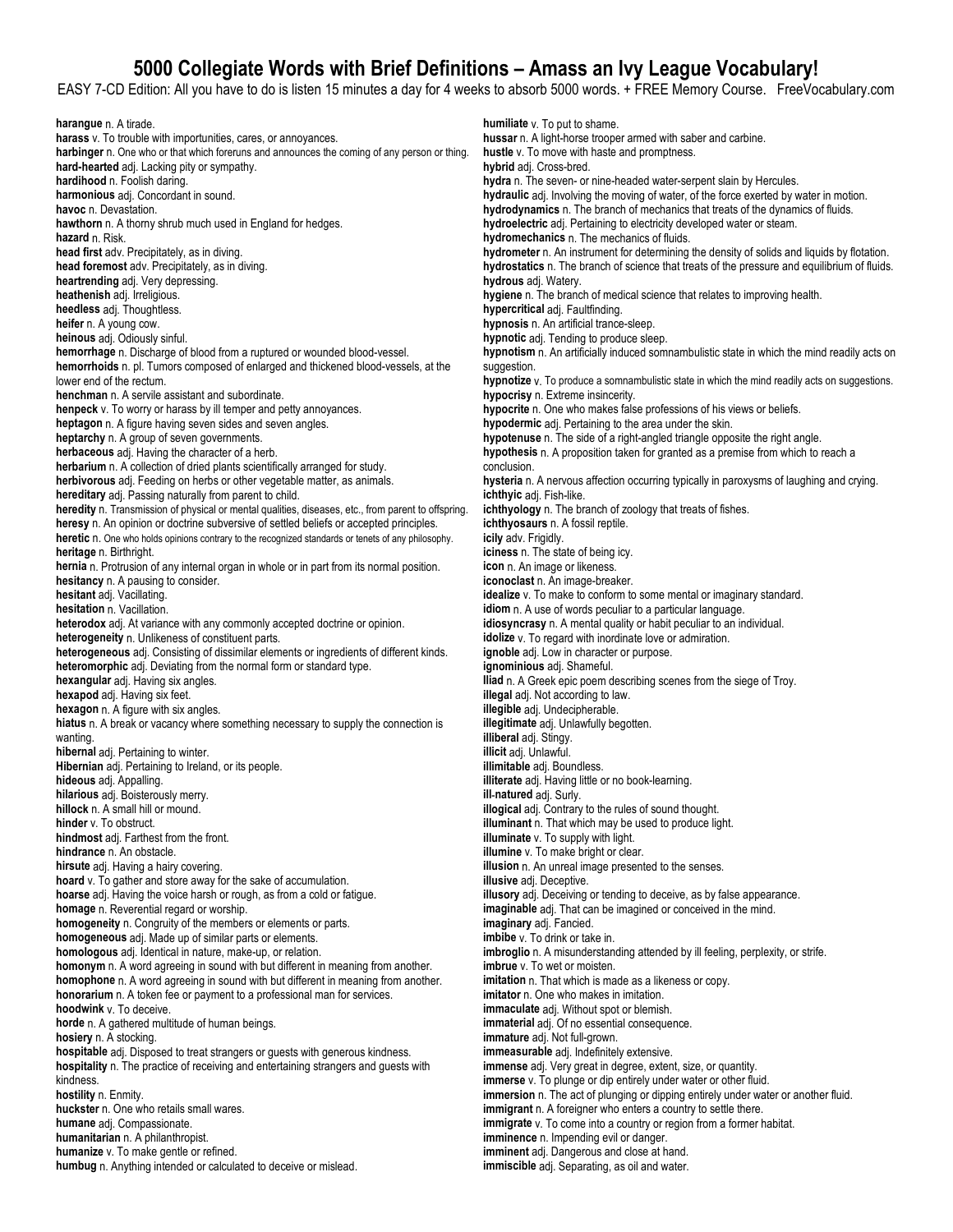EASY 7-CD Edition: All you have to do is listen 15 minutes a day for 4 weeks to absorb 5000 words. + FREE Memory Course. FreeVocabulary.com

**harangue** n. A tirade. **harass** v. To trouble with importunities, cares, or annoyances. **harbinger** n. One who or that which foreruns and announces the coming of any person or thing. **hard-hearted** adj. Lacking pity or sympathy. **hardihood** n. Foolish daring. **harmonious** adj. Concordant in sound. **havoc** n. Devastation. **hawthorn** n. A thorny shrub much used in England for hedges. **hazard** n. Risk. **head first** adv. Precipitately, as in diving. **head foremost** adv. Precipitately, as in diving. **heartrending** adj. Very depressing. **heathenish** adj. Irreligious. **heedless** adj. Thoughtless. **heifer** n. A young cow. **heinous** adj. Odiously sinful. **hemorrhage** n. Discharge of blood from a ruptured or wounded blood-vessel. **hemorrhoids** n. pl. Tumors composed of enlarged and thickened blood-vessels, at the lower end of the rectum. **henchman** n. A servile assistant and subordinate. **henpeck** v. To worry or harass by ill temper and petty annoyances. **heptagon** n. A figure having seven sides and seven angles. **heptarchy** n. A group of seven governments. **herbaceous** adj. Having the character of a herb. **herbarium** n. A collection of dried plants scientifically arranged for study. **herbivorous** adj. Feeding on herbs or other vegetable matter, as animals. **hereditary** adj. Passing naturally from parent to child. **heredity** n. Transmission of physical or mental qualities, diseases, etc., from parent to offspring. **heresy** n. An opinion or doctrine subversive of settled beliefs or accepted principles. **heretic** n. One who holds opinions contrary to the recognized standards or tenets of any philosophy. **heritage** n. Birthright. **hernia** n. Protrusion of any internal organ in whole or in part from its normal position. **hesitancy** n. A pausing to consider. **hesitant** adj. Vacillating. **hesitation** n. Vacillation. **heterodox** adj. At variance with any commonly accepted doctrine or opinion. **heterogeneity** n. Unlikeness of constituent parts. **heterogeneous** adj. Consisting of dissimilar elements or ingredients of different kinds. **heteromorphic** adj. Deviating from the normal form or standard type. **hexangular** adj. Having six angles. **hexapod** adj. Having six feet. **hexagon** n. A figure with six angles. **hiatus** n. A break or vacancy where something necessary to supply the connection is wanting. **hibernal** adj. Pertaining to winter. **Hibernian** adj. Pertaining to Ireland, or its people. **hideous** adj. Appalling. **hilarious** adj. Boisterously merry. **hillock** n. A small hill or mound. **hinder** v. To obstruct. **hindmost** adj. Farthest from the front. **hindrance** n. An obstacle. **hirsute** adj. Having a hairy covering. **hoard** v. To gather and store away for the sake of accumulation. **hoarse** adj. Having the voice harsh or rough, as from a cold or fatigue. **homage** n. Reverential regard or worship. **homogeneity** n. Congruity of the members or elements or parts. **homogeneous** adj. Made up of similar parts or elements. **homologous** adj. Identical in nature, make-up, or relation. **homonym** n. A word agreeing in sound with but different in meaning from another. **homophone** n. A word agreeing in sound with but different in meaning from another. **honorarium** n. A token fee or payment to a professional man for services. **hoodwink** v. To deceive. **horde** n. A gathered multitude of human beings. **hosiery** n. A stocking. **hospitable** adj. Disposed to treat strangers or guests with generous kindness. **hospitality** n. The practice of receiving and entertaining strangers and guests with kindness. **hostility** n. Enmity. **huckster** n. One who retails small wares. **humane** adj. Compassionate. **humanitarian** n. A philanthropist. **humanize** v. To make gentle or refined. **humbug** n. Anything intended or calculated to deceive or mislead.

**humiliate** v. To put to shame. **hussar** n. A light-horse trooper armed with saber and carbine. **hustle** v. To move with haste and promptness. **hybrid** adj. Cross-bred. **hydra** n. The seven- or nine-headed water-serpent slain by Hercules. **hydraulic** adj. Involving the moving of water, of the force exerted by water in motion. **hydrodynamics** n. The branch of mechanics that treats of the dynamics of fluids. **hydroelectric** adj. Pertaining to electricity developed water or steam. **hydromechanics** n. The mechanics of fluids. **hydrometer** n. An instrument for determining the density of solids and liquids by flotation. **hydrostatics** n. The branch of science that treats of the pressure and equilibrium of fluids. **hydrous** adj. Watery. **hygiene** n. The branch of medical science that relates to improving health. **hypercritical** adj. Faultfinding. **hypnosis** n. An artificial trance-sleep. **hypnotic** adj. Tending to produce sleep. **hypnotism** n. An artificially induced somnambulistic state in which the mind readily acts on suggestion. **hypnotize** v. To produce a somnambulistic state in which the mind readily acts on suggestions. **hypocrisy** n. Extreme insincerity. **hypocrite** n. One who makes false professions of his views or beliefs. **hypodermic** adj. Pertaining to the area under the skin. **hypotenuse** n. The side of a right-angled triangle opposite the right angle. **hypothesis** n. A proposition taken for granted as a premise from which to reach a conclusion. **hysteria** n. A nervous affection occurring typically in paroxysms of laughing and crying. **ichthyic** adj. Fish-like. **ichthyology** n. The branch of zoology that treats of fishes. **ichthyosaurs** n. A fossil reptile. **icily** adv. Frigidly. **iciness** n. The state of being icy. **icon** n. An image or likeness. **iconoclast** n. An image-breaker. **idealize** v. To make to conform to some mental or imaginary standard. **idiom** n. A use of words peculiar to a particular language. **idiosyncrasy** n. A mental quality or habit peculiar to an individual. **idolize** v. To regard with inordinate love or admiration. **ignoble** adj. Low in character or purpose. **ignominious** adj. Shameful. **Iliad** n. A Greek epic poem describing scenes from the siege of Troy. **illegal** adj. Not according to law. **illegible** adj. Undecipherable. **illegitimate** adj. Unlawfully begotten. **illiberal** adj. Stingy. **illicit** adj. Unlawful. **illimitable** adj. Boundless. **illiterate** adj. Having little or no book-learning. **ill**-**natured** adj. Surly. **illogical** adj. Contrary to the rules of sound thought. **illuminant** n. That which may be used to produce light. **illuminate** v. To supply with light. **illumine** v. To make bright or clear. **illusion** n. An unreal image presented to the senses. **illusive** adj. Deceptive. **illusory** adj. Deceiving or tending to deceive, as by false appearance. **imaginable** adj. That can be imagined or conceived in the mind. **imaginary** adj. Fancied. **imbibe** v. To drink or take in. **imbroglio** n. A misunderstanding attended by ill feeling, perplexity, or strife. **imbrue** v. To wet or moisten. **imitation** n. That which is made as a likeness or copy. **imitator** n. One who makes in imitation. **immaculate** adj. Without spot or blemish. **immaterial** adj. Of no essential consequence. **immature** adj. Not full-grown. **immeasurable** adj. Indefinitely extensive. **immense** adj. Very great in degree, extent, size, or quantity. **immerse** v. To plunge or dip entirely under water or other fluid. **immersion** n. The act of plunging or dipping entirely under water or another fluid. **immigrant** n. A foreigner who enters a country to settle there. **immigrate** v. To come into a country or region from a former habitat. **imminence** n. Impending evil or danger. **imminent** adj. Dangerous and close at hand. **immiscible** adj. Separating, as oil and water.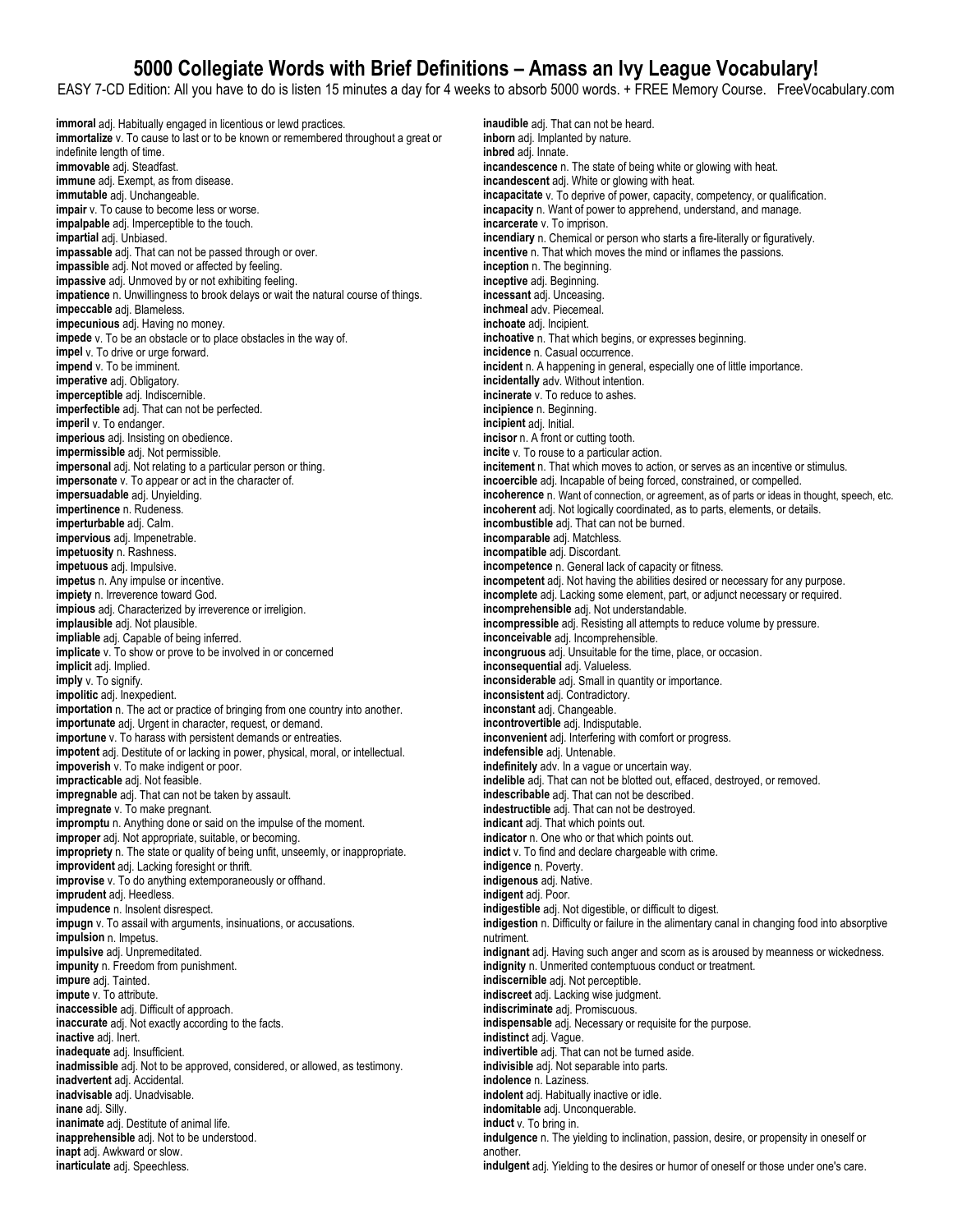EASY 7-CD Edition: All you have to do is listen 15 minutes a day for 4 weeks to absorb 5000 words. + FREE Memory Course. FreeVocabulary.com

**immoral** adj. Habitually engaged in licentious or lewd practices. **immortalize** v. To cause to last or to be known or remembered throughout a great or indefinite length of time. **immovable** adj. Steadfast. **immune** adj. Exempt, as from disease. **immutable** adj. Unchangeable. **impair** v. To cause to become less or worse. **impalpable** adj. Imperceptible to the touch. **impartial** adj. Unbiased. **impassable** adj. That can not be passed through or over. **impassible** adj. Not moved or affected by feeling. **impassive** adj. Unmoved by or not exhibiting feeling. **impatience** n. Unwillingness to brook delays or wait the natural course of things. **impeccable** adj. Blameless. **impecunious** adj. Having no money. **impede** v. To be an obstacle or to place obstacles in the way of. **impel** v. To drive or urge forward. **impend** v. To be imminent. **imperative** adj. Obligatory. **imperceptible** adj. Indiscernible. **imperfectible** adj. That can not be perfected. **imperil** v. To endanger. **imperious** adj. Insisting on obedience. **impermissible** adj. Not permissible. **impersonal** adj. Not relating to a particular person or thing. **impersonate** v. To appear or act in the character of. **impersuadable** adj. Unyielding. **impertinence** n. Rudeness. **imperturbable** adj. Calm. **impervious** adj. Impenetrable. **impetuosity** n. Rashness. **impetuous** adj. Impulsive. **impetus** n. Any impulse or incentive. **impiety** n. Irreverence toward God. **impious** adj. Characterized by irreverence or irreligion. **implausible** adj. Not plausible. **impliable** adj. Capable of being inferred. **implicate** v. To show or prove to be involved in or concerned **implicit** adj. Implied. **imply** v. To signify. **impolitic** adj. Inexpedient. **importation** n. The act or practice of bringing from one country into another. **importunate** adj. Urgent in character, request, or demand. **importune** v. To harass with persistent demands or entreaties. **impotent** adj. Destitute of or lacking in power, physical, moral, or intellectual. **impoverish** v. To make indigent or poor. **impracticable** adj. Not feasible. **impregnable** adj. That can not be taken by assault. **impregnate** v. To make pregnant. **impromptu** n. Anything done or said on the impulse of the moment. **improper** adj. Not appropriate, suitable, or becoming. **impropriety** n. The state or quality of being unfit, unseemly, or inappropriate. **improvident** adj. Lacking foresight or thrift. **improvise** v. To do anything extemporaneously or offhand. **imprudent** adj. Heedless. **impudence** n. Insolent disrespect. **impugn** v. To assail with arguments, insinuations, or accusations. **impulsion** n. Impetus. **impulsive** adj. Unpremeditated. **impunity** n. Freedom from punishment. **impure** adj. Tainted. **impute** v. To attribute. **inaccessible** adj. Difficult of approach. **inaccurate** adj. Not exactly according to the facts. **inactive** adj. Inert. **inadequate** adj. Insufficient. **inadmissible** adj. Not to be approved, considered, or allowed, as testimony. **inadvertent** adj. Accidental. **inadvisable** adj. Unadvisable. **inane** adj. Silly. **inanimate** adj. Destitute of animal life. **inapprehensible** adj. Not to be understood. **inapt** adj. Awkward or slow. **inarticulate** adj. Speechless.

**inaudible** adj. That can not be heard. **inborn** adj. Implanted by nature. **inbred** adj. Innate. **incandescence** n. The state of being white or glowing with heat. **incandescent** adj. White or glowing with heat. **incapacitate** v. To deprive of power, capacity, competency, or qualification. **incapacity** n. Want of power to apprehend, understand, and manage. **incarcerate** v. To imprison. **incendiary** n. Chemical or person who starts a fire-literally or figuratively. **incentive** n. That which moves the mind or inflames the passions. **inception** n. The beginning. **inceptive** adj. Beginning. **incessant** adj. Unceasing. **inchmeal** adv. Piecemeal. **inchoate** adj. Incipient. **inchoative** n. That which begins, or expresses beginning. **incidence** n. Casual occurrence. **incident** n. A happening in general, especially one of little importance. **incidentally** adv. Without intention. **incinerate** v. To reduce to ashes. **incipience** n. Beginning. **incipient** adj. Initial. **incisor** n. A front or cutting tooth. **incite** v. To rouse to a particular action. **incitement** n. That which moves to action, or serves as an incentive or stimulus. **incoercible** adj. Incapable of being forced, constrained, or compelled. **incoherence** n. Want of connection, or agreement, as of parts or ideas in thought, speech, etc. **incoherent** adj. Not logically coordinated, as to parts, elements, or details. **incombustible** adj. That can not be burned. **incomparable** adj. Matchless. **incompatible** adj. Discordant. **incompetence** n. General lack of capacity or fitness. **incompetent** adj. Not having the abilities desired or necessary for any purpose. **incomplete** adj. Lacking some element, part, or adjunct necessary or required. **incomprehensible** adj. Not understandable. **incompressible** adj. Resisting all attempts to reduce volume by pressure. **inconceivable** adj. Incomprehensible. **incongruous** adj. Unsuitable for the time, place, or occasion. **inconsequential** adj. Valueless. **inconsiderable** adj. Small in quantity or importance. **inconsistent** adj. Contradictory. **inconstant** adj. Changeable. **incontrovertible** adj. Indisputable. **inconvenient** adj. Interfering with comfort or progress. **indefensible** adj. Untenable. **indefinitely** adv. In a vague or uncertain way. **indelible** adj. That can not be blotted out, effaced, destroyed, or removed. **indescribable** adj. That can not be described. **indestructible** adj. That can not be destroyed. **indicant** adj. That which points out. **indicator** n. One who or that which points out. **indict** v. To find and declare chargeable with crime. **indigence** n. Poverty. **indigenous** adj. Native. **indigent** adj. Poor. **indigestible** adj. Not digestible, or difficult to digest. **indigestion** n. Difficulty or failure in the alimentary canal in changing food into absorptive nutriment. **indignant** adj. Having such anger and scorn as is aroused by meanness or wickedness. **indignity** n. Unmerited contemptuous conduct or treatment. **indiscernible** adj. Not perceptible. **indiscreet** adj. Lacking wise judgment. **indiscriminate** adj. Promiscuous. **indispensable** adj. Necessary or requisite for the purpose. **indistinct** adj. Vague. **indivertible** adj. That can not be turned aside. **indivisible** adj. Not separable into parts. **indolence** n. Laziness. **indolent** adj. Habitually inactive or idle. **indomitable** adj. Unconquerable. **induct** v. To bring in. **indulgence** n. The yielding to inclination, passion, desire, or propensity in oneself or another. **indulgent** adj. Yielding to the desires or humor of oneself or those under one's care.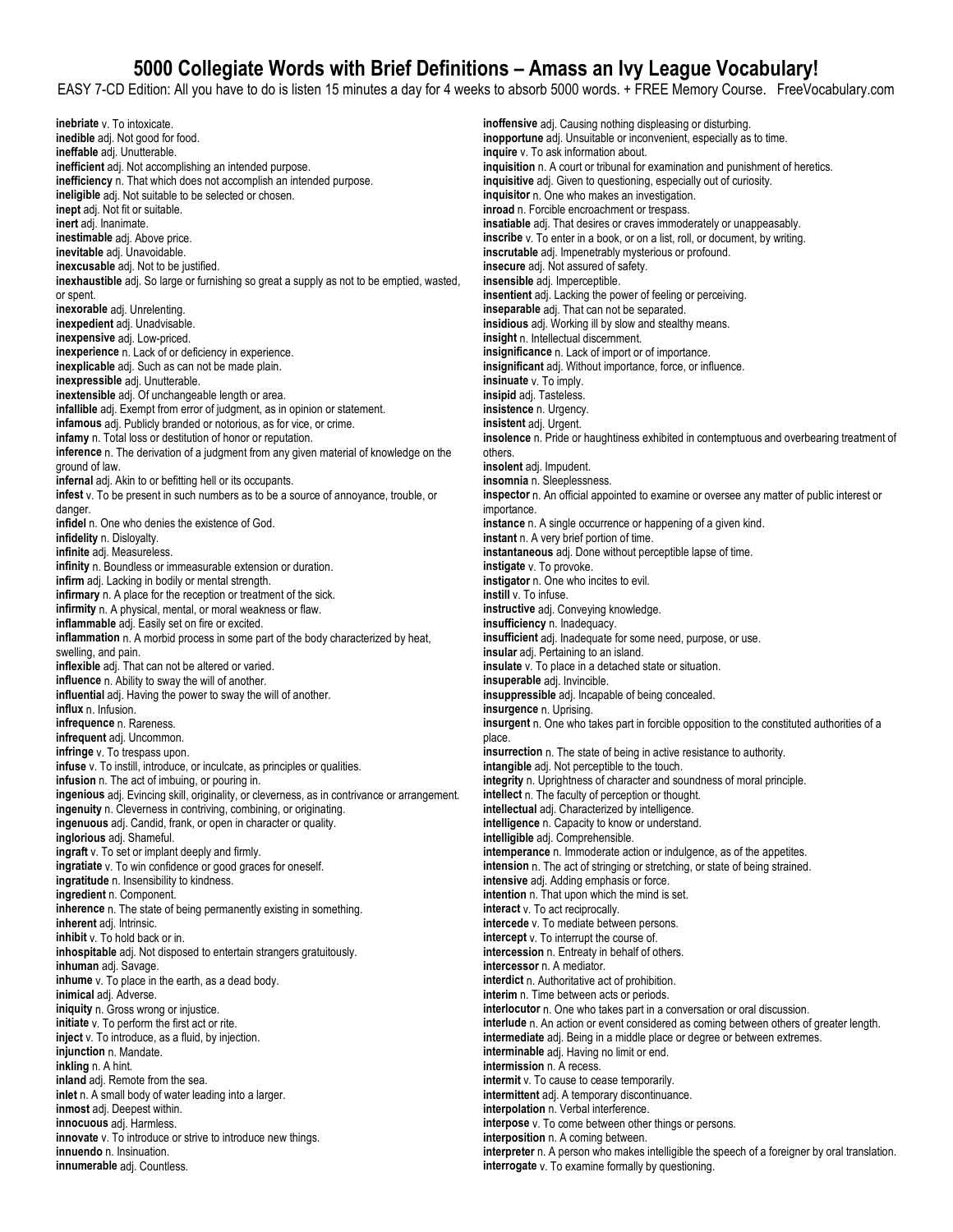EASY 7-CD Edition: All you have to do is listen 15 minutes a day for 4 weeks to absorb 5000 words. + FREE Memory Course. FreeVocabulary.com

**inebriate** v. To intoxicate. **inedible** adj. Not good for food. **ineffable** adj. Unutterable. **inefficient** adj. Not accomplishing an intended purpose. **inefficiency** n. That which does not accomplish an intended purpose. **ineligible** adj. Not suitable to be selected or chosen. **inept** adj. Not fit or suitable. **inert** adj. Inanimate. **inestimable** adj. Above price. **inevitable** adj. Unavoidable. **inexcusable** adj. Not to be justified. **inexhaustible** adj. So large or furnishing so great a supply as not to be emptied, wasted, or spent. **inexorable** adj. Unrelenting. **inexpedient** adj. Unadvisable. **inexpensive** adj. Low-priced. **inexperience** n. Lack of or deficiency in experience. **inexplicable** adj. Such as can not be made plain. **inexpressible** adj. Unutterable. **inextensible** adj. Of unchangeable length or area. **infallible** adj. Exempt from error of judgment, as in opinion or statement. **infamous** adj. Publicly branded or notorious, as for vice, or crime. **infamy** n. Total loss or destitution of honor or reputation. **inference** n. The derivation of a judgment from any given material of knowledge on the ground of law. **infernal** adj. Akin to or befitting hell or its occupants. **infest** v. To be present in such numbers as to be a source of annoyance, trouble, or danger. **infidel** n. One who denies the existence of God. **infidelity** n. Disloyalty. **infinite** adj. Measureless. **infinity** n. Boundless or immeasurable extension or duration. **infirm** adj. Lacking in bodily or mental strength. **infirmary** n. A place for the reception or treatment of the sick. **infirmity** n. A physical, mental, or moral weakness or flaw. **inflammable** adj. Easily set on fire or excited. **inflammation** n. A morbid process in some part of the body characterized by heat, swelling, and pain. **inflexible** adj. That can not be altered or varied. **influence** n. Ability to sway the will of another. **influential** adj. Having the power to sway the will of another. **influx** n. Infusion. **infrequence** n. Rareness. **infrequent** adj. Uncommon. **infringe** v. To trespass upon. **infuse** v. To instill, introduce, or inculcate, as principles or qualities. **infusion** n. The act of imbuing, or pouring in. **ingenious** adj. Evincing skill, originality, or cleverness, as in contrivance or arrangement. **ingenuity** n. Cleverness in contriving, combining, or originating. **ingenuous** adj. Candid, frank, or open in character or quality. **inglorious** adj. Shameful. **ingraft** v. To set or implant deeply and firmly. **ingratiate** v. To win confidence or good graces for oneself. **ingratitude** n. Insensibility to kindness. **ingredient** n. Component. **inherence** n. The state of being permanently existing in something. **inherent** adj. Intrinsic. **inhibit** v. To hold back or in. **inhospitable** adj. Not disposed to entertain strangers gratuitously. **inhuman** adj. Savage. **inhume** v. To place in the earth, as a dead body. **inimical** adj. Adverse. **iniquity** n. Gross wrong or injustice. **initiate** v. To perform the first act or rite. **inject** v. To introduce, as a fluid, by injection. **injunction** n. Mandate. **inkling** n. A hint. **inland** adj. Remote from the sea. **inlet** n. A small body of water leading into a larger. **inmost** adj. Deepest within. **innocuous** adj. Harmless. **innovate** v. To introduce or strive to introduce new things. **innuendo** n. Insinuation. **innumerable** adj. Countless.

**inoffensive** adj. Causing nothing displeasing or disturbing. **inopportune** adj. Unsuitable or inconvenient, especially as to time. **inquire** v. To ask information about. **inquisition** n. A court or tribunal for examination and punishment of heretics. **inquisitive** adj. Given to questioning, especially out of curiosity. **inquisitor** n. One who makes an investigation. **inroad** n. Forcible encroachment or trespass. **insatiable** adj. That desires or craves immoderately or unappeasably. **inscribe** v. To enter in a book, or on a list, roll, or document, by writing. **inscrutable** adj. Impenetrably mysterious or profound. **insecure** adj. Not assured of safety. **insensible** adj. Imperceptible. **insentient** adj. Lacking the power of feeling or perceiving. **inseparable** adj. That can not be separated. **insidious** adj. Working ill by slow and stealthy means. **insight** n. Intellectual discernment. **insignificance** n. Lack of import or of importance. **insignificant** adj. Without importance, force, or influence. **insinuate** v. To imply. **insipid** adj. Tasteless. **insistence** n. Urgency. **insistent** adj. Urgent. **insolence** n. Pride or haughtiness exhibited in contemptuous and overbearing treatment of others. **insolent** adj. Impudent. **insomnia** n. Sleeplessness. **inspector** n. An official appointed to examine or oversee any matter of public interest or importance. **instance** n. A single occurrence or happening of a given kind. **instant** n. A very brief portion of time. **instantaneous** adj. Done without perceptible lapse of time. **instigate** v. To provoke. **instigator** n. One who incites to evil. **instill** v. To infuse. **instructive** adj. Conveying knowledge. **insufficiency** n. Inadequacy. **insufficient** adj. Inadequate for some need, purpose, or use. **insular** adj. Pertaining to an island. **insulate** v. To place in a detached state or situation. **insuperable** adj. Invincible. **insuppressible** adj. Incapable of being concealed. **insurgence** n. Uprising. **insurgent** n. One who takes part in forcible opposition to the constituted authorities of a place. **insurrection** n. The state of being in active resistance to authority. **intangible** adj. Not perceptible to the touch. **integrity** n. Uprightness of character and soundness of moral principle. **intellect** n. The faculty of perception or thought. **intellectual** adj. Characterized by intelligence. **intelligence** n. Capacity to know or understand. **intelligible** adj. Comprehensible. **intemperance** n. Immoderate action or indulgence, as of the appetites. **intension** n. The act of stringing or stretching, or state of being strained. **intensive** adj. Adding emphasis or force. **intention** n. That upon which the mind is set. **interact** v. To act reciprocally. **intercede** v. To mediate between persons. **intercept** v. To interrupt the course of. **intercession** n. Entreaty in behalf of others. **intercessor** n. A mediator. **interdict** n. Authoritative act of prohibition. **interim** n. Time between acts or periods. **interlocutor** n. One who takes part in a conversation or oral discussion. **interlude** n. An action or event considered as coming between others of greater length. **intermediate** adj. Being in a middle place or degree or between extremes. **interminable** adj. Having no limit or end. **intermission** n. A recess. **intermit** v. To cause to cease temporarily. **intermittent** adj. A temporary discontinuance. **interpolation** n. Verbal interference. **interpose** v. To come between other things or persons. **interposition** n. A coming between. **interpreter** n. A person who makes intelligible the speech of a foreigner by oral translation. **interrogate** v. To examine formally by questioning.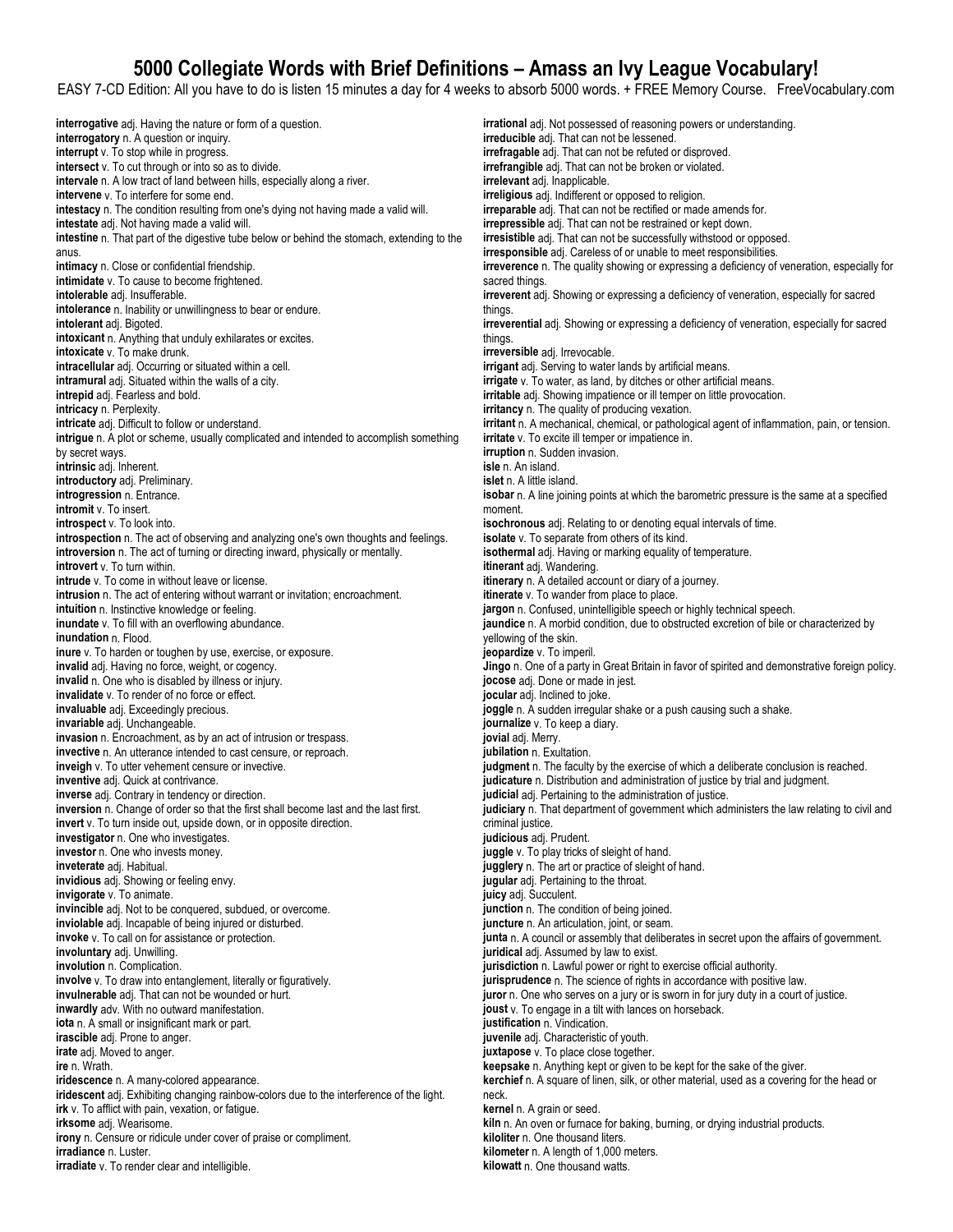EASY 7-CD Edition: All you have to do is listen 15 minutes a day for 4 weeks to absorb 5000 words. + FREE Memory Course. FreeVocabulary.com

**interrogative** adj. Having the nature or form of a question. **interrogatory** n. A question or inquiry. **interrupt** v. To stop while in progress. **intersect** v. To cut through or into so as to divide. **intervale** n. A low tract of land between hills, especially along a river. **intervene** v. To interfere for some end. **intestacy** n. The condition resulting from one's dying not having made a valid will. **intestate** adj. Not having made a valid will. **intestine** n. That part of the digestive tube below or behind the stomach, extending to the anus. **intimacy** n. Close or confidential friendship. **intimidate** v. To cause to become frightened. **intolerable** adj. Insufferable. **intolerance** n. Inability or unwillingness to bear or endure. **intolerant** adj. Bigoted. **intoxicant** n. Anything that unduly exhilarates or excites. **intoxicate** v. To make drunk. **intracellular** adj. Occurring or situated within a cell. **intramural** adj. Situated within the walls of a city. **intrepid** adj. Fearless and bold. **intricacy** n. Perplexity. **intricate** adj. Difficult to follow or understand. **intrigue** n. A plot or scheme, usually complicated and intended to accomplish something by secret ways. **intrinsic** adj. Inherent. **introductory** adj. Preliminary. **introgression** n. Entrance. **intromit** v. To insert. **introspect** v. To look into. **introspection** n. The act of observing and analyzing one's own thoughts and feelings. **introversion** n. The act of turning or directing inward, physically or mentally. **introvert** v. To turn within. **intrude** v. To come in without leave or license. **intrusion** n. The act of entering without warrant or invitation; encroachment. **intuition** n. Instinctive knowledge or feeling. **inundate** v. To fill with an overflowing abundance. **inundation** n. Flood. **inure** v. To harden or toughen by use, exercise, or exposure. **invalid** adj. Having no force, weight, or cogency. **invalid** n. One who is disabled by illness or injury. **invalidate** v. To render of no force or effect. **invaluable** adj. Exceedingly precious. **invariable** adj. Unchangeable. **invasion** n. Encroachment, as by an act of intrusion or trespass. **invective** n. An utterance intended to cast censure, or reproach. **inveigh** v. To utter vehement censure or invective. **inventive** adj. Quick at contrivance. **inverse** adj. Contrary in tendency or direction. **inversion** n. Change of order so that the first shall become last and the last first. **invert** v. To turn inside out, upside down, or in opposite direction. **investigator** n. One who investigates. **investor** n. One who invests money. **inveterate** adj. Habitual. **invidious** adj. Showing or feeling envy. **invigorate** v. To animate. **invincible** adj. Not to be conquered, subdued, or overcome. **inviolable** adj. Incapable of being injured or disturbed. **invoke** v. To call on for assistance or protection. **involuntary** adj. Unwilling. **involution** n. Complication. **involve** v. To draw into entanglement, literally or figuratively. **invulnerable** adj. That can not be wounded or hurt. **inwardly** adv. With no outward manifestation. **iota** n. A small or insignificant mark or part. **irascible** adj. Prone to anger. **irate** adj. Moved to anger. **ire** n. Wrath. **iridescence** n. A many-colored appearance. **iridescent** adj. Exhibiting changing rainbow-colors due to the interference of the light. **irk** v. To afflict with pain, vexation, or fatigue. **irksome** adj. Wearisome. **irony** n. Censure or ridicule under cover of praise or compliment. **irradiance** n. Luster. **irradiate** v. To render clear and intelligible. sacred things. things. things. **isle** n. An island. moment. **jovial** adj. Merry. criminal justice. neck.

**irrational** adj. Not possessed of reasoning powers or understanding. **irreducible** adj. That can not be lessened. **irrefragable** adj. That can not be refuted or disproved. **irrefrangible** adj. That can not be broken or violated. **irrelevant** adj. Inapplicable. **irreligious** adj. Indifferent or opposed to religion. **irreparable** adj. That can not be rectified or made amends for. **irrepressible** adj. That can not be restrained or kept down. **irresistible** adj. That can not be successfully withstood or opposed. **irresponsible** adj. Careless of or unable to meet responsibilities. **irreverence** n. The quality showing or expressing a deficiency of veneration, especially for **irreverent** adj. Showing or expressing a deficiency of veneration, especially for sacred **irreverential** adj. Showing or expressing a deficiency of veneration, especially for sacred **irreversible** adj. Irrevocable. **irrigant** adj. Serving to water lands by artificial means. **irrigate** v. To water, as land, by ditches or other artificial means. **irritable** adj. Showing impatience or ill temper on little provocation. **irritancy** n. The quality of producing vexation. **irritant** n. A mechanical, chemical, or pathological agent of inflammation, pain, or tension. **irritate** v. To excite ill temper or impatience in. **irruption** n. Sudden invasion. **islet** n. A little island. **isobar** n. A line joining points at which the barometric pressure is the same at a specified **isochronous** adj. Relating to or denoting equal intervals of time. **isolate** v. To separate from others of its kind. **isothermal** adj. Having or marking equality of temperature. **itinerant** adj. Wandering. **itinerary** n. A detailed account or diary of a journey. **itinerate** v. To wander from place to place. **jargon** n. Confused, unintelligible speech or highly technical speech. **jaundice** n. A morbid condition, due to obstructed excretion of bile or characterized by yellowing of the skin. **jeopardize** v. To imperil. **Jingo** n. One of a party in Great Britain in favor of spirited and demonstrative foreign policy. **jocose** adj. Done or made in jest. **jocular** adj. Inclined to joke. **joggle** n. A sudden irregular shake or a push causing such a shake. **journalize** v. To keep a diary. **jubilation** n. Exultation. **judgment** n. The faculty by the exercise of which a deliberate conclusion is reached. **judicature** n. Distribution and administration of justice by trial and judgment. **judicial** adj. Pertaining to the administration of justice. **judiciary** n. That department of government which administers the law relating to civil and **judicious** adj. Prudent. **juggle** v. To play tricks of sleight of hand. **jugglery** n. The art or practice of sleight of hand. **jugular** adj. Pertaining to the throat. **juicy** adj. Succulent. **junction** n. The condition of being joined. **juncture** n. An articulation, joint, or seam. **junta** n. A council or assembly that deliberates in secret upon the affairs of government. **juridical** adj. Assumed by law to exist. **jurisdiction** n. Lawful power or right to exercise official authority. **jurisprudence** n. The science of rights in accordance with positive law. **juror** n. One who serves on a jury or is sworn in for jury duty in a court of justice. **joust** v. To engage in a tilt with lances on horseback. **justification** n. Vindication. **juvenile** adj. Characteristic of youth. **juxtapose** v. To place close together. **keepsake** n. Anything kept or given to be kept for the sake of the giver. **kerchief** n. A square of linen, silk, or other material, used as a covering for the head or **kernel** n. A grain or seed. **kiln** n. An oven or furnace for baking, burning, or drying industrial products. **kiloliter** n. One thousand liters. **kilometer** n. A length of 1,000 meters. **kilowatt** n. One thousand watts.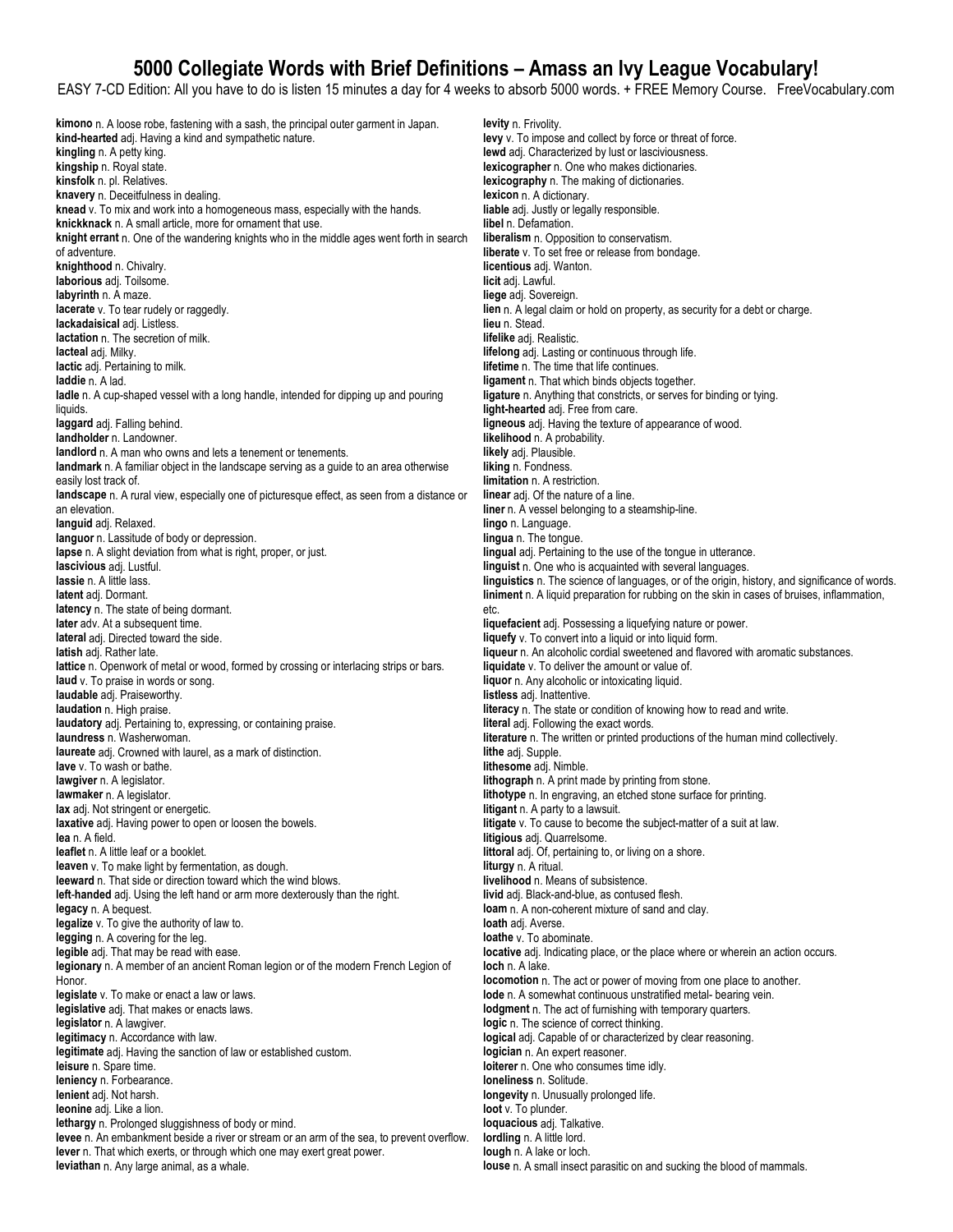EASY 7-CD Edition: All you have to do is listen 15 minutes a day for 4 weeks to absorb 5000 words. + FREE Memory Course. FreeVocabulary.com

**kimono** n. A loose robe, fastening with a sash, the principal outer garment in Japan. **kind-hearted** adj. Having a kind and sympathetic nature. **kingling** n. A petty king. **kingship** n. Royal state. **kinsfolk** n. pl. Relatives. **knavery** n. Deceitfulness in dealing. **knead** v. To mix and work into a homogeneous mass, especially with the hands. **knickknack** n. A small article, more for ornament that use. **knight errant** n. One of the wandering knights who in the middle ages went forth in search of adventure. **knighthood** n. Chivalry. **laborious** adj. Toilsome. **labyrinth** n. A maze. **lacerate** v. To tear rudely or raggedly. **lackadaisical** adj. Listless. **lactation** n. The secretion of milk. **lacteal** adj. Milky. **lactic** adj. Pertaining to milk. **laddie** n. A lad. **ladle** n. A cup-shaped vessel with a long handle, intended for dipping up and pouring liquids. **laggard** adj. Falling behind. **landholder** n. Landowner. landlord n. A man who owns and lets a tenement or tenements. **landmark** n. A familiar object in the landscape serving as a guide to an area otherwise easily lost track of. **landscape** n. A rural view, especially one of picturesque effect, as seen from a distance or an elevation. **languid** adj. Relaxed. **languor** n. Lassitude of body or depression. **lapse** n. A slight deviation from what is right, proper, or just. **lascivious** adj. Lustful. **lassie** n. A little lass. **latent** adj. Dormant. **latency** n. The state of being dormant. later adv. At a subsequent time. **lateral** adj. Directed toward the side. **latish** adj. Rather late. lattice n. Openwork of metal or wood, formed by crossing or interlacing strips or bars. **laud** v. To praise in words or song. **laudable** adj. Praiseworthy. **laudation** n. High praise. **laudatory** adj. Pertaining to, expressing, or containing praise. **laundress** n. Washerwoman. **laureate** adj. Crowned with laurel, as a mark of distinction. **lave** v. To wash or bathe. **lawgiver** n. A legislator. **lawmaker** n. A legislator. **lax** adj. Not stringent or energetic. **laxative** adj. Having power to open or loosen the bowels. **lea** n. A field. **leaflet** n. A little leaf or a booklet. **leaven** v. To make light by fermentation, as dough. **leeward** n. That side or direction toward which the wind blows. **left**-**handed** adj. Using the left hand or arm more dexterously than the right. **legacy** n. A bequest. **legalize** v. To give the authority of law to. **legging** n. A covering for the leg. **legible** adj. That may be read with ease. **legionary** n. A member of an ancient Roman legion or of the modern French Legion of Honor. **legislate** v. To make or enact a law or laws. **legislative** adj. That makes or enacts laws. **legislator** n. A lawgiver. **legitimacy** n. Accordance with law. **legitimate** adj. Having the sanction of law or established custom. **leisure** n. Spare time. **leniency** n. Forbearance. **lenient** adj. Not harsh. **leonine** adj. Like a lion. **lethargy** n. Prolonged sluggishness of body or mind. **levee** n. An embankment beside a river or stream or an arm of the sea, to prevent overflow. **lever** n. That which exerts, or through which one may exert great power. **leviathan** n. Any large animal, as a whale.

**levity** n. Frivolity. **levy** v. To impose and collect by force or threat of force. lewd adj. Characterized by lust or lasciviousness. **lexicographer** n. One who makes dictionaries. **lexicography** n. The making of dictionaries. **lexicon** n. A dictionary. **liable** adj. Justly or legally responsible. **libel** n. Defamation. **liberalism** n. Opposition to conservatism. **liberate** v. To set free or release from bondage. **licentious** adj. Wanton. **licit** adj. Lawful. **liege** adj. Sovereign. **lien** n. A legal claim or hold on property, as security for a debt or charge. **lieu** n. Stead. **lifelike** adj. Realistic. **lifelong** adj. Lasting or continuous through life. **lifetime** n. The time that life continues. **ligament** n. That which binds objects together. **ligature** n. Anything that constricts, or serves for binding or tying. **light-hearted** adj. Free from care. **ligneous** adj. Having the texture of appearance of wood. **likelihood** n. A probability. **likely** adj. Plausible. **liking** n. Fondness. **limitation** n. A restriction. **linear** adj. Of the nature of a line. **liner** n. A vessel belonging to a steamship-line. **lingo** n. Language. **lingua** n. The tongue. **lingual** adj. Pertaining to the use of the tongue in utterance. **linguist** n. One who is acquainted with several languages. **linguistics** n. The science of languages, or of the origin, history, and significance of words. **liniment** n. A liquid preparation for rubbing on the skin in cases of bruises, inflammation, etc. **liquefacient** adj. Possessing a liquefying nature or power. **liquefy** v. To convert into a liquid or into liquid form. **liqueur** n. An alcoholic cordial sweetened and flavored with aromatic substances. **liquidate** v. To deliver the amount or value of. **liquor** n. Any alcoholic or intoxicating liquid. **listless** adj. Inattentive. **literacy** n. The state or condition of knowing how to read and write. **literal** adj. Following the exact words. **literature** n. The written or printed productions of the human mind collectively. **lithe** adj. Supple. **lithesome** adj. Nimble. **lithograph** n. A print made by printing from stone. **lithotype** n. In engraving, an etched stone surface for printing. **litigant** n. A party to a lawsuit. **litigate** v. To cause to become the subject-matter of a suit at law. **litigious** adj. Quarrelsome. **littoral** adj. Of, pertaining to, or living on a shore. **liturgy** n. A ritual. **livelihood** n. Means of subsistence. **livid** adj. Black-and-blue, as contused flesh. **loam** n. A non-coherent mixture of sand and clay. **loath** adj. Averse. **loathe** v. To abominate. **locative** adj. Indicating place, or the place where or wherein an action occurs. **loch** n. A lake. **locomotion** n. The act or power of moving from one place to another. **lode** n. A somewhat continuous unstratified metal- bearing vein. **lodgment** n. The act of furnishing with temporary quarters. **logic** n. The science of correct thinking. **logical** adj. Capable of or characterized by clear reasoning. **logician** n. An expert reasoner. **loiterer** n. One who consumes time idly. **loneliness** n. Solitude. **longevity** n. Unusually prolonged life. **loot** v. To plunder. **loquacious** adj. Talkative. **lordling** n. A little lord. **lough** n. A lake or loch. **louse** n. A small insect parasitic on and sucking the blood of mammals.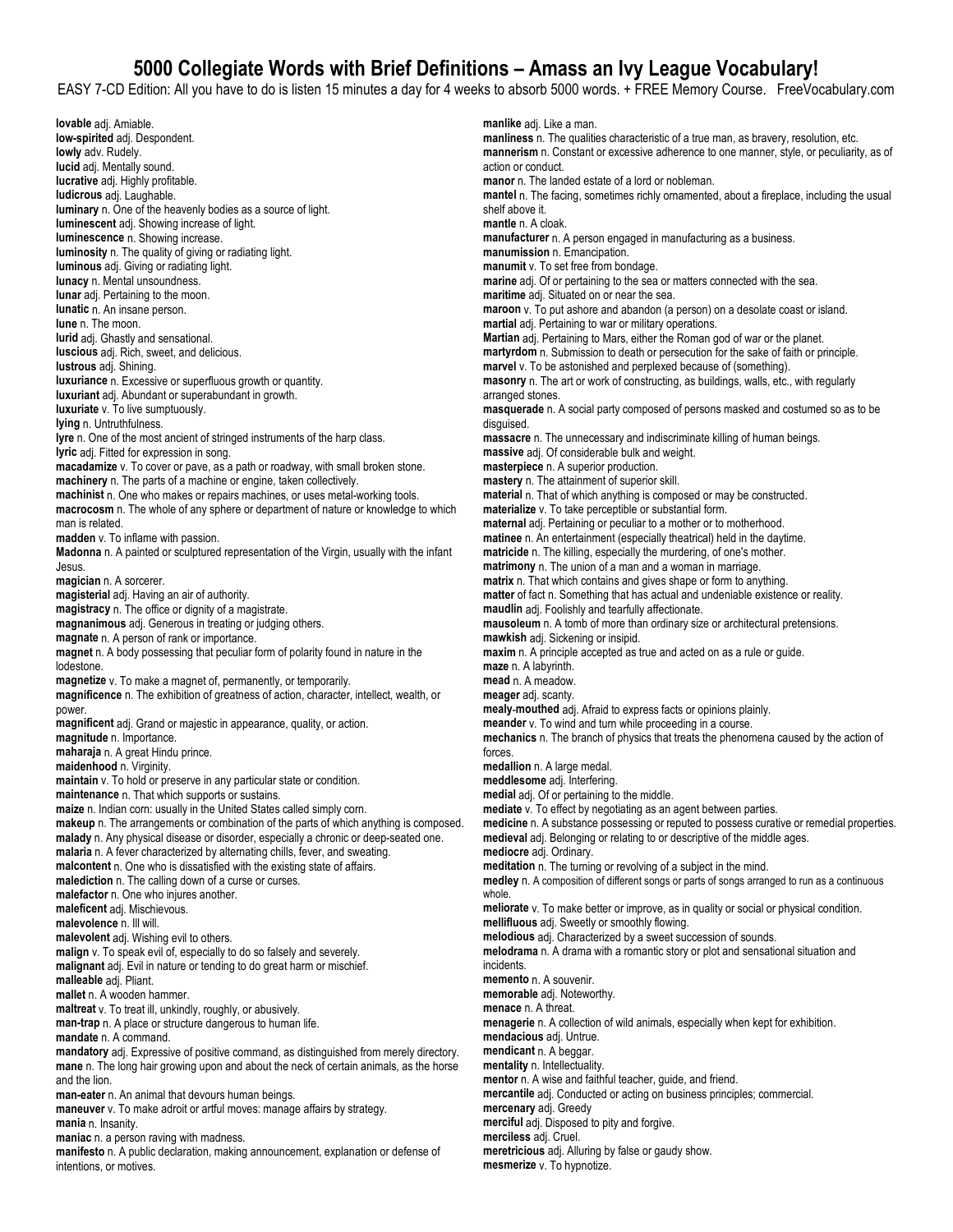EASY 7-CD Edition: All you have to do is listen 15 minutes a day for 4 weeks to absorb 5000 words. + FREE Memory Course. FreeVocabulary.com

**lovable** adj. Amiable. **low-spirited** adj. Despondent. **lowly** adv. Rudely. **lucid** adj. Mentally sound. **lucrative** adj. Highly profitable. **ludicrous** adj. Laughable. **luminary** n. One of the heavenly bodies as a source of light. **luminescent** adj. Showing increase of light. **luminescence** n. Showing increase. **luminosity** n. The quality of giving or radiating light. **luminous** adj. Giving or radiating light. **lunacy** n. Mental unsoundness. **lunar** adj. Pertaining to the moon. **lunatic** n. An insane person. **lune** n. The moon. **lurid** adj. Ghastly and sensational. **luscious** adj. Rich, sweet, and delicious. **lustrous** adj. Shining. **luxuriance** n. Excessive or superfluous growth or quantity. **luxuriant** adj. Abundant or superabundant in growth. **luxuriate** v. To live sumptuously. **lying** n. Untruthfulness. **lyre** n. One of the most ancient of stringed instruments of the harp class. **lyric** adj. Fitted for expression in song. **macadamize** v. To cover or pave, as a path or roadway, with small broken stone. **machinery** n. The parts of a machine or engine, taken collectively. **machinist** n. One who makes or repairs machines, or uses metal-working tools. **macrocosm** n. The whole of any sphere or department of nature or knowledge to which man is related. **madden** v. To inflame with passion. **Madonna** n. A painted or sculptured representation of the Virgin, usually with the infant Jesus. **magician** n. A sorcerer. **magisterial** adj. Having an air of authority. **magistracy** n. The office or dignity of a magistrate. **magnanimous** adj. Generous in treating or judging others. **magnate** n. A person of rank or importance. **magnet** n. A body possessing that peculiar form of polarity found in nature in the lodestone. **magnetize** v. To make a magnet of, permanently, or temporarily. **magnificence** n. The exhibition of greatness of action, character, intellect, wealth, or power. **magnificent** adj. Grand or majestic in appearance, quality, or action. **magnitude** n. Importance. **maharaja** n. A great Hindu prince. **maidenhood** n. Virginity. **maintain** v. To hold or preserve in any particular state or condition. **maintenance** n. That which supports or sustains. **maize** n. Indian corn: usually in the United States called simply corn. **makeup** n. The arrangements or combination of the parts of which anything is composed. **malady** n. Any physical disease or disorder, especially a chronic or deep-seated one. **malaria** n. A fever characterized by alternating chills, fever, and sweating. **malcontent** n. One who is dissatisfied with the existing state of affairs. **malediction** n. The calling down of a curse or curses. **malefactor** n. One who injures another. **maleficent** adj. Mischievous. **malevolence** n. Ill will. **malevolent** adj. Wishing evil to others. **malign** v. To speak evil of, especially to do so falsely and severely. **malignant** adj. Evil in nature or tending to do great harm or mischief. **malleable** adj. Pliant. **mallet** n. A wooden hammer. **maltreat** v. To treat ill, unkindly, roughly, or abusively. **man-trap** n. A place or structure dangerous to human life. **mandate** n. A command. **mandatory** adj. Expressive of positive command, as distinguished from merely directory. **mane** n. The long hair growing upon and about the neck of certain animals, as the horse and the lion. **man-eater** n. An animal that devours human beings. **maneuver** v. To make adroit or artful moves: manage affairs by strategy. **mania** n. Insanity. **maniac** n. a person raving with madness. disauised. forces. whole. incidents.

**manifesto** n. A public declaration, making announcement, explanation or defense of intentions, or motives.

**manlike** adj. Like a man. **manliness** n. The qualities characteristic of a true man, as bravery, resolution, etc. **mannerism** n. Constant or excessive adherence to one manner, style, or peculiarity, as of action or conduct. **manor** n. The landed estate of a lord or nobleman. **mantel** n. The facing, sometimes richly ornamented, about a fireplace, including the usual shelf above it. **mantle** n. A cloak. **manufacturer** n. A person engaged in manufacturing as a business. **manumission** n. Emancipation. **manumit** v. To set free from bondage. **marine** adj. Of or pertaining to the sea or matters connected with the sea. **maritime** adj. Situated on or near the sea. **maroon** v. To put ashore and abandon (a person) on a desolate coast or island. **martial** adj. Pertaining to war or military operations. **Martian** adj. Pertaining to Mars, either the Roman god of war or the planet. **martyrdom** n. Submission to death or persecution for the sake of faith or principle. **marvel** v. To be astonished and perplexed because of (something). **masonry** n. The art or work of constructing, as buildings, walls, etc., with regularly arranged stones. **masquerade** n. A social party composed of persons masked and costumed so as to be **massacre** n. The unnecessary and indiscriminate killing of human beings. **massive** adj. Of considerable bulk and weight. **masterpiece** n. A superior production. **mastery** n. The attainment of superior skill. **material** n. That of which anything is composed or may be constructed. **materialize** v. To take perceptible or substantial form. **maternal** adj. Pertaining or peculiar to a mother or to motherhood. **matinee** n. An entertainment (especially theatrical) held in the daytime. **matricide** n. The killing, especially the murdering, of one's mother. **matrimony** n. The union of a man and a woman in marriage. **matrix** n. That which contains and gives shape or form to anything. **matter** of fact n. Something that has actual and undeniable existence or reality. **maudlin** adj. Foolishly and tearfully affectionate. **mausoleum** n. A tomb of more than ordinary size or architectural pretensions. **mawkish** adj. Sickening or insipid. **maxim** n. A principle accepted as true and acted on as a rule or guide. **maze** n. A labyrinth. **mead** n. A meadow. **meager** adj. scanty. **mealy**-**mouthed** adj. Afraid to express facts or opinions plainly. **meander** v. To wind and turn while proceeding in a course. **mechanics** n. The branch of physics that treats the phenomena caused by the action of **medallion** n. A large medal. **meddlesome** adj. Interfering. **medial** adj. Of or pertaining to the middle. **mediate** v. To effect by negotiating as an agent between parties. **medicine** n. A substance possessing or reputed to possess curative or remedial properties. **medieval** adj. Belonging or relating to or descriptive of the middle ages. **mediocre** adj. Ordinary. **meditation** n. The turning or revolving of a subject in the mind. **medley** n. A composition of different songs or parts of songs arranged to run as a continuous **meliorate** v. To make better or improve, as in quality or social or physical condition. **mellifluous** adj. Sweetly or smoothly flowing. **melodious** adj. Characterized by a sweet succession of sounds. **melodrama** n. A drama with a romantic story or plot and sensational situation and **memento** n. A souvenir. **memorable** adj. Noteworthy. **menace** n. A threat. **menagerie** n. A collection of wild animals, especially when kept for exhibition. **mendacious** adj. Untrue. **mendicant** n. A beggar. **mentality** n. Intellectuality. **mentor** n. A wise and faithful teacher, guide, and friend. **mercantile** adj. Conducted or acting on business principles; commercial. **mercenary** adj. Greedy **merciful** adj. Disposed to pity and forgive. **merciless** adj. Cruel. **meretricious** adj. Alluring by false or gaudy show. **mesmerize** v. To hypnotize.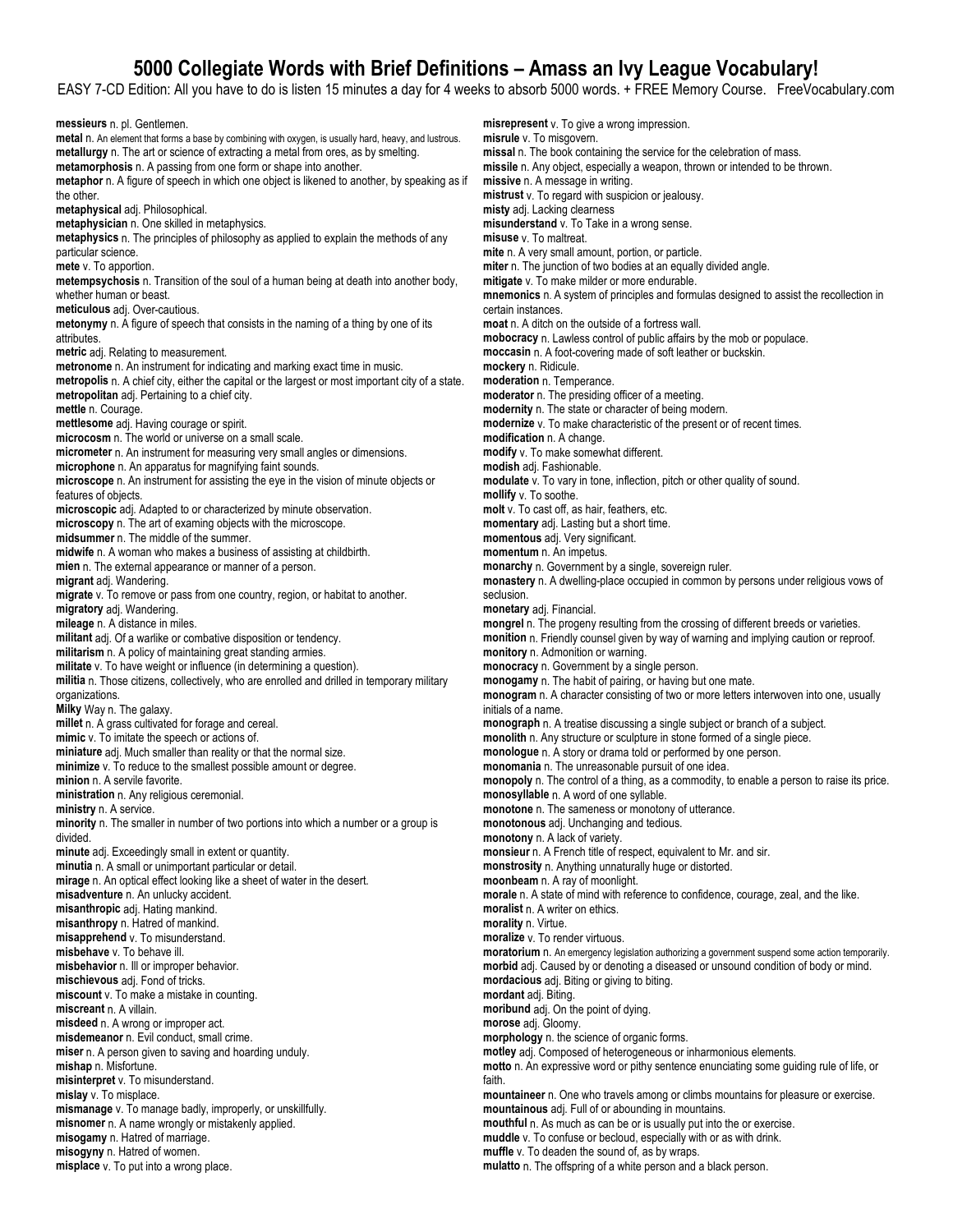EASY 7-CD Edition: All you have to do is listen 15 minutes a day for 4 weeks to absorb 5000 words. + FREE Memory Course. FreeVocabulary.com

**messieurs** n. pl. Gentlemen. **metal** n. An element that forms a base by combining with oxygen, is usually hard, heavy, and lustrous. **metallurgy** n. The art or science of extracting a metal from ores, as by smelting. **metamorphosis** n. A passing from one form or shape into another. **metaphor** n. A figure of speech in which one object is likened to another, by speaking as if the other. **metaphysical** adj. Philosophical. **metaphysician** n. One skilled in metaphysics. **metaphysics** n. The principles of philosophy as applied to explain the methods of any particular science. **mete** v. To apportion. **metempsychosis** n. Transition of the soul of a human being at death into another body, whether human or beast. **meticulous** adj. Over-cautious. **metonymy** n. A figure of speech that consists in the naming of a thing by one of its attributes. **metric** adj. Relating to measurement. **metronome** n. An instrument for indicating and marking exact time in music. **metropolis** n. A chief city, either the capital or the largest or most important city of a state. **metropolitan** adj. Pertaining to a chief city. **mettle** n. Courage. **mettlesome** adj. Having courage or spirit. **microcosm** n. The world or universe on a small scale. **micrometer** n. An instrument for measuring very small angles or dimensions. **microphone** n. An apparatus for magnifying faint sounds. **microscope** n. An instrument for assisting the eye in the vision of minute objects or features of objects. **microscopic** adj. Adapted to or characterized by minute observation. **microscopy** n. The art of examing objects with the microscope. **midsummer** n. The middle of the summer. **midwife** n. A woman who makes a business of assisting at childbirth. **mien** n. The external appearance or manner of a person. **migrant** adj. Wandering. **migrate** v. To remove or pass from one country, region, or habitat to another. **migratory** adj. Wandering. **mileage** n. A distance in miles. **militant** adj. Of a warlike or combative disposition or tendency. **militarism** n. A policy of maintaining great standing armies. **militate** v. To have weight or influence (in determining a question). **militia** n. Those citizens, collectively, who are enrolled and drilled in temporary military organizations. **Milky** Way n. The galaxy. **millet** n. A grass cultivated for forage and cereal. **mimic** v. To imitate the speech or actions of. **miniature** adj. Much smaller than reality or that the normal size. **minimize** v. To reduce to the smallest possible amount or degree. **minion** n. A servile favorite. **ministration** n. Any religious ceremonial. **ministry** n. A service. **minority** n. The smaller in number of two portions into which a number or a group is divided. **minute** adj. Exceedingly small in extent or quantity. **minutia** n. A small or unimportant particular or detail. **mirage** n. An optical effect looking like a sheet of water in the desert. **misadventure** n. An unlucky accident. **misanthropic** adj. Hating mankind. **misanthropy** n. Hatred of mankind. **misapprehend** v. To misunderstand. **misbehave** v. To behave ill. **misbehavior** n. Ill or improper behavior. **mischievous** adj. Fond of tricks. **miscount** v. To make a mistake in counting. **miscreant** n. A villain. **misdeed** n. A wrong or improper act. **misdemeanor** n. Evil conduct, small crime. **miser** n. A person given to saving and hoarding unduly. **mishap** n. Misfortune. **misinterpret** v. To misunderstand. **mislay** v. To misplace. **mismanage** v. To manage badly, improperly, or unskillfully. **misnomer** n. A name wrongly or mistakenly applied. **misogamy** n. Hatred of marriage. **misogyny** n. Hatred of women. **misplace** v. To put into a wrong place.

**misrepresent** v. To give a wrong impression. **misrule** v. To misgovern. **missal** n. The book containing the service for the celebration of mass. **missile** n. Any object, especially a weapon, thrown or intended to be thrown. **missive** n. A message in writing. **mistrust** v. To regard with suspicion or jealousy. **misty** adj. Lacking clearness **misunderstand** v. To Take in a wrong sense. **misuse** v. To maltreat. **mite** n. A very small amount, portion, or particle. **miter** n. The junction of two bodies at an equally divided angle. **mitigate** v. To make milder or more endurable. **mnemonics** n. A system of principles and formulas designed to assist the recollection in certain instances. **moat** n. A ditch on the outside of a fortress wall. **mobocracy** n. Lawless control of public affairs by the mob or populace. **moccasin** n. A foot-covering made of soft leather or buckskin. **mockery** n. Ridicule. **moderation** n. Temperance. **moderator** n. The presiding officer of a meeting. **modernity** n. The state or character of being modern. **modernize** v. To make characteristic of the present or of recent times. **modification** n. A change. **modify** v. To make somewhat different. **modish** adj. Fashionable. **modulate** v. To vary in tone, inflection, pitch or other quality of sound. **mollify** v. To soothe. **molt** v. To cast off, as hair, feathers, etc. **momentary** adj. Lasting but a short time. **momentous** adj. Very significant. **momentum** n. An impetus. **monarchy** n. Government by a single, sovereign ruler. **monastery** n. A dwelling-place occupied in common by persons under religious vows of seclusion. **monetary** adj. Financial. **mongrel** n. The progeny resulting from the crossing of different breeds or varieties. **monition** n. Friendly counsel given by way of warning and implying caution or reproof. **monitory** n. Admonition or warning. **monocracy** n. Government by a single person. **monogamy** n. The habit of pairing, or having but one mate. **monogram** n. A character consisting of two or more letters interwoven into one, usually initials of a name. **monograph** n. A treatise discussing a single subject or branch of a subject. **monolith** n. Any structure or sculpture in stone formed of a single piece. **monologue** n. A story or drama told or performed by one person. **monomania** n. The unreasonable pursuit of one idea. **monopoly** n. The control of a thing, as a commodity, to enable a person to raise its price. **monosyllable** n. A word of one syllable. **monotone** n. The sameness or monotony of utterance. **monotonous** adj. Unchanging and tedious. **monotony** n. A lack of variety. **monsieur** n. A French title of respect, equivalent to Mr. and sir. **monstrosity** n. Anything unnaturally huge or distorted. **moonbeam** n. A ray of moonlight. **morale** n. A state of mind with reference to confidence, courage, zeal, and the like. **moralist** n. A writer on ethics. **morality** n. Virtue. **moralize** v. To render virtuous. **moratorium** n. An emergency legislation authorizing a government suspend some action temporarily. **morbid** adj. Caused by or denoting a diseased or unsound condition of body or mind. **mordacious** adj. Biting or giving to biting. **mordant** adj. Biting. **moribund** adj. On the point of dying. **morose** adj. Gloomy. **morphology** n. the science of organic forms. **motley** adj. Composed of heterogeneous or inharmonious elements. **motto** n. An expressive word or pithy sentence enunciating some guiding rule of life, or faith. **mountaineer** n. One who travels among or climbs mountains for pleasure or exercise. **mountainous** adj. Full of or abounding in mountains. **mouthful** n. As much as can be or is usually put into the or exercise. **muddle** v. To confuse or becloud, especially with or as with drink. **muffle** v. To deaden the sound of, as by wraps.

**mulatto** n. The offspring of a white person and a black person.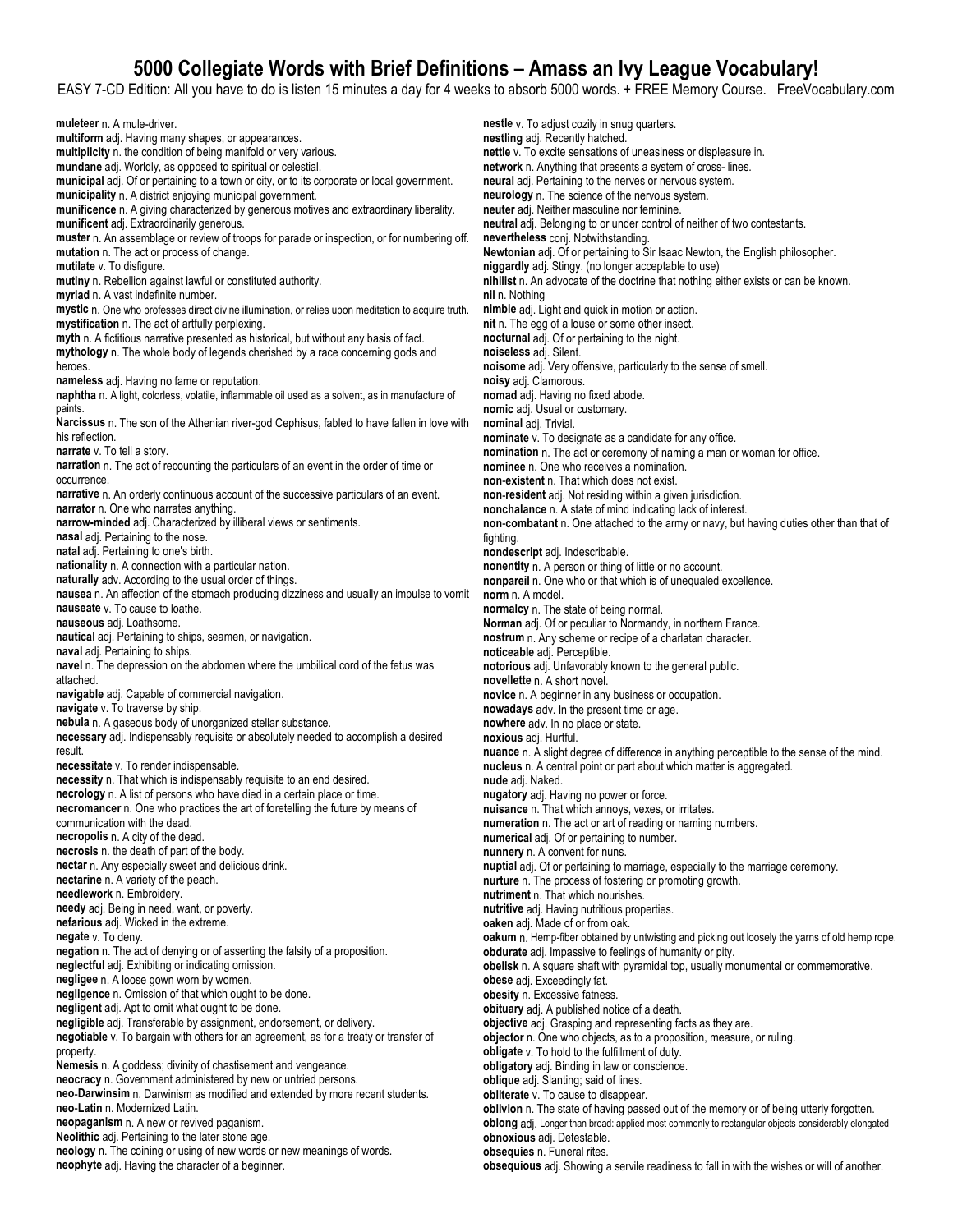EASY 7-CD Edition: All you have to do is listen 15 minutes a day for 4 weeks to absorb 5000 words. + FREE Memory Course. FreeVocabulary.com

**muleteer** n. A mule-driver. **multiform** adj. Having many shapes, or appearances. **multiplicity** n. the condition of being manifold or very various. **mundane** adj. Worldly, as opposed to spiritual or celestial. **municipal** adj. Of or pertaining to a town or city, or to its corporate or local government. **municipality** n. A district enjoying municipal government. **munificence** n. A giving characterized by generous motives and extraordinary liberality. **munificent** adj. Extraordinarily generous. **muster** n. An assemblage or review of troops for parade or inspection, or for numbering off. **mutation** n. The act or process of change. **mutilate** v. To disfigure. **mutiny** n. Rebellion against lawful or constituted authority. **myriad** n. A vast indefinite number. **mystic** n. One who professes direct divine illumination, or relies upon meditation to acquire truth. **mystification** n. The act of artfully perplexing. **myth** n. A fictitious narrative presented as historical, but without any basis of fact. **mythology** n. The whole body of legends cherished by a race concerning gods and heroes. **nameless** adj. Having no fame or reputation. **naphtha** n. A light, colorless, volatile, inflammable oil used as a solvent, as in manufacture of paints. **Narcissus** n. The son of the Athenian river-god Cephisus, fabled to have fallen in love with his reflection. **narrate** v. To tell a story. **narration** n. The act of recounting the particulars of an event in the order of time or occurrence. **narrative** n. An orderly continuous account of the successive particulars of an event. **narrator** n. One who narrates anything. **narrow-minded** adj. Characterized by illiberal views or sentiments. **nasal** adj. Pertaining to the nose. **natal** adj. Pertaining to one's birth. **nationality** n. A connection with a particular nation. **naturally** adv. According to the usual order of things. **nausea** n. An affection of the stomach producing dizziness and usually an impulse to vomit **nauseate** v. To cause to loathe. **nauseous** adj. Loathsome. **nautical** adj. Pertaining to ships, seamen, or navigation. **naval** adj. Pertaining to ships. **navel** n. The depression on the abdomen where the umbilical cord of the fetus was attached. **navigable** adj. Capable of commercial navigation. **navigate** v. To traverse by ship. **nebula** n. A gaseous body of unorganized stellar substance. **necessary** adj. Indispensably requisite or absolutely needed to accomplish a desired result. **necessitate** v. To render indispensable. **necessity** n. That which is indispensably requisite to an end desired. **necrology** n. A list of persons who have died in a certain place or time. **necromancer** n. One who practices the art of foretelling the future by means of communication with the dead. **necropolis** n. A city of the dead. **necrosis** n. the death of part of the body. **nectar** n. Any especially sweet and delicious drink. **nectarine** n. A variety of the peach. **needlework** n. Embroidery. **needy** adj. Being in need, want, or poverty. **nefarious** adj. Wicked in the extreme. **negate** v. To deny. **negation** n. The act of denying or of asserting the falsity of a proposition. **neglectful** adj. Exhibiting or indicating omission. **negligee** n. A loose gown worn by women. **negligence** n. Omission of that which ought to be done. **negligent** adj. Apt to omit what ought to be done. **negligible** adj. Transferable by assignment, endorsement, or delivery. **negotiable** v. To bargain with others for an agreement, as for a treaty or transfer of property. **Nemesis** n. A goddess; divinity of chastisement and vengeance. **neocracy** n. Government administered by new or untried persons. **neo**-**Darwinsim** n. Darwinism as modified and extended by more recent students. **neo**-**Latin** n. Modernized Latin. **neopaganism** n. A new or revived paganism. **Neolithic** adj. Pertaining to the later stone age. **neology** n. The coining or using of new words or new meanings of words. **neophyte** adj. Having the character of a beginner. **obsequious** adj. Showing a servile readiness to fall in with the wishes or will of another.

**nestle** v. To adjust cozily in snug quarters. **nestling** adj. Recently hatched. **nettle** v. To excite sensations of uneasiness or displeasure in. **network** n. Anything that presents a system of cross- lines. **neural** adj. Pertaining to the nerves or nervous system. **neurology** n. The science of the nervous system. **neuter** adj. Neither masculine nor feminine. **neutral** adj. Belonging to or under control of neither of two contestants. **nevertheless** conj. Notwithstanding. **Newtonian** adj. Of or pertaining to Sir Isaac Newton, the English philosopher. **niggardly** adj. Stingy. (no longer acceptable to use) **nihilist** n. An advocate of the doctrine that nothing either exists or can be known. **nil** n. Nothing **nimble** adj. Light and quick in motion or action. **nit** n. The egg of a louse or some other insect. **nocturnal** adj. Of or pertaining to the night. **noiseless** adj. Silent. **noisome** adj. Very offensive, particularly to the sense of smell. **noisy** adj. Clamorous. **nomad** adj. Having no fixed abode. **nomic** adj. Usual or customary. **nominal** adj. Trivial. **nominate** v. To designate as a candidate for any office. **nomination** n. The act or ceremony of naming a man or woman for office. **nominee** n. One who receives a nomination. **non**-**existent** n. That which does not exist. **non**-**resident** adj. Not residing within a given jurisdiction. **nonchalance** n. A state of mind indicating lack of interest. **non**-**combatant** n. One attached to the army or navy, but having duties other than that of fighting. **nondescript** adj. Indescribable. **nonentity** n. A person or thing of little or no account. **nonpareil** n. One who or that which is of unequaled excellence. **norm** n. A model. **normalcy** n. The state of being normal. **Norman** adj. Of or peculiar to Normandy, in northern France. **nostrum** n. Any scheme or recipe of a charlatan character. **noticeable** adj. Perceptible. **notorious** adj. Unfavorably known to the general public. **novellette** n. A short novel. **novice** n. A beginner in any business or occupation. **nowadays** adv. In the present time or age. **nowhere** adv. In no place or state. **noxious** adj. Hurtful. **nuance** n. A slight degree of difference in anything perceptible to the sense of the mind. **nucleus** n. A central point or part about which matter is aggregated. **nude** adj. Naked. **nugatory** adj. Having no power or force. **nuisance** n. That which annoys, vexes, or irritates. **numeration** n. The act or art of reading or naming numbers. **numerical** adj. Of or pertaining to number. **nunnery** n. A convent for nuns. **nuptial** adj. Of or pertaining to marriage, especially to the marriage ceremony. **nurture** n. The process of fostering or promoting growth. **nutriment** n. That which nourishes. **nutritive** adj. Having nutritious properties. **oaken** adj. Made of or from oak. **oakum** n. Hemp-fiber obtained by untwisting and picking out loosely the yarns of old hemp rope. **obdurate** adj. Impassive to feelings of humanity or pity. **obelisk** n. A square shaft with pyramidal top, usually monumental or commemorative. **obese** adj. Exceedingly fat. **obesity** n. Excessive fatness. **obituary** adj. A published notice of a death. **objective** adj. Grasping and representing facts as they are. **objector** n. One who objects, as to a proposition, measure, or ruling. **obligate** v. To hold to the fulfillment of duty. **obligatory** adj. Binding in law or conscience. **oblique** adj. Slanting; said of lines. **obliterate** v. To cause to disappear. **oblivion** n. The state of having passed out of the memory or of being utterly forgotten. **oblong** adj. Longer than broad: applied most commonly to rectangular objects considerably elongated **obnoxious** adj. Detestable. **obsequies** n. Funeral rites.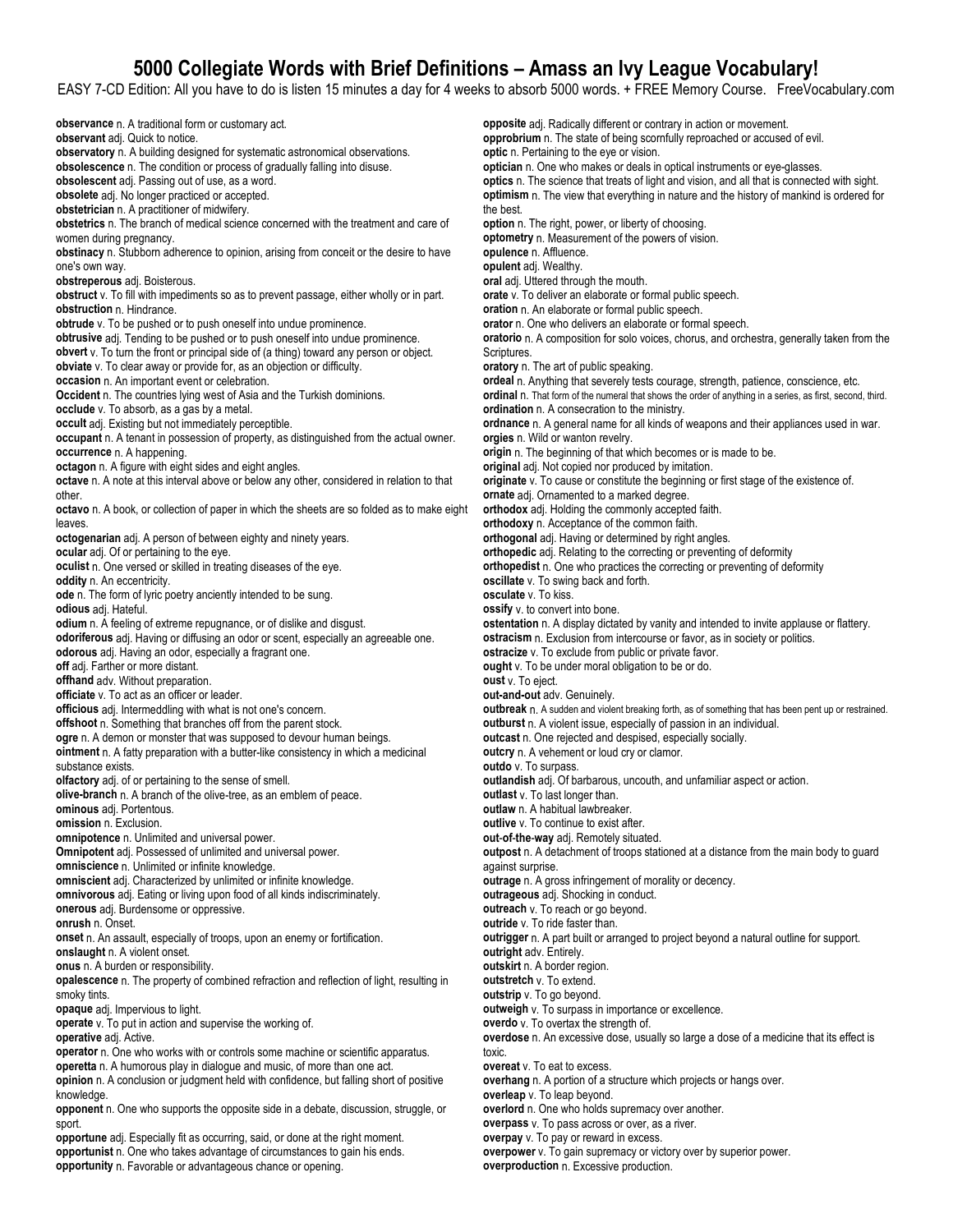EASY 7-CD Edition: All you have to do is listen 15 minutes a day for 4 weeks to absorb 5000 words. + FREE Memory Course. FreeVocabulary.com

**observance** n. A traditional form or customary act. **observant** adj. Quick to notice. **observatory** n. A building designed for systematic astronomical observations. **obsolescence** n. The condition or process of gradually falling into disuse. **obsolescent** adj. Passing out of use, as a word. **obsolete** adj. No longer practiced or accepted. **obstetrician** n. A practitioner of midwifery. **obstetrics** n. The branch of medical science concerned with the treatment and care of women during pregnancy. **obstinacy** n. Stubborn adherence to opinion, arising from conceit or the desire to have one's own way. **obstreperous** adj. Boisterous. **obstruct** v. To fill with impediments so as to prevent passage, either wholly or in part. **obstruction** n. Hindrance. **obtrude** v. To be pushed or to push oneself into undue prominence. **obtrusive** adj. Tending to be pushed or to push oneself into undue prominence. **obvert** v. To turn the front or principal side of (a thing) toward any person or object. **obviate** v. To clear away or provide for, as an objection or difficulty. **occasion** n. An important event or celebration. **Occident** n. The countries lying west of Asia and the Turkish dominions. **occlude** v. To absorb, as a gas by a metal. **occult** adj. Existing but not immediately perceptible. **occupant** n. A tenant in possession of property, as distinguished from the actual owner. **occurrence** n. A happening. **octagon** n. A figure with eight sides and eight angles. **octave** n. A note at this interval above or below any other, considered in relation to that other. **octavo** n. A book, or collection of paper in which the sheets are so folded as to make eight leaves. **octogenarian** adj. A person of between eighty and ninety years. **ocular** adj. Of or pertaining to the eye. **oculist** n. One versed or skilled in treating diseases of the eye. **oddity** n. An eccentricity. **ode** n. The form of lyric poetry anciently intended to be sung. **odious** adj. Hateful. **odium** n. A feeling of extreme repugnance, or of dislike and disgust. **odoriferous** adj. Having or diffusing an odor or scent, especially an agreeable one. **odorous** adj. Having an odor, especially a fragrant one. **off** adj. Farther or more distant. **offhand** adv. Without preparation. **officiate** v. To act as an officer or leader. **officious** adj. Intermeddling with what is not one's concern. **offshoot** n. Something that branches off from the parent stock. **ogre** n. A demon or monster that was supposed to devour human beings. **ointment** n. A fatty preparation with a butter-like consistency in which a medicinal substance exists. **olfactory** adj. of or pertaining to the sense of smell. **olive-branch** n. A branch of the olive-tree, as an emblem of peace. **ominous** adj. Portentous. **omission** n. Exclusion. **omnipotence** n. Unlimited and universal power. **Omnipotent** adj. Possessed of unlimited and universal power. **omniscience** n. Unlimited or infinite knowledge. **omniscient** adj. Characterized by unlimited or infinite knowledge. **omnivorous** adj. Eating or living upon food of all kinds indiscriminately. **onerous** adj. Burdensome or oppressive. **onrush** n. Onset. **onset** n. An assault, especially of troops, upon an enemy or fortification. **onslaught** n. A violent onset. **onus** n. A burden or responsibility. **opalescence** n. The property of combined refraction and reflection of light, resulting in smoky tints. **opaque** adj. Impervious to light. **operate** v. To put in action and supervise the working of. **operative** adj. Active. **operator** n. One who works with or controls some machine or scientific apparatus. **operetta** n. A humorous play in dialogue and music, of more than one act. **opinion** n. A conclusion or judgment held with confidence, but falling short of positive knowledge. **opponent** n. One who supports the opposite side in a debate, discussion, struggle, or sport. **opportune** adj. Especially fit as occurring, said, or done at the right moment. **opportunist** n. One who takes advantage of circumstances to gain his ends. **opportunity** n. Favorable or advantageous chance or opening. the best. Scriptures. toxic. **overproduction** n. Excessive production.

**opposite** adj. Radically different or contrary in action or movement. **opprobrium** n. The state of being scornfully reproached or accused of evil. **optic** n. Pertaining to the eye or vision. **optician** n. One who makes or deals in optical instruments or eye-glasses. **optics** n. The science that treats of light and vision, and all that is connected with sight. **optimism** n. The view that everything in nature and the history of mankind is ordered for **option** n. The right, power, or liberty of choosing. **optometry** n. Measurement of the powers of vision. **opulence** n. Affluence. **opulent** adj. Wealthy. **oral** adj. Uttered through the mouth. **orate** v. To deliver an elaborate or formal public speech. **oration** n. An elaborate or formal public speech. **orator** n. One who delivers an elaborate or formal speech. **oratorio** n. A composition for solo voices, chorus, and orchestra, generally taken from the **oratory** n. The art of public speaking. **ordeal** n. Anything that severely tests courage, strength, patience, conscience, etc. **ordinal** n. That form of the numeral that shows the order of anything in a series, as first, second, third. **ordination** n. A consecration to the ministry. **ordnance** n. A general name for all kinds of weapons and their appliances used in war. **orgies** n. Wild or wanton revelry. **origin** n. The beginning of that which becomes or is made to be. **original** adj. Not copied nor produced by imitation. **originate** v. To cause or constitute the beginning or first stage of the existence of. **ornate** adj. Ornamented to a marked degree. **orthodox** adj. Holding the commonly accepted faith. **orthodoxy** n. Acceptance of the common faith. **orthogonal** adj. Having or determined by right angles. **orthopedic** adj. Relating to the correcting or preventing of deformity **orthopedist** n. One who practices the correcting or preventing of deformity **oscillate** v. To swing back and forth. **osculate** v. To kiss. **ossify** v. to convert into bone. **ostentation** n. A display dictated by vanity and intended to invite applause or flattery. **ostracism** n. Exclusion from intercourse or favor, as in society or politics. **ostracize** v. To exclude from public or private favor. **ought** v. To be under moral obligation to be or do. **oust** v. To eject. **out-and-out** adv. Genuinely. **outbreak** n. A sudden and violent breaking forth, as of something that has been pent up or restrained. **outburst** n. A violent issue, especially of passion in an individual. **outcast** n. One rejected and despised, especially socially. **outcry** n. A vehement or loud cry or clamor. **outdo** v. To surpass. **outlandish** adj. Of barbarous, uncouth, and unfamiliar aspect or action. **outlast** v. To last longer than. **outlaw** n. A habitual lawbreaker. **outlive** v. To continue to exist after. **out**-**of**-**the**-**way** adj. Remotely situated. **outpost** n. A detachment of troops stationed at a distance from the main body to guard against surprise. **outrage** n. A gross infringement of morality or decency. **outrageous** adj. Shocking in conduct. **outreach** v. To reach or go beyond. **outride** v. To ride faster than. **outrigger** n. A part built or arranged to project beyond a natural outline for support. **outright** adv. Entirely. **outskirt** n. A border region. **outstretch** v. To extend. **outstrip** v. To go beyond. **outweigh** v. To surpass in importance or excellence. **overdo** v. To overtax the strength of. **overdose** n. An excessive dose, usually so large a dose of a medicine that its effect is **overeat** v. To eat to excess. **overhang** n. A portion of a structure which projects or hangs over. **overleap** v. To leap beyond. **overlord** n. One who holds supremacy over another. **overpass** v. To pass across or over, as a river. **overpay** v. To pay or reward in excess. **overpower** v. To gain supremacy or victory over by superior power.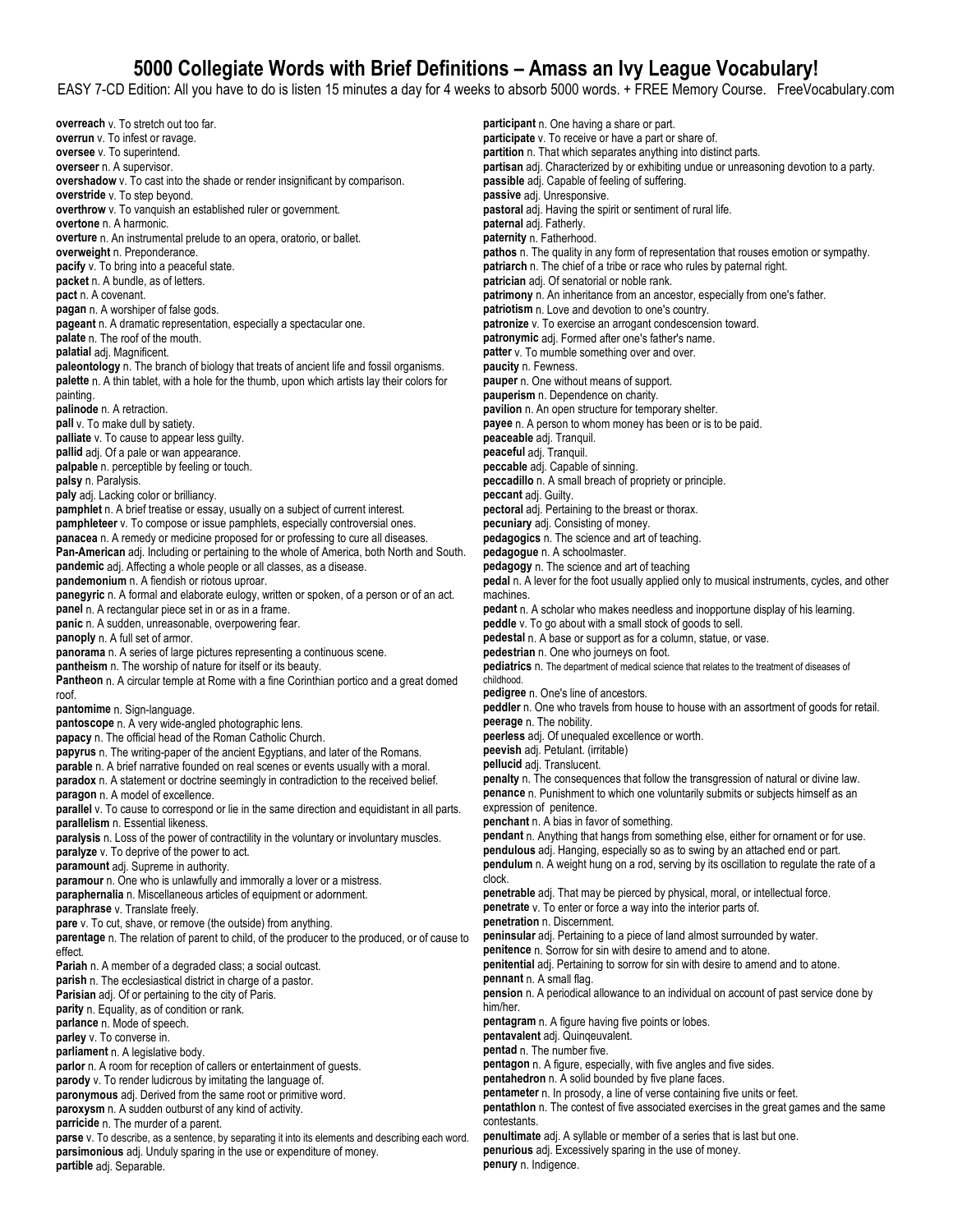EASY 7-CD Edition: All you have to do is listen 15 minutes a day for 4 weeks to absorb 5000 words. + FREE Memory Course. FreeVocabulary.com

**overreach** v. To stretch out too far. **overrun** v. To infest or ravage. **oversee** v. To superintend. **overseer** n. A supervisor. **overshadow** v. To cast into the shade or render insignificant by comparison. **overstride** v. To step beyond. **overthrow** v. To vanquish an established ruler or government. **overtone** n. A harmonic. **overture** n. An instrumental prelude to an opera, oratorio, or ballet. **overweight** n. Preponderance. **pacify** v. To bring into a peaceful state. **packet** n. A bundle, as of letters. **pact** n. A covenant. **pagan** n. A worshiper of false gods. **pageant** n. A dramatic representation, especially a spectacular one. **palate** n. The roof of the mouth. **palatial** adj. Magnificent. **paleontology** n. The branch of biology that treats of ancient life and fossil organisms. **palette** n. A thin tablet, with a hole for the thumb, upon which artists lay their colors for painting. **palinode** n. A retraction. **pall** v. To make dull by satiety. **palliate** v. To cause to appear less guilty. **pallid** adj. Of a pale or wan appearance. **palpable** n. perceptible by feeling or touch. **palsy** n. Paralysis. **paly** adj. Lacking color or brilliancy. **pamphlet** n. A brief treatise or essay, usually on a subject of current interest. **pamphleteer** v. To compose or issue pamphlets, especially controversial ones. **panacea** n. A remedy or medicine proposed for or professing to cure all diseases. **Pan-American** adj. Including or pertaining to the whole of America, both North and South. **pandemic** adj. Affecting a whole people or all classes, as a disease. **pandemonium** n. A fiendish or riotous uproar. **panegyric** n. A formal and elaborate eulogy, written or spoken, of a person or of an act. **panel** n. A rectangular piece set in or as in a frame. **panic** n. A sudden, unreasonable, overpowering fear. **panoply** n. A full set of armor. **panorama** n. A series of large pictures representing a continuous scene. **pantheism** n. The worship of nature for itself or its beauty. **Pantheon** n. A circular temple at Rome with a fine Corinthian portico and a great domed roof. **pantomime** n. Sign-language. **pantoscope** n. A very wide-angled photographic lens. **papacy** n. The official head of the Roman Catholic Church. **papyrus** n. The writing-paper of the ancient Egyptians, and later of the Romans. **parable** n. A brief narrative founded on real scenes or events usually with a moral. **paradox** n. A statement or doctrine seemingly in contradiction to the received belief. **paragon** n. A model of excellence. **parallel** v. To cause to correspond or lie in the same direction and equidistant in all parts. **parallelism** n. Essential likeness. **paralysis** n. Loss of the power of contractility in the voluntary or involuntary muscles. **paralyze** v. To deprive of the power to act. **paramount** adj. Supreme in authority. **paramour** n. One who is unlawfully and immorally a lover or a mistress. **paraphernalia** n. Miscellaneous articles of equipment or adornment. **paraphrase** v. Translate freely. **pare** v. To cut, shave, or remove (the outside) from anything. **parentage** n. The relation of parent to child, of the producer to the produced, or of cause to effect. **Pariah** n. A member of a degraded class; a social outcast. **parish** n. The ecclesiastical district in charge of a pastor. **Parisian** adj. Of or pertaining to the city of Paris. **parity** n. Equality, as of condition or rank. **parlance** n. Mode of speech. **parley** v. To converse in. **parliament** n. A legislative body. **parlor** n. A room for reception of callers or entertainment of guests. **parody** v. To render ludicrous by imitating the language of. **paronymous** adj. Derived from the same root or primitive word. **paroxysm** n. A sudden outburst of any kind of activity. **parricide** n. The murder of a parent. **parse** v. To describe, as a sentence, by separating it into its elements and describing each word. **parsimonious** adj. Unduly sparing in the use or expenditure of money. **partible** adj. Separable. clock. **penury** n. Indigence.

**participant** n. One having a share or part. **participate** v. To receive or have a part or share of. **partition** n. That which separates anything into distinct parts. **partisan** adj. Characterized by or exhibiting undue or unreasoning devotion to a party. **passible** adj. Capable of feeling of suffering. **passive** adj. Unresponsive. **pastoral** adj. Having the spirit or sentiment of rural life. **paternal** adj. Fatherly. **paternity** n. Fatherhood. **pathos** n. The quality in any form of representation that rouses emotion or sympathy. **patriarch** n. The chief of a tribe or race who rules by paternal right. **patrician** adj. Of senatorial or noble rank. **patrimony** n. An inheritance from an ancestor, especially from one's father. **patriotism** n. Love and devotion to one's country. **patronize** v. To exercise an arrogant condescension toward. **patronymic** adj. Formed after one's father's name. **patter** v. To mumble something over and over. **paucity** n. Fewness. **pauper** n. One without means of support. **pauperism** n. Dependence on charity. **pavilion** n. An open structure for temporary shelter. **payee** n. A person to whom money has been or is to be paid. **peaceable** adj. Tranquil. **peaceful** adj. Tranquil. **peccable** adj. Capable of sinning. **peccadillo** n. A small breach of propriety or principle. **peccant** adj. Guilty. **pectoral** adj. Pertaining to the breast or thorax. **pecuniary** adj. Consisting of money. **pedagogics** n. The science and art of teaching. **pedagogue** n. A schoolmaster. **pedagogy** n. The science and art of teaching **pedal** n. A lever for the foot usually applied only to musical instruments, cycles, and other machines. **pedant** n. A scholar who makes needless and inopportune display of his learning. **peddle** v. To go about with a small stock of goods to sell. **pedestal** n. A base or support as for a column, statue, or vase. **pedestrian** n. One who journeys on foot. **pediatrics** n. The department of medical science that relates to the treatment of diseases of childhood. **pedigree** n. One's line of ancestors. **peddler** n. One who travels from house to house with an assortment of goods for retail. **peerage** n. The nobility. **peerless** adj. Of unequaled excellence or worth. **peevish** adj. Petulant. (irritable) **pellucid** adj. Translucent. **penalty** n. The consequences that follow the transgression of natural or divine law. **penance** n. Punishment to which one voluntarily submits or subjects himself as an expression of penitence. **penchant** n. A bias in favor of something. **pendant** n. Anything that hangs from something else, either for ornament or for use. **pendulous** adj. Hanging, especially so as to swing by an attached end or part. **pendulum** n. A weight hung on a rod, serving by its oscillation to regulate the rate of a **penetrable** adj. That may be pierced by physical, moral, or intellectual force. **penetrate** v. To enter or force a way into the interior parts of. **penetration** n. Discernment. **peninsular** adj. Pertaining to a piece of land almost surrounded by water. **penitence** n. Sorrow for sin with desire to amend and to atone. **penitential** adj. Pertaining to sorrow for sin with desire to amend and to atone. **pennant** n. A small flag. **pension** n. A periodical allowance to an individual on account of past service done by him/her. **pentagram** n. A figure having five points or lobes. **pentavalent** adj. Quinqeuvalent. **pentad** n. The number five. **pentagon** n. A figure, especially, with five angles and five sides. **pentahedron** n. A solid bounded by five plane faces. **pentameter** n. In prosody, a line of verse containing five units or feet. **pentathlon** n. The contest of five associated exercises in the great games and the same contestants. **penultimate** adj. A syllable or member of a series that is last but one. **penurious** adj. Excessively sparing in the use of money.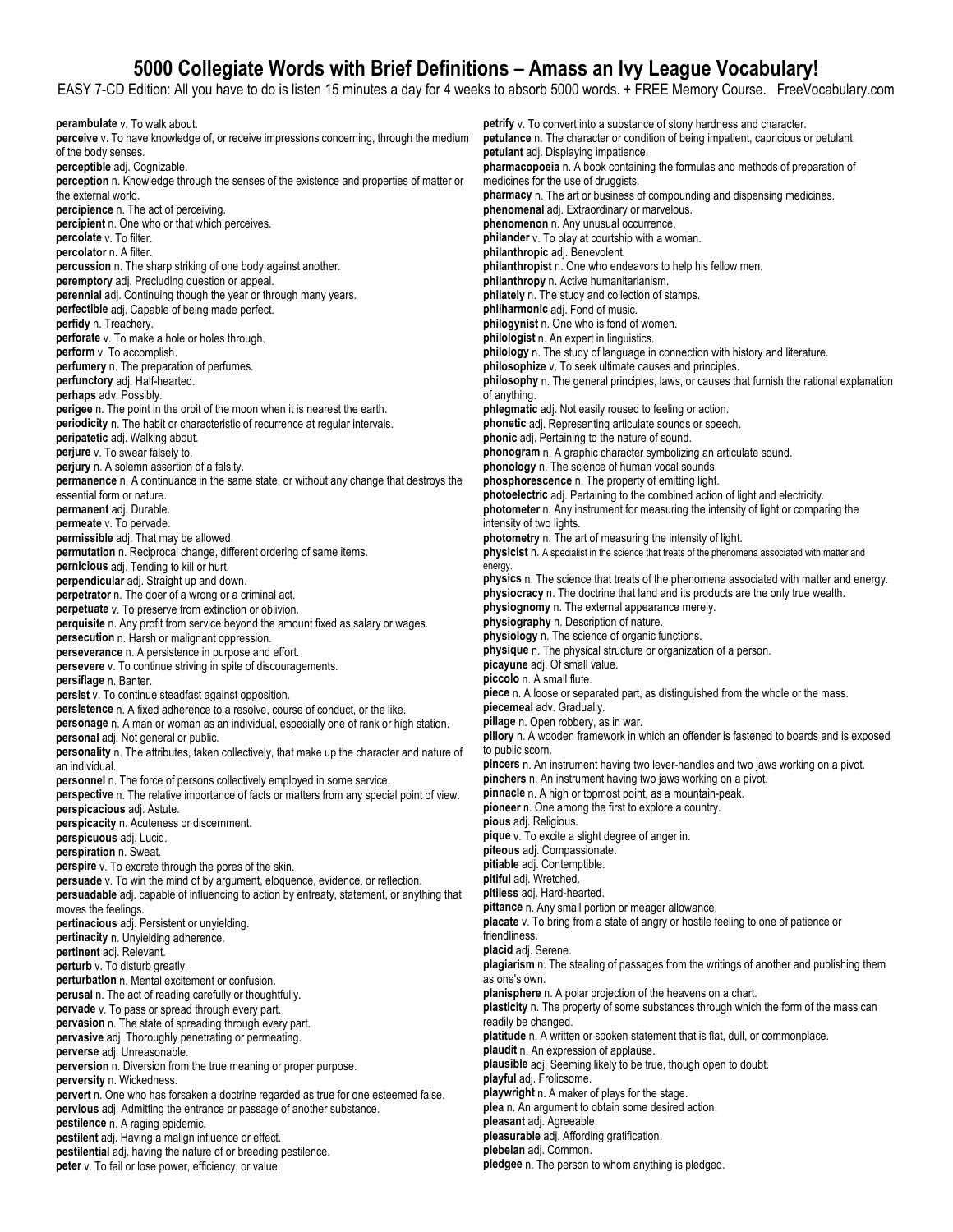EASY 7-CD Edition: All you have to do is listen 15 minutes a day for 4 weeks to absorb 5000 words. + FREE Memory Course. FreeVocabulary.com

**perambulate** v. To walk about. **perceive** v. To have knowledge of, or receive impressions concerning, through the medium of the body senses. **perceptible** adj. Cognizable. **perception** n. Knowledge through the senses of the existence and properties of matter or the external world. **percipience** n. The act of perceiving. **percipient** n. One who or that which perceives. **percolate** v. To filter. **percolator** n. A filter. **percussion** n. The sharp striking of one body against another. **peremptory** adj. Precluding question or appeal. **perennial** adj. Continuing though the year or through many years. **perfectible** adj. Capable of being made perfect. **perfidy** n. Treachery. **perforate** v. To make a hole or holes through. **perform** v. To accomplish. **perfumery** n. The preparation of perfumes. **perfunctory** adj. Half-hearted. **perhaps** adv. Possibly. **perigee** n. The point in the orbit of the moon when it is nearest the earth. **periodicity** n. The habit or characteristic of recurrence at regular intervals. **peripatetic** adj. Walking about. **perjure** v. To swear falsely to. **perjury** n. A solemn assertion of a falsity. **permanence** n. A continuance in the same state, or without any change that destroys the essential form or nature. **permanent** adj. Durable. **permeate** v. To pervade. **permissible** adj. That may be allowed. **permutation** n. Reciprocal change, different ordering of same items. **pernicious** adj. Tending to kill or hurt. **perpendicular** adj. Straight up and down. **perpetrator** n. The doer of a wrong or a criminal act. **perpetuate** v. To preserve from extinction or oblivion. **perquisite** n. Any profit from service beyond the amount fixed as salary or wages. **persecution** n. Harsh or malignant oppression. **perseverance** n. A persistence in purpose and effort. **persevere** v. To continue striving in spite of discouragements. **persiflage** n. Banter. **persist** v. To continue steadfast against opposition. **persistence** n. A fixed adherence to a resolve, course of conduct, or the like. **personage** n. A man or woman as an individual, especially one of rank or high station. **personal** adj. Not general or public. **personality** n. The attributes, taken collectively, that make up the character and nature of an individual. **personnel** n. The force of persons collectively employed in some service. **perspective** n. The relative importance of facts or matters from any special point of view. **perspicacious** adj. Astute. **perspicacity** n. Acuteness or discernment. **perspicuous** adj. Lucid. **perspiration** n. Sweat. **perspire** v. To excrete through the pores of the skin. **persuade** v. To win the mind of by argument, eloquence, evidence, or reflection. **persuadable** adj. capable of influencing to action by entreaty, statement, or anything that moves the feelings. **pertinacious** adj. Persistent or unyielding. **pertinacity** n. Unyielding adherence. **pertinent** adj. Relevant. **perturb** v. To disturb greatly. **perturbation** n. Mental excitement or confusion. **perusal** n. The act of reading carefully or thoughtfully. **pervade** v. To pass or spread through every part. **pervasion** n. The state of spreading through every part. **pervasive** adj. Thoroughly penetrating or permeating. **perverse** adj. Unreasonable. **perversion** n. Diversion from the true meaning or proper purpose. **perversity** n. Wickedness. **pervert** n. One who has forsaken a doctrine regarded as true for one esteemed false. **pervious** adj. Admitting the entrance or passage of another substance. **pestilence** n. A raging epidemic. **pestilent** adj. Having a malign influence or effect. **pestilential** adj. having the nature of or breeding pestilence. **peter** v. To fail or lose power, efficiency, or value. **petrify** v. To convert into a substance of stony hardness and character. **petulance** n. The character or condition of being impatient, capricious or petulant. **petulant** adj. Displaying impatience. **pharmacopoeia** n. A book containing the formulas and methods of preparation of medicines for the use of druggists. **pharmacy** n. The art or business of compounding and dispensing medicines. **phenomenal** adj. Extraordinary or marvelous. **phenomenon** n. Any unusual occurrence. **philander** v. To play at courtship with a woman. **philanthropic** adj. Benevolent. **philanthropist** n. One who endeavors to help his fellow men. **philanthropy** n. Active humanitarianism. **philately** n. The study and collection of stamps. **philharmonic** adj. Fond of music. **philogynist** n. One who is fond of women. **philologist** n. An expert in linguistics. **philology** n. The study of language in connection with history and literature. **philosophize** v. To seek ultimate causes and principles. **philosophy** n. The general principles, laws, or causes that furnish the rational explanation of anything. **phlegmatic** adj. Not easily roused to feeling or action. **phonetic** adj. Representing articulate sounds or speech. **phonic** adj. Pertaining to the nature of sound. **phonogram** n. A graphic character symbolizing an articulate sound. **phonology** n. The science of human vocal sounds. **phosphorescence** n. The property of emitting light. **photoelectric** adj. Pertaining to the combined action of light and electricity. **photometer** n. Any instrument for measuring the intensity of light or comparing the intensity of two lights. **photometry** n. The art of measuring the intensity of light. **physicist** n. A specialist in the science that treats of the phenomena associated with matter and energy. **physics** n. The science that treats of the phenomena associated with matter and energy. **physiocracy** n. The doctrine that land and its products are the only true wealth. **physiognomy** n. The external appearance merely. **physiography** n. Description of nature. **physiology** n. The science of organic functions. **physique** n. The physical structure or organization of a person. **picayune** adj. Of small value. **piccolo** n. A small flute. **piece** n. A loose or separated part, as distinguished from the whole or the mass. **piecemeal** adv. Gradually. **pillage** n. Open robbery, as in war. **pillory** n. A wooden framework in which an offender is fastened to boards and is exposed to public scorn. **pincers** n. An instrument having two lever-handles and two jaws working on a pivot. **pinchers** n. An instrument having two jaws working on a pivot. **pinnacle** n. A high or topmost point, as a mountain-peak. **pioneer** n. One among the first to explore a country. **pious** adj. Religious. **pique** v. To excite a slight degree of anger in. **piteous** adj. Compassionate. **pitiable** adj. Contemptible. **pitiful** adj. Wretched. **pitiless** adj. Hard-hearted. **pittance** n. Any small portion or meager allowance. **placate** v. To bring from a state of angry or hostile feeling to one of patience or friendliness. **placid** adj. Serene. **plagiarism** n. The stealing of passages from the writings of another and publishing them as one's own. **planisphere** n. A polar projection of the heavens on a chart. **plasticity** n. The property of some substances through which the form of the mass can readily be changed. **platitude** n. A written or spoken statement that is flat, dull, or commonplace. **plaudit** n. An expression of applause. **plausible** adj. Seeming likely to be true, though open to doubt. **playful** adj. Frolicsome. **playwright** n. A maker of plays for the stage. **plea** n. An argument to obtain some desired action. **pleasant** adj. Agreeable. **pleasurable** adj. Affording gratification. **plebeian** adj. Common. **pledgee** n. The person to whom anything is pledged.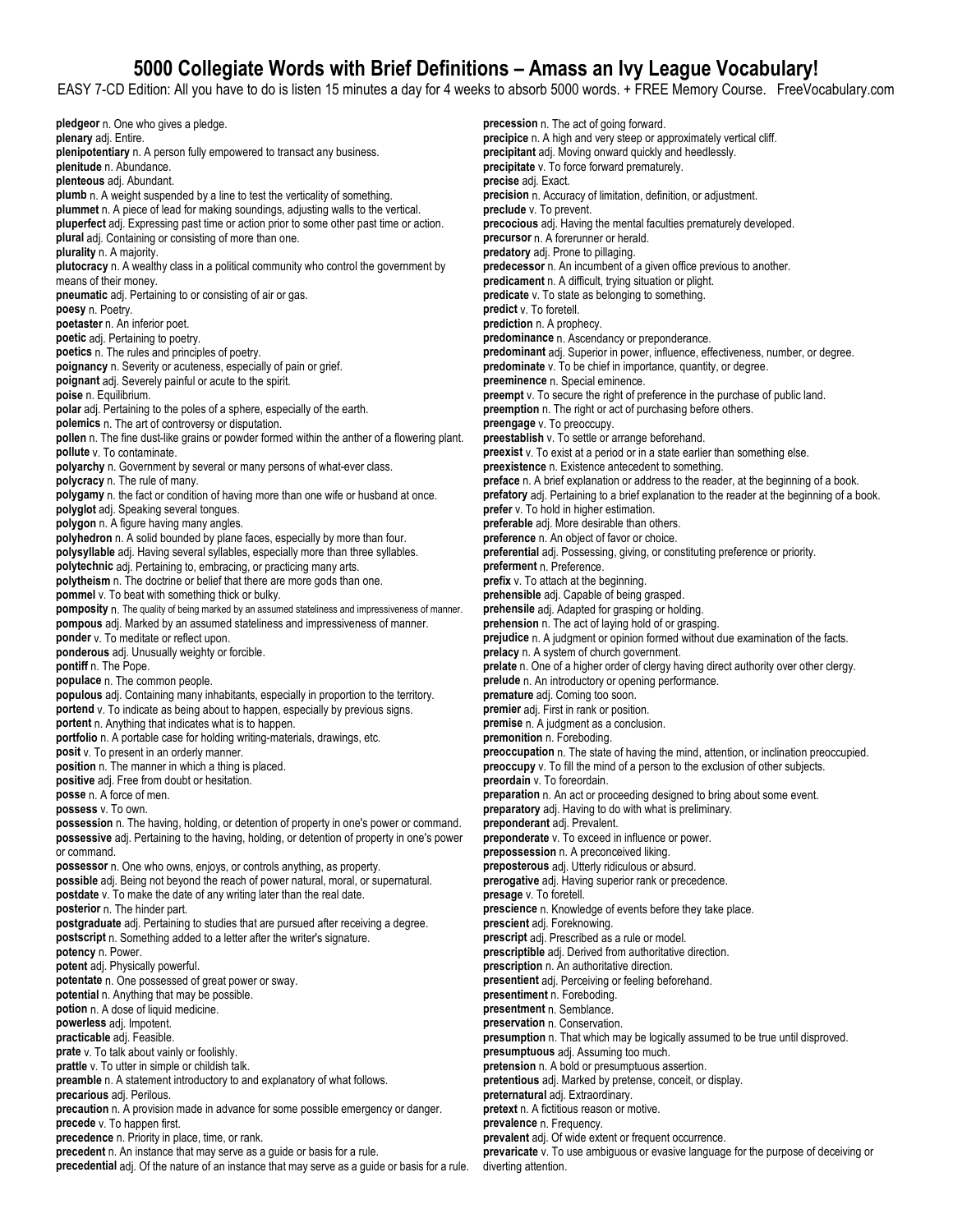EASY 7-CD Edition: All you have to do is listen 15 minutes a day for 4 weeks to absorb 5000 words. + FREE Memory Course. FreeVocabulary.com

**pledgeor** n. One who gives a pledge. **plenary** adj. Entire. **plenipotentiary** n. A person fully empowered to transact any business. **plenitude** n. Abundance. **plenteous** adj. Abundant. **plumb** n. A weight suspended by a line to test the verticality of something. **plummet** n. A piece of lead for making soundings, adjusting walls to the vertical. **pluperfect** adj. Expressing past time or action prior to some other past time or action. **plural** adj. Containing or consisting of more than one. **plurality** n. A majority. **plutocracy** n. A wealthy class in a political community who control the government by means of their money. **pneumatic** adj. Pertaining to or consisting of air or gas. **poesy** n. Poetry. **poetaster** n. An inferior poet. **poetic** adj. Pertaining to poetry. **poetics** n. The rules and principles of poetry. **poignancy** n. Severity or acuteness, especially of pain or grief. **poignant** adj. Severely painful or acute to the spirit. **poise** n. Equilibrium. **polar** adj. Pertaining to the poles of a sphere, especially of the earth. **polemics** n. The art of controversy or disputation. **pollen** n. The fine dust-like grains or powder formed within the anther of a flowering plant. **pollute** v. To contaminate. **polyarchy** n. Government by several or many persons of what-ever class. **polycracy** n. The rule of many. **polygamy** n. the fact or condition of having more than one wife or husband at once. **polyglot** adj. Speaking several tongues. **polygon** n. A figure having many angles. **polyhedron** n. A solid bounded by plane faces, especially by more than four. **polysyllable** adj. Having several syllables, especially more than three syllables. **polytechnic** adj. Pertaining to, embracing, or practicing many arts. **polytheism** n. The doctrine or belief that there are more gods than one. **pommel** v. To beat with something thick or bulky. **pomposity** n. The quality of being marked by an assumed stateliness and impressiveness of manner. **pompous** adj. Marked by an assumed stateliness and impressiveness of manner. **ponder** v. To meditate or reflect upon. **ponderous** adj. Unusually weighty or forcible. **pontiff** n. The Pope. **populace** n. The common people. **populous** adj. Containing many inhabitants, especially in proportion to the territory. **portend** v. To indicate as being about to happen, especially by previous signs. **portent** n. Anything that indicates what is to happen. **portfolio** n. A portable case for holding writing-materials, drawings, etc. **posit** v. To present in an orderly manner. **position** n. The manner in which a thing is placed. **positive** adj. Free from doubt or hesitation. **posse** n. A force of men. **possess** v. To own. **possession** n. The having, holding, or detention of property in one's power or command. **possessive** adj. Pertaining to the having, holding, or detention of property in one's power or command. **possessor** n. One who owns, enjoys, or controls anything, as property. **possible** adj. Being not beyond the reach of power natural, moral, or supernatural. **postdate** v. To make the date of any writing later than the real date. **posterior** n. The hinder part. **postgraduate** adj. Pertaining to studies that are pursued after receiving a degree. **postscript** n. Something added to a letter after the writer's signature. **potency** n. Power. **potent** adj. Physically powerful. **potentate** n. One possessed of great power or sway. **potential** n. Anything that may be possible. **potion** n. A dose of liquid medicine. **powerless** adj. Impotent. **practicable** adj. Feasible. **prate** v. To talk about vainly or foolishly. **prattle** v. To utter in simple or childish talk. **preamble** n. A statement introductory to and explanatory of what follows. **precarious** adj. Perilous. **precaution** n. A provision made in advance for some possible emergency or danger. **precede** v. To happen first. **precedence** n. Priority in place, time, or rank. **precedent** n. An instance that may serve as a guide or basis for a rule. **precedential** adj. Of the nature of an instance that may serve as a guide or basis for a rule.

**precession** n. The act of going forward. **precipice** n. A high and very steep or approximately vertical cliff. **precipitant** adj. Moving onward quickly and heedlessly. **precipitate** v. To force forward prematurely. **precise** adj. Exact. **precision** n. Accuracy of limitation, definition, or adjustment. **preclude** v. To prevent. **precocious** adj. Having the mental faculties prematurely developed. **precursor** n. A forerunner or herald. **predatory** adj. Prone to pillaging. **predecessor** n. An incumbent of a given office previous to another. **predicament** n. A difficult, trying situation or plight. **predicate** v. To state as belonging to something. **predict** v. To foretell. **prediction** n. A prophecy. **predominance** n. Ascendancy or preponderance. **predominant** adj. Superior in power, influence, effectiveness, number, or degree. **predominate** v. To be chief in importance, quantity, or degree. **preeminence** n. Special eminence. **preempt** v. To secure the right of preference in the purchase of public land. **preemption** n. The right or act of purchasing before others. **preengage** v. To preoccupy. **preestablish** v. To settle or arrange beforehand. **preexist** v. To exist at a period or in a state earlier than something else. **preexistence** n. Existence antecedent to something. **preface** n. A brief explanation or address to the reader, at the beginning of a book. **prefatory** adj. Pertaining to a brief explanation to the reader at the beginning of a book. **prefer** v. To hold in higher estimation. **preferable** adj. More desirable than others. **preference** n. An object of favor or choice. **preferential** adj. Possessing, giving, or constituting preference or priority. **preferment** n. Preference. **prefix** v. To attach at the beginning. **prehensible** adj. Capable of being grasped. **prehensile** adj. Adapted for grasping or holding. **prehension** n. The act of laying hold of or grasping. **prejudice** n. A judgment or opinion formed without due examination of the facts. **prelacy** n. A system of church government. **prelate** n. One of a higher order of clergy having direct authority over other clergy. **prelude** n. An introductory or opening performance. **premature** adj. Coming too soon. **premier** adj. First in rank or position. **premise** n. A judgment as a conclusion. **premonition** n. Foreboding. **preoccupation** n. The state of having the mind, attention, or inclination preoccupied. **preoccupy** v. To fill the mind of a person to the exclusion of other subjects. **preordain** v. To foreordain. **preparation** n. An act or proceeding designed to bring about some event. **preparatory** adj. Having to do with what is preliminary. **preponderant** adj. Prevalent. **preponderate** v. To exceed in influence or power. **prepossession** n. A preconceived liking. **preposterous** adj. Utterly ridiculous or absurd. **prerogative** adj. Having superior rank or precedence. **presage** v. To foretell. **prescience** n. Knowledge of events before they take place. **prescient** adj. Foreknowing. **prescript** adj. Prescribed as a rule or model. **prescriptible** adj. Derived from authoritative direction. **prescription** n. An authoritative direction. **presentient** adj. Perceiving or feeling beforehand. **presentiment** n. Foreboding. **presentment** n. Semblance. **preservation** n. Conservation. **presumption** n. That which may be logically assumed to be true until disproved. **presumptuous** adj. Assuming too much. **pretension** n. A bold or presumptuous assertion. **pretentious** adj. Marked by pretense, conceit, or display. **preternatural** adj. Extraordinary. **pretext** n. A fictitious reason or motive. **prevalence** n. Frequency. **prevalent** adj. Of wide extent or frequent occurrence.

**prevaricate** v. To use ambiguous or evasive language for the purpose of deceiving or diverting attention.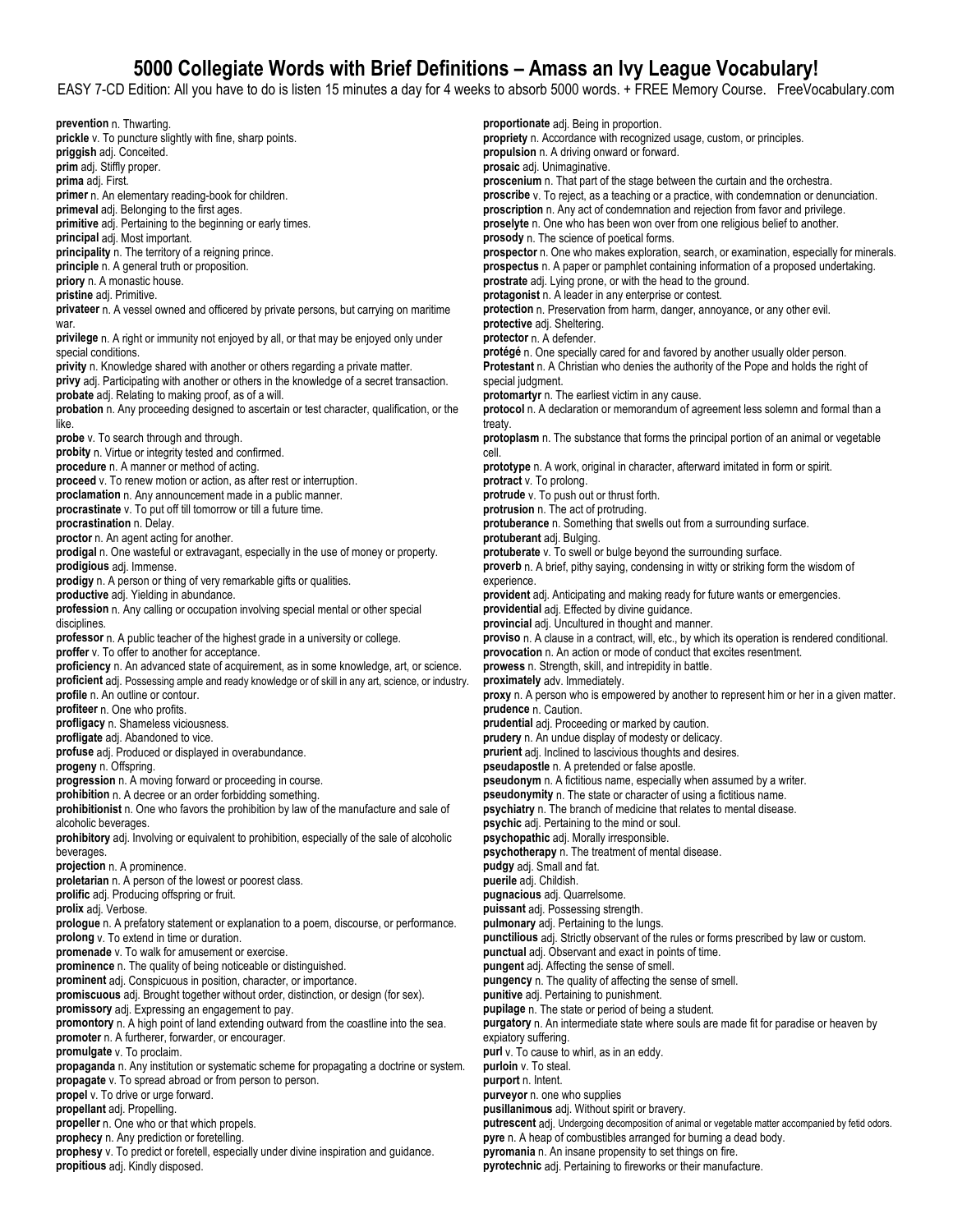EASY 7-CD Edition: All you have to do is listen 15 minutes a day for 4 weeks to absorb 5000 words. + FREE Memory Course. FreeVocabulary.com

**prevention** n. Thwarting. **prickle** v. To puncture slightly with fine, sharp points. **priggish** adj. Conceited. **prim** adj. Stiffly proper. **prima** adj. First. **primer** n. An elementary reading-book for children. **primeval** adj. Belonging to the first ages. **primitive** adj. Pertaining to the beginning or early times. **principal** adj. Most important. **principality** n. The territory of a reigning prince. **principle** n. A general truth or proposition. **priory** n. A monastic house. **pristine** adj. Primitive. **privateer** n. A vessel owned and officered by private persons, but carrying on maritime war. **privilege** n. A right or immunity not enjoyed by all, or that may be enjoyed only under special conditions. **privity** n. Knowledge shared with another or others regarding a private matter. **privy** adj. Participating with another or others in the knowledge of a secret transaction. **probate** adj. Relating to making proof, as of a will. **probation** n. Any proceeding designed to ascertain or test character, qualification, or the like. **probe** v. To search through and through. **probity** n. Virtue or integrity tested and confirmed. **procedure** n. A manner or method of acting. **proceed** v. To renew motion or action, as after rest or interruption. **proclamation** n. Any announcement made in a public manner. **procrastinate** v. To put off till tomorrow or till a future time. **procrastination** n. Delay. **proctor** n. An agent acting for another. **prodigal** n. One wasteful or extravagant, especially in the use of money or property. **prodigious** adj. Immense. **prodigy** n. A person or thing of very remarkable gifts or qualities. **productive** adj. Yielding in abundance. **profession** n. Any calling or occupation involving special mental or other special disciplines. **professor** n. A public teacher of the highest grade in a university or college. **proffer** v. To offer to another for acceptance. **proficiency** n. An advanced state of acquirement, as in some knowledge, art, or science. **proficient** adj. Possessing ample and ready knowledge or of skill in any art, science, or industry. **profile** n. An outline or contour. **profiteer** n. One who profits. **profligacy** n. Shameless viciousness. **profligate** adj. Abandoned to vice. **profuse** adj. Produced or displayed in overabundance. **progeny** n. Offspring. **progression** n. A moving forward or proceeding in course. **prohibition** n. A decree or an order forbidding something. **prohibitionist** n. One who favors the prohibition by law of the manufacture and sale of alcoholic beverages. **prohibitory** adj. Involving or equivalent to prohibition, especially of the sale of alcoholic beverages. **projection** n. A prominence. **proletarian** n. A person of the lowest or poorest class. **prolific** adj. Producing offspring or fruit. **prolix** adj. Verbose. **prologue** n. A prefatory statement or explanation to a poem, discourse, or performance. **prolong** v. To extend in time or duration. **promenade** v. To walk for amusement or exercise. **prominence** n. The quality of being noticeable or distinguished. **prominent** adj. Conspicuous in position, character, or importance. **promiscuous** adj. Brought together without order, distinction, or design (for sex). **promissory** adj. Expressing an engagement to pay. **promontory** n. A high point of land extending outward from the coastline into the sea. **promoter** n. A furtherer, forwarder, or encourager. **promulgate** v. To proclaim. **propaganda** n. Any institution or systematic scheme for propagating a doctrine or system. **propagate** v. To spread abroad or from person to person. **propel** v. To drive or urge forward. **propellant** adj. Propelling. **propeller** n. One who or that which propels. **prophecy** n. Any prediction or foretelling. **prophesy** v. To predict or foretell, especially under divine inspiration and guidance. **propitious** adj. Kindly disposed. **prosaic** adj. Unimaginative. **protective** adj. Sheltering. **protector** n. A defender. special judgment. treaty. cell. **protract** v. To prolong. **protuberant** adj. Bulging. experience. **proximately** adv. Immediately. **prudence** n. Caution. **pudgy** adj. Small and fat. **puerile** adj. Childish. **pugnacious** adj. Quarrelsome. expiatory suffering. **purloin** v. To steal. **purport** n. Intent. **purveyor** n. one who supplies

**proportionate** adj. Being in proportion. **propriety** n. Accordance with recognized usage, custom, or principles. **propulsion** n. A driving onward or forward. **proscenium** n. That part of the stage between the curtain and the orchestra. **proscribe** v. To reject, as a teaching or a practice, with condemnation or denunciation. **proscription** n. Any act of condemnation and rejection from favor and privilege. **proselyte** n. One who has been won over from one religious belief to another. **prosody** n. The science of poetical forms. **prospector** n. One who makes exploration, search, or examination, especially for minerals. **prospectus** n. A paper or pamphlet containing information of a proposed undertaking. **prostrate** adj. Lying prone, or with the head to the ground. **protagonist** n. A leader in any enterprise or contest. **protection** n. Preservation from harm, danger, annoyance, or any other evil. **protégé** n. One specially cared for and favored by another usually older person. **Protestant** n. A Christian who denies the authority of the Pope and holds the right of **protomartyr** n. The earliest victim in any cause. **protocol** n. A declaration or memorandum of agreement less solemn and formal than a **protoplasm** n. The substance that forms the principal portion of an animal or vegetable **prototype** n. A work, original in character, afterward imitated in form or spirit. **protrude** v. To push out or thrust forth. **protrusion** n. The act of protruding. **protuberance** n. Something that swells out from a surrounding surface. **protuberate** v. To swell or bulge beyond the surrounding surface. **proverb** n. A brief, pithy saying, condensing in witty or striking form the wisdom of **provident** adj. Anticipating and making ready for future wants or emergencies. **providential** adj. Effected by divine guidance. **provincial** adj. Uncultured in thought and manner. **proviso** n. A clause in a contract, will, etc., by which its operation is rendered conditional. **provocation** n. An action or mode of conduct that excites resentment. **prowess** n. Strength, skill, and intrepidity in battle. **proxy** n. A person who is empowered by another to represent him or her in a given matter. **prudential** adj. Proceeding or marked by caution. **prudery** n. An undue display of modesty or delicacy. **prurient** adj. Inclined to lascivious thoughts and desires. **pseudapostle** n. A pretended or false apostle. **pseudonym** n. A fictitious name, especially when assumed by a writer. **pseudonymity** n. The state or character of using a fictitious name. **psychiatry** n. The branch of medicine that relates to mental disease. **psychic** adj. Pertaining to the mind or soul. **psychopathic** adj. Morally irresponsible. **psychotherapy** n. The treatment of mental disease. **puissant** adj. Possessing strength. **pulmonary** adj. Pertaining to the lungs. **punctilious** adj. Strictly observant of the rules or forms prescribed by law or custom. **punctual** adj. Observant and exact in points of time. **pungent** adj. Affecting the sense of smell. **pungency** n. The quality of affecting the sense of smell. **punitive** adj. Pertaining to punishment. **pupilage** n. The state or period of being a student. **purgatory** n. An intermediate state where souls are made fit for paradise or heaven by **purl** v. To cause to whirl, as in an eddy. **pusillanimous** adj. Without spirit or bravery. **putrescent** adj. Undergoing decomposition of animal or vegetable matter accompanied by fetid odors. **pyre** n. A heap of combustibles arranged for burning a dead body.

**pyromania** n. An insane propensity to set things on fire.

**pyrotechnic** adj. Pertaining to fireworks or their manufacture.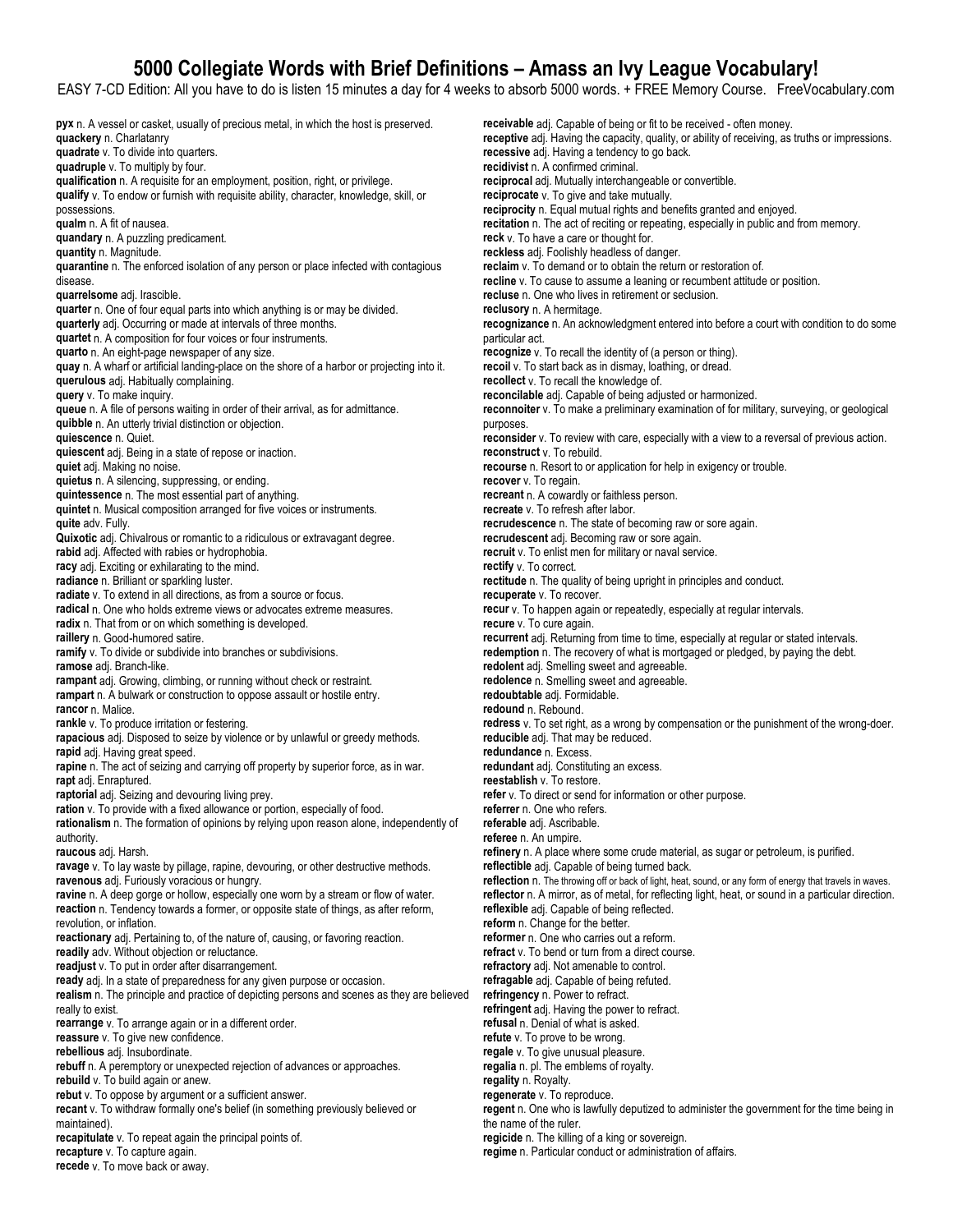EASY 7-CD Edition: All you have to do is listen 15 minutes a day for 4 weeks to absorb 5000 words. + FREE Memory Course. FreeVocabulary.com

**pyx** n. A vessel or casket, usually of precious metal, in which the host is preserved. **quackery** n. Charlatanry **quadrate** v. To divide into quarters. **quadruple** v. To multiply by four. **qualification** n. A requisite for an employment, position, right, or privilege. **qualify** v. To endow or furnish with requisite ability, character, knowledge, skill, or possessions. **qualm** n. A fit of nausea. **quandary** n. A puzzling predicament. **quantity** n. Magnitude. **quarantine** n. The enforced isolation of any person or place infected with contagious disease. **quarrelsome** adj. Irascible. **quarter** n. One of four equal parts into which anything is or may be divided. **quarterly** adj. Occurring or made at intervals of three months. **quartet** n. A composition for four voices or four instruments. **quarto** n. An eight-page newspaper of any size. **quay** n. A wharf or artificial landing-place on the shore of a harbor or projecting into it. **querulous** adj. Habitually complaining. **query** v. To make inquiry. **queue** n. A file of persons waiting in order of their arrival, as for admittance. **quibble** n. An utterly trivial distinction or objection. **quiescence** n. Quiet. **quiescent** adj. Being in a state of repose or inaction. **quiet** adj. Making no noise. **quietus** n. A silencing, suppressing, or ending. **quintessence** n. The most essential part of anything. **quintet** n. Musical composition arranged for five voices or instruments. **quite** adv. Fully. **Quixotic** adj. Chivalrous or romantic to a ridiculous or extravagant degree. **rabid** adj. Affected with rabies or hydrophobia. **racy** adj. Exciting or exhilarating to the mind. **radiance** n. Brilliant or sparkling luster. **radiate** v. To extend in all directions, as from a source or focus. **radical** n. One who holds extreme views or advocates extreme measures. **radix** n. That from or on which something is developed. **raillery** n. Good-humored satire. **ramify** v. To divide or subdivide into branches or subdivisions. **ramose** adj. Branch-like. **rampant** adj. Growing, climbing, or running without check or restraint. **rampart** n. A bulwark or construction to oppose assault or hostile entry. **rancor** n. Malice. **rankle** v. To produce irritation or festering. **rapacious** adj. Disposed to seize by violence or by unlawful or greedy methods. **rapid** adj. Having great speed. **rapine** n. The act of seizing and carrying off property by superior force, as in war. **rapt** adj. Enraptured. **raptorial** adj. Seizing and devouring living prey. **ration** v. To provide with a fixed allowance or portion, especially of food. **rationalism** n. The formation of opinions by relying upon reason alone, independently of authority. **raucous** adj. Harsh. **ravage** v. To lay waste by pillage, rapine, devouring, or other destructive methods. **ravenous** adj. Furiously voracious or hungry. **ravine** n. A deep gorge or hollow, especially one worn by a stream or flow of water. **reaction** n. Tendency towards a former, or opposite state of things, as after reform, revolution, or inflation. **reactionary** adj. Pertaining to, of the nature of, causing, or favoring reaction. **readily** adv. Without objection or reluctance. **readjust** v. To put in order after disarrangement. **ready** adj. In a state of preparedness for any given purpose or occasion. **realism** n. The principle and practice of depicting persons and scenes as they are believed really to exist. **rearrange** v. To arrange again or in a different order. **reassure** v. To give new confidence. **rebellious** adj. Insubordinate. **rebuff** n. A peremptory or unexpected rejection of advances or approaches. **rebuild** v. To build again or anew. **rebut** v. To oppose by argument or a sufficient answer. **recant** v. To withdraw formally one's belief (in something previously believed or maintained). **recapitulate** v. To repeat again the principal points of. **recapture** v. To capture again. **recede** v. To move back or away. **receivable** adj. Capable of being or fit to be received - often money. **receptive** adj. Having the capacity, quality, or ability of receiving, as truths or impressions. **recessive** adj. Having a tendency to go back. **recidivist** n. A confirmed criminal. **reciprocal** adj. Mutually interchangeable or convertible. **reciprocate** v. To give and take mutually. **reciprocity** n. Equal mutual rights and benefits granted and enjoyed. **recitation** n. The act of reciting or repeating, especially in public and from memory. **reck** v. To have a care or thought for. **reckless** adj. Foolishly headless of danger. **reclaim** v. To demand or to obtain the return or restoration of. **recline** v. To cause to assume a leaning or recumbent attitude or position. **recluse** n. One who lives in retirement or seclusion. **reclusory** n. A hermitage. **recognizance** n. An acknowledgment entered into before a court with condition to do some particular act. **recognize** v. To recall the identity of (a person or thing). **recoil** v. To start back as in dismay, loathing, or dread. **recollect** v. To recall the knowledge of. **reconcilable** adj. Capable of being adjusted or harmonized. **reconnoiter** v. To make a preliminary examination of for military, surveying, or geological purposes. **reconsider** v. To review with care, especially with a view to a reversal of previous action. **reconstruct** v. To rebuild. **recourse** n. Resort to or application for help in exigency or trouble. **recover** v. To regain. **recreant** n. A cowardly or faithless person. **recreate** v. To refresh after labor. **recrudescence** n. The state of becoming raw or sore again. **recrudescent** adj. Becoming raw or sore again. **recruit** v. To enlist men for military or naval service. **rectify** v. To correct. **rectitude** n. The quality of being upright in principles and conduct. **recuperate** v. To recover. **recur** v. To happen again or repeatedly, especially at regular intervals. **recure** v. To cure again. **recurrent** adj. Returning from time to time, especially at regular or stated intervals. **redemption** n. The recovery of what is mortgaged or pledged, by paying the debt. **redolent** adj. Smelling sweet and agreeable. **redolence** n. Smelling sweet and agreeable. **redoubtable** adj. Formidable. **redound** n. Rebound. **redress** v. To set right, as a wrong by compensation or the punishment of the wrong-doer. **reducible** adj. That may be reduced. **redundance** n. Excess. **redundant** adj. Constituting an excess. **reestablish** v. To restore. **refer** v. To direct or send for information or other purpose. **referrer** n. One who refers. **referable** adj. Ascribable. **referee** n. An umpire. **refinery** n. A place where some crude material, as sugar or petroleum, is purified. **reflectible** adj. Capable of being turned back. **reflection** n. The throwing off or back of light, heat, sound, or any form of energy that travels in waves. **reflector** n. A mirror, as of metal, for reflecting light, heat, or sound in a particular direction. **reflexible** adj. Capable of being reflected. **reform** n. Change for the better. **reformer** n. One who carries out a reform. **refract** v. To bend or turn from a direct course. **refractory** adj. Not amenable to control. **refragable** adj. Capable of being refuted. **refringency** n. Power to refract. **refringent** adj. Having the power to refract. **refusal** n. Denial of what is asked. **refute** v. To prove to be wrong. **regale** v. To give unusual pleasure. **regalia** n. pl. The emblems of royalty. **regality** n. Royalty. **regenerate** v. To reproduce. **regent** n. One who is lawfully deputized to administer the government for the time being in the name of the ruler. **regicide** n. The killing of a king or sovereign. **regime** n. Particular conduct or administration of affairs.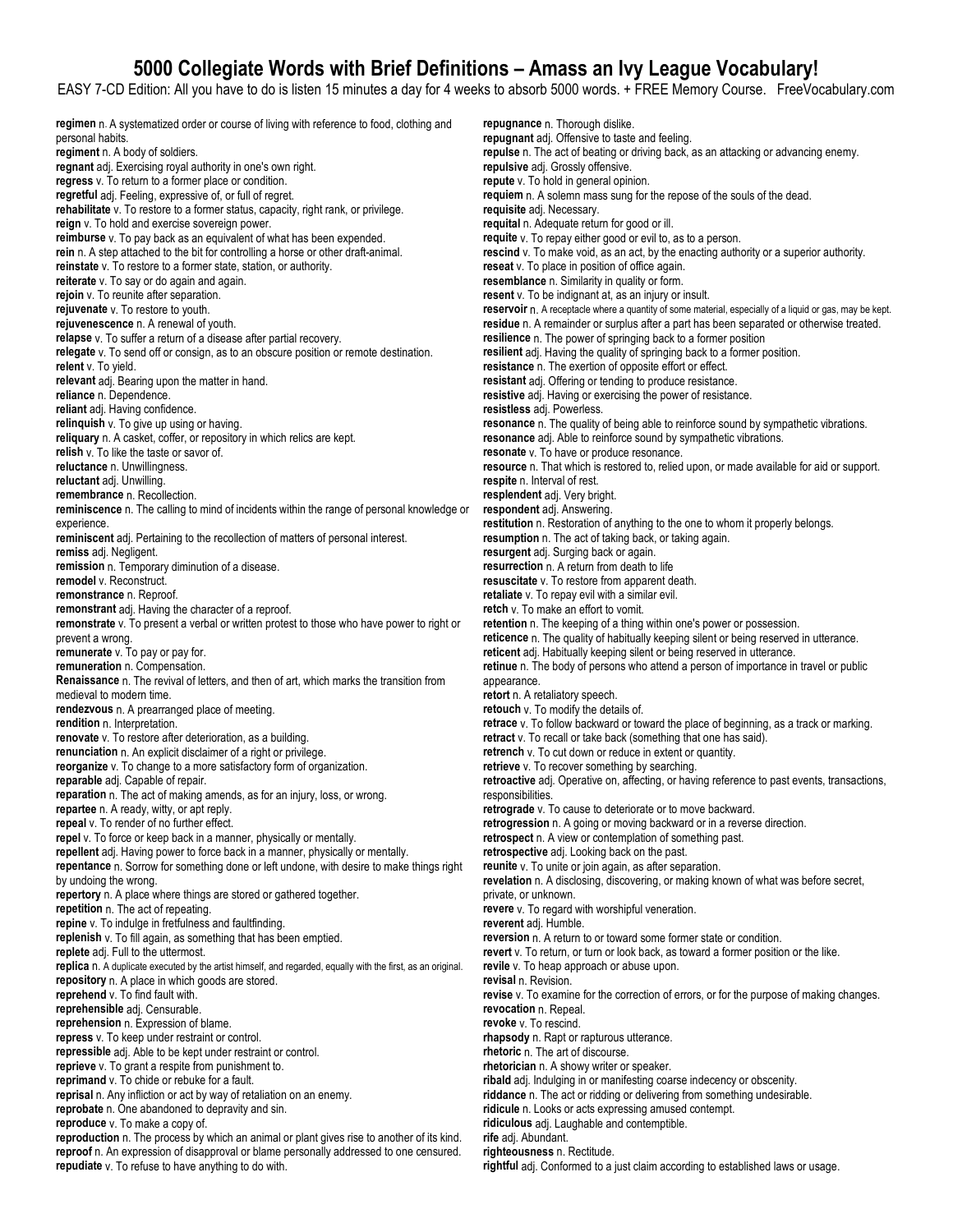EASY 7-CD Edition: All you have to do is listen 15 minutes a day for 4 weeks to absorb 5000 words. + FREE Memory Course. FreeVocabulary.com

**regimen** n. A systematized order or course of living with reference to food, clothing and personal habits. **regiment** n. A body of soldiers. **regnant** adj. Exercising royal authority in one's own right. **regress** v. To return to a former place or condition. **regretful** adj. Feeling, expressive of, or full of regret. **rehabilitate** v. To restore to a former status, capacity, right rank, or privilege. **reign** v. To hold and exercise sovereign power. **reimburse** v. To pay back as an equivalent of what has been expended. **rein** n. A step attached to the bit for controlling a horse or other draft-animal. **reinstate** v. To restore to a former state, station, or authority. **reiterate** v. To say or do again and again. **rejoin** v. To reunite after separation. **rejuvenate** v. To restore to youth. **rejuvenescence** n. A renewal of youth. **relapse** v. To suffer a return of a disease after partial recovery. **relegate** v. To send off or consign, as to an obscure position or remote destination. **relent** v. To yield. **relevant** adj. Bearing upon the matter in hand. **reliance** n. Dependence. **reliant** adj. Having confidence. **relinquish** v. To give up using or having. **reliquary** n. A casket, coffer, or repository in which relics are kept. **relish** v. To like the taste or savor of. **reluctance** n. Unwillingness. **reluctant** adj. Unwilling. **remembrance** n. Recollection. **reminiscence** n. The calling to mind of incidents within the range of personal knowledge or experience. **reminiscent** adj. Pertaining to the recollection of matters of personal interest. **remiss** adj. Negligent. **remission** n. Temporary diminution of a disease. **remodel** v. Reconstruct. **remonstrance** n. Reproof. **remonstrant** adj. Having the character of a reproof. **remonstrate** v. To present a verbal or written protest to those who have power to right or prevent a wrong. **remunerate** v. To pay or pay for. **remuneration** n. Compensation. **Renaissance** n. The revival of letters, and then of art, which marks the transition from medieval to modern time. **rendezvous** n. A prearranged place of meeting. **rendition** n. Interpretation. **renovate** v. To restore after deterioration, as a building. **renunciation** n. An explicit disclaimer of a right or privilege. **reorganize** v. To change to a more satisfactory form of organization. **reparable** adj. Capable of repair. **reparation** n. The act of making amends, as for an injury, loss, or wrong. **repartee** n. A ready, witty, or apt reply. **repeal** v. To render of no further effect. **repel** v. To force or keep back in a manner, physically or mentally. **repellent** adj. Having power to force back in a manner, physically or mentally. **repentance** n. Sorrow for something done or left undone, with desire to make things right by undoing the wrong. **repertory** n. A place where things are stored or gathered together. **repetition** n. The act of repeating. **repine** v. To indulge in fretfulness and faultfinding. **replenish** v. To fill again, as something that has been emptied. **replete** adj. Full to the uttermost. **replica** n. A duplicate executed by the artist himself, and regarded, equally with the first, as an original. **repository** n. A place in which goods are stored. **reprehend** v. To find fault with. **reprehensible** adj. Censurable. **reprehension** n. Expression of blame. **repress** v. To keep under restraint or control. **repressible** adj. Able to be kept under restraint or control. **reprieve** v. To grant a respite from punishment to. **reprimand** v. To chide or rebuke for a fault. **reprisal** n. Any infliction or act by way of retaliation on an enemy. **reprobate** n. One abandoned to depravity and sin. **reproduce** v. To make a copy of. **reproduction** n. The process by which an animal or plant gives rise to another of its kind. **reproof** n. An expression of disapproval or blame personally addressed to one censured. **repudiate** v. To refuse to have anything to do with.

**repugnance** n. Thorough dislike. **repugnant** adj. Offensive to taste and feeling. **repulse** n. The act of beating or driving back, as an attacking or advancing enemy. **repulsive** adj. Grossly offensive. **repute** v. To hold in general opinion. **requiem** n. A solemn mass sung for the repose of the souls of the dead. **requisite** adj. Necessary. **requital** n. Adequate return for good or ill. **requite** v. To repay either good or evil to, as to a person. **rescind** v. To make void, as an act, by the enacting authority or a superior authority. **reseat** v. To place in position of office again. **resemblance** n. Similarity in quality or form. **resent** v. To be indignant at, as an injury or insult. **reservoir** n. A receptacle where a quantity of some material, especially of a liquid or gas, may be kept. **residue** n. A remainder or surplus after a part has been separated or otherwise treated. **resilience** n. The power of springing back to a former position **resilient** adj. Having the quality of springing back to a former position. **resistance** n. The exertion of opposite effort or effect. **resistant** adj. Offering or tending to produce resistance. **resistive** adj. Having or exercising the power of resistance. **resistless** adj. Powerless. **resonance** n. The quality of being able to reinforce sound by sympathetic vibrations. **resonance** adj. Able to reinforce sound by sympathetic vibrations. **resonate** v. To have or produce resonance. **resource** n. That which is restored to, relied upon, or made available for aid or support. **respite** n. Interval of rest. **resplendent** adj. Very bright. **respondent** adj. Answering. **restitution** n. Restoration of anything to the one to whom it properly belongs. **resumption** n. The act of taking back, or taking again. **resurgent** adj. Surging back or again. **resurrection** n. A return from death to life **resuscitate** v. To restore from apparent death. **retaliate** v. To repay evil with a similar evil. **retch** v. To make an effort to vomit. **retention** n. The keeping of a thing within one's power or possession. **reticence** n. The quality of habitually keeping silent or being reserved in utterance. **reticent** adj. Habitually keeping silent or being reserved in utterance. **retinue** n. The body of persons who attend a person of importance in travel or public appearance. **retort** n. A retaliatory speech. **retouch** v. To modify the details of. **retrace** v. To follow backward or toward the place of beginning, as a track or marking. **retract** v. To recall or take back (something that one has said). **retrench** v. To cut down or reduce in extent or quantity. **retrieve** v. To recover something by searching. **retroactive** adj. Operative on, affecting, or having reference to past events, transactions, responsibilities. **retrograde** v. To cause to deteriorate or to move backward. **retrogression** n. A going or moving backward or in a reverse direction. **retrospect** n. A view or contemplation of something past. **retrospective** adj. Looking back on the past. **reunite** v. To unite or join again, as after separation. **revelation** n. A disclosing, discovering, or making known of what was before secret, private, or unknown. **revere** v. To regard with worshipful veneration. **reverent** adj. Humble. **reversion** n. A return to or toward some former state or condition. **revert** v. To return, or turn or look back, as toward a former position or the like. **revile** v. To heap approach or abuse upon. **revisal** n. Revision. **revise** v. To examine for the correction of errors, or for the purpose of making changes. **revocation** n. Repeal. **revoke** v. To rescind. **rhapsody** n. Rapt or rapturous utterance. **rhetoric** n. The art of discourse. **rhetorician** n. A showy writer or speaker. **ribald** adj. Indulging in or manifesting coarse indecency or obscenity. **riddance** n. The act or ridding or delivering from something undesirable. **ridicule** n. Looks or acts expressing amused contempt. **ridiculous** adj. Laughable and contemptible. **rife** adj. Abundant. **righteousness** n. Rectitude. **rightful** adj. Conformed to a just claim according to established laws or usage.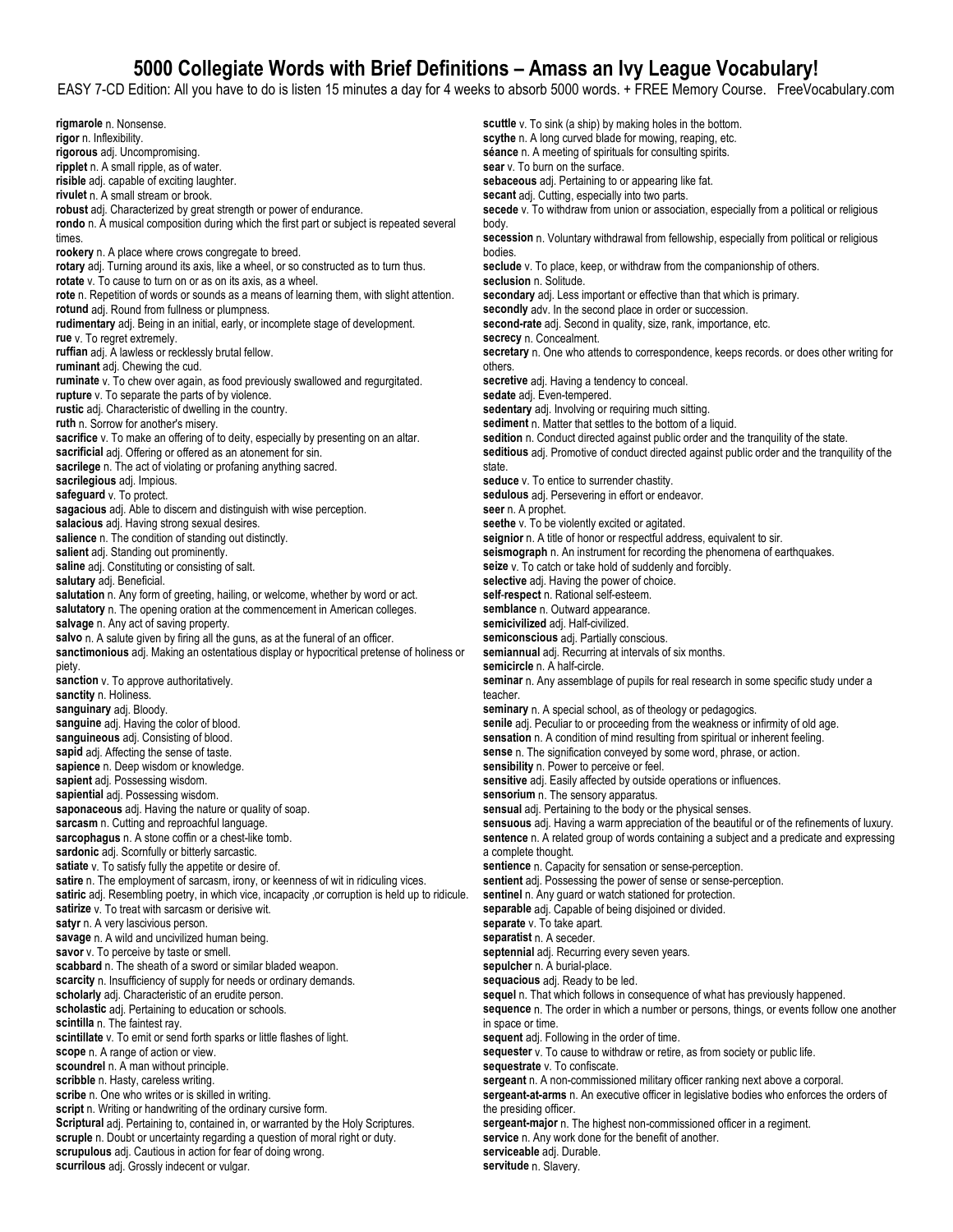EASY 7-CD Edition: All you have to do is listen 15 minutes a day for 4 weeks to absorb 5000 words. + FREE Memory Course. FreeVocabulary.com

**rigmarole** n. Nonsense. **rigor** n. Inflexibility. **rigorous** adj. Uncompromising. **ripplet** n. A small ripple, as of water. **risible** adj. capable of exciting laughter. **rivulet** n. A small stream or brook. **robust** adj. Characterized by great strength or power of endurance. **rondo** n. A musical composition during which the first part or subject is repeated several times. **rookery** n. A place where crows congregate to breed. **rotary** adj. Turning around its axis, like a wheel, or so constructed as to turn thus. **rotate** v. To cause to turn on or as on its axis, as a wheel. **rote** n. Repetition of words or sounds as a means of learning them, with slight attention. **rotund** adj. Round from fullness or plumpness. **rudimentary** adj. Being in an initial, early, or incomplete stage of development. **rue** v. To regret extremely. **ruffian** adj. A lawless or recklessly brutal fellow. **ruminant** adj. Chewing the cud. **ruminate** v. To chew over again, as food previously swallowed and regurgitated. **rupture** v. To separate the parts of by violence. **rustic** adj. Characteristic of dwelling in the country. **ruth** n. Sorrow for another's misery. **sacrifice** v. To make an offering of to deity, especially by presenting on an altar. **sacrificial** adj. Offering or offered as an atonement for sin. **sacrilege** n. The act of violating or profaning anything sacred. **sacrilegious** adj. Impious. **safeguard** v. To protect. **sagacious** adj. Able to discern and distinguish with wise perception. **salacious** adj. Having strong sexual desires. salience n. The condition of standing out distinctly. **salient** adj. Standing out prominently. **saline** adj. Constituting or consisting of salt. **salutary** adj. Beneficial. **salutation** n. Any form of greeting, hailing, or welcome, whether by word or act. **salutatory** n. The opening oration at the commencement in American colleges. **salvage** n. Any act of saving property. **salvo** n. A salute given by firing all the guns, as at the funeral of an officer. **sanctimonious** adj. Making an ostentatious display or hypocritical pretense of holiness or piety. sanction v. To approve authoritatively. **sanctity** n. Holiness. **sanguinary** adj. Bloody. **sanguine** adj. Having the color of blood. **sanguineous** adj. Consisting of blood. sapid adj. Affecting the sense of taste. **sapience** n. Deep wisdom or knowledge. **sapient** adj. Possessing wisdom. **sapiential** adj. Possessing wisdom. **saponaceous** adj. Having the nature or quality of soap. **sarcasm** n. Cutting and reproachful language. sarcophagus n. A stone coffin or a chest-like tomb. **sardonic** adj. Scornfully or bitterly sarcastic. **satiate** v. To satisfy fully the appetite or desire of. **satire** n. The employment of sarcasm, irony, or keenness of wit in ridiculing vices. **satiric** adj. Resembling poetry, in which vice, incapacity ,or corruption is held up to ridicule. **satirize** v. To treat with sarcasm or derisive wit. satyr n. A very lascivious person. **savage** n. A wild and uncivilized human being. savor v. To perceive by taste or smell. **scabbard** n. The sheath of a sword or similar bladed weapon. **scarcity** n. Insufficiency of supply for needs or ordinary demands. **scholarly** adj. Characteristic of an erudite person. **scholastic** adj. Pertaining to education or schools. **scintilla** n. The faintest ray. **scintillate** v. To emit or send forth sparks or little flashes of light. **scope** n. A range of action or view. **scoundrel** n. A man without principle. **scribble** n. Hasty, careless writing. **scribe** n. One who writes or is skilled in writing. **script** n. Writing or handwriting of the ordinary cursive form. **Scriptural** adj. Pertaining to, contained in, or warranted by the Holy Scriptures. **scruple** n. Doubt or uncertainty regarding a question of moral right or duty. **scrupulous** adj. Cautious in action for fear of doing wrong. **scurrilous** adj. Grossly indecent or vulgar.

scuttle v. To sink (a ship) by making holes in the bottom. scythe n. A long curved blade for mowing, reaping, etc. séance n. A meeting of spirituals for consulting spirits. **sear** v. To burn on the surface. **sebaceous** adj. Pertaining to or appearing like fat. **secant** adj. Cutting, especially into two parts. **secede** v. To withdraw from union or association, especially from a political or religious body. **secession** n. Voluntary withdrawal from fellowship, especially from political or religious bodies. seclude v. To place, keep, or withdraw from the companionship of others. **seclusion** n. Solitude. **secondary** adj. Less important or effective than that which is primary. **secondly** adv. In the second place in order or succession. **second-rate** adj. Second in quality, size, rank, importance, etc. **secrecy** n. Concealment. **secretary** n. One who attends to correspondence, keeps records. or does other writing for others. **secretive** adj. Having a tendency to conceal. **sedate** adj. Even-tempered. **sedentary** adj. Involving or requiring much sitting. sediment n. Matter that settles to the bottom of a liquid. **sedition** n. Conduct directed against public order and the tranquility of the state. **seditious** adj. Promotive of conduct directed against public order and the tranquility of the state. seduce v. To entice to surrender chastity. **sedulous** adj. Persevering in effort or endeavor. **seer** n. A prophet. seethe v. To be violently excited or agitated. seignior n. A title of honor or respectful address, equivalent to sir. **seismograph** n. An instrument for recording the phenomena of earthquakes. **seize** v. To catch or take hold of suddenly and forcibly. **selective** adj. Having the power of choice. **self**-**respect** n. Rational self-esteem. **semblance** n. Outward appearance. **semicivilized** adj. Half-civilized. **semiconscious** adj. Partially conscious. **semiannual** adj. Recurring at intervals of six months. **semicircle** n. A half-circle. **seminar** n. Any assemblage of pupils for real research in some specific study under a teacher. **seminary** n. A special school, as of theology or pedagogics. **senile** adj. Peculiar to or proceeding from the weakness or infirmity of old age. **sensation** n. A condition of mind resulting from spiritual or inherent feeling. **sense** n. The signification conveyed by some word, phrase, or action. **sensibility** n. Power to perceive or feel. **sensitive** adj. Easily affected by outside operations or influences. **sensorium** n. The sensory apparatus. **sensual** adj. Pertaining to the body or the physical senses. **sensuous** adj. Having a warm appreciation of the beautiful or of the refinements of luxury. sentence n. A related group of words containing a subject and a predicate and expressing a complete thought. **sentience** n. Capacity for sensation or sense-perception. **sentient** adj. Possessing the power of sense or sense-perception. **sentinel** n. Any guard or watch stationed for protection. **separable** adj. Capable of being disjoined or divided. **separate** v. To take apart. **separatist** n. A seceder. **septennial** adj. Recurring every seven years. sepulcher n. A burial-place. **sequacious** adj. Ready to be led. **sequel** n. That which follows in consequence of what has previously happened. **sequence** n. The order in which a number or persons, things, or events follow one another in space or time. **sequent** adj. Following in the order of time. sequester v. To cause to withdraw or retire, as from society or public life. **sequestrate** v. To confiscate. **sergeant** n. A non-commissioned military officer ranking next above a corporal. **sergeant-at-arms** n. An executive officer in legislative bodies who enforces the orders of the presiding officer. **sergeant-major** n. The highest non-commissioned officer in a regiment. **service** n. Any work done for the benefit of another. **serviceable** adj. Durable. **servitude** n. Slavery.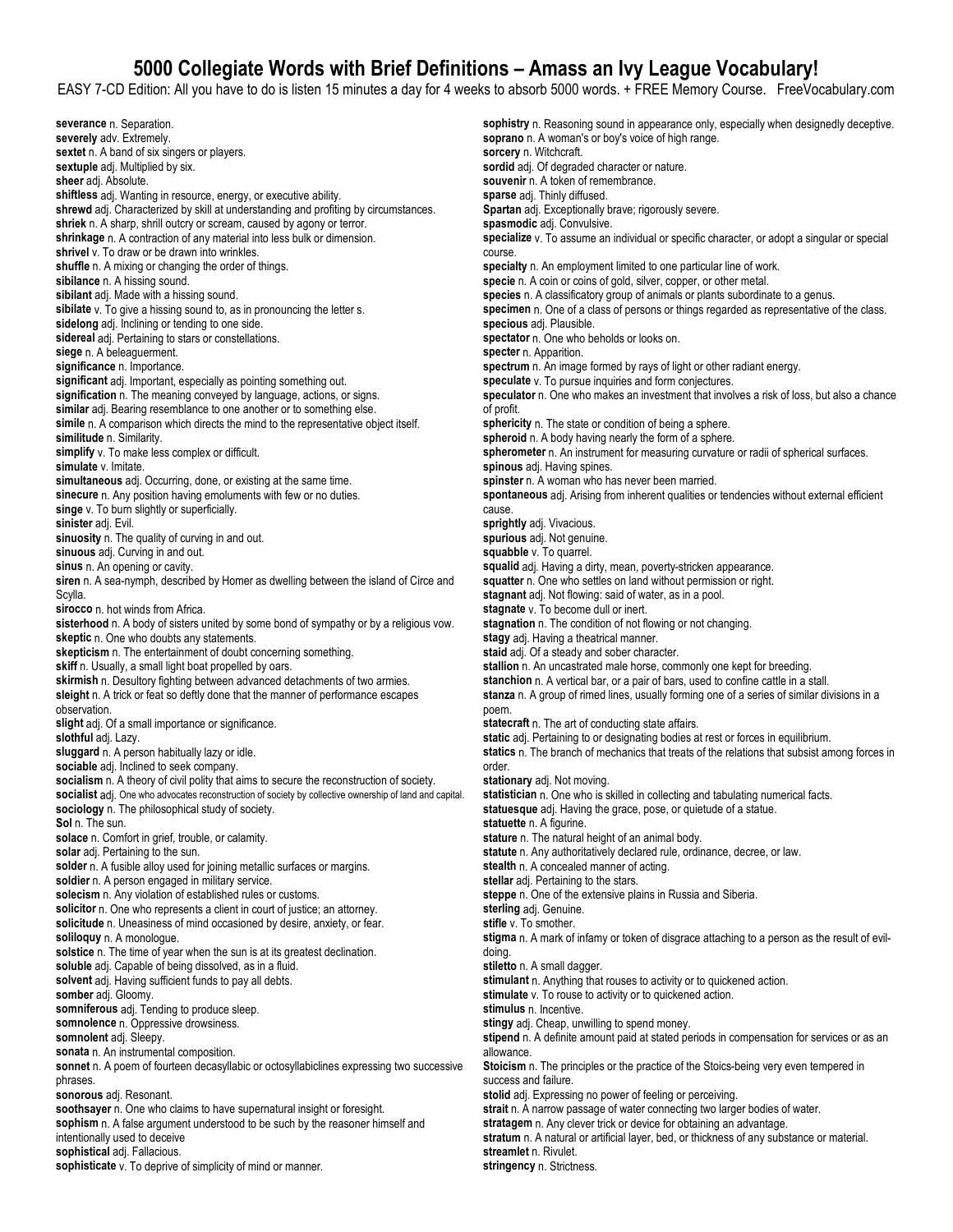EASY 7-CD Edition: All you have to do is listen 15 minutes a day for 4 weeks to absorb 5000 words. + FREE Memory Course. FreeVocabulary.com

**severance** n. Separation. **severely** adv. Extremely. **sextet** n. A band of six singers or players. **sextuple** adj. Multiplied by six. **sheer** adj. Absolute. **shiftless** adj. Wanting in resource, energy, or executive ability. **shrewd** adj. Characterized by skill at understanding and profiting by circumstances. **shriek** n. A sharp, shrill outcry or scream, caused by agony or terror. **shrinkage** n. A contraction of any material into less bulk or dimension. **shrivel** v. To draw or be drawn into wrinkles. **shuffle** n. A mixing or changing the order of things. **sibilance** n. A hissing sound. **sibilant** adj. Made with a hissing sound. sibilate v. To give a hissing sound to, as in pronouncing the letter s. **sidelong** adj. Inclining or tending to one side. **sidereal** adj. Pertaining to stars or constellations. **siege** n. A beleaguerment. **significance** n. Importance. **significant** adj. Important, especially as pointing something out. **signification** n. The meaning conveyed by language, actions, or signs. **similar** adj. Bearing resemblance to one another or to something else. **simile** n. A comparison which directs the mind to the representative object itself. **similitude** n. Similarity. **simplify** v. To make less complex or difficult. **simulate** v. Imitate. **simultaneous** adj. Occurring, done, or existing at the same time. **sinecure** n. Any position having emoluments with few or no duties. **singe** v. To burn slightly or superficially. **sinister** adj. Evil. sinuosity n. The quality of curving in and out. **sinuous** adj. Curving in and out. **sinus** n. An opening or cavity. **siren** n. A sea-nymph, described by Homer as dwelling between the island of Circe and Scylla. **sirocco** n. hot winds from Africa. **sisterhood** n. A body of sisters united by some bond of sympathy or by a religious vow. **skeptic** n. One who doubts any statements. **skepticism** n. The entertainment of doubt concerning something. skiff n. Usually, a small light boat propelled by oars. **skirmish** n. Desultory fighting between advanced detachments of two armies. **sleight** n. A trick or feat so deftly done that the manner of performance escapes observation. **slight** adj. Of a small importance or significance. **slothful** adj. Lazy. sluggard n. A person habitually lazy or idle. **sociable** adj. Inclined to seek company. **socialism** n. A theory of civil polity that aims to secure the reconstruction of society. **socialist** adj. One who advocates reconstruction of society by collective ownership of land and capital. **sociology** n. The philosophical study of society. **Sol** n. The sun. **solace** n. Comfort in grief, trouble, or calamity. **solar** adj. Pertaining to the sun. **solder** n. A fusible alloy used for joining metallic surfaces or margins. soldier n. A person engaged in military service. **solecism** n. Any violation of established rules or customs. solicitor n. One who represents a client in court of justice; an attorney. **solicitude** n. Uneasiness of mind occasioned by desire, anxiety, or fear. **soliloquy** n. A monologue. solstice n. The time of year when the sun is at its greatest declination. **soluble** adj. Capable of being dissolved, as in a fluid. **solvent** adj. Having sufficient funds to pay all debts. **somber** adj. Gloomy. **somniferous** adj. Tending to produce sleep. **somnolence** n. Oppressive drowsiness. **somnolent** adj. Sleepy. **sonata** n. An instrumental composition. **sonnet** n. A poem of fourteen decasyllabic or octosyllabiclines expressing two successive phrases. **sonorous** adj. Resonant. **soothsayer** n. One who claims to have supernatural insight or foresight. **sophism** n. A false argument understood to be such by the reasoner himself and intentionally used to deceive **sophistical** adj. Fallacious. **sophisticate** v. To deprive of simplicity of mind or manner.

**sophistry** n. Reasoning sound in appearance only, especially when designedly deceptive. **soprano** n. A woman's or boy's voice of high range. sorcery n. Witchcraft. **sordid** adj. Of degraded character or nature. **souvenir** n. A token of remembrance. **sparse** adj. Thinly diffused. **Spartan** adj. Exceptionally brave; rigorously severe. **spasmodic** adj. Convulsive. **specialize** v. To assume an individual or specific character, or adopt a singular or special course. **specialty** n. An employment limited to one particular line of work. **specie** n. A coin or coins of gold, silver, copper, or other metal. **species** n. A classificatory group of animals or plants subordinate to a genus. **specimen** n. One of a class of persons or things regarded as representative of the class. **specious** adj. Plausible. **spectator** n. One who beholds or looks on. **specter** n. Apparition. **spectrum** n. An image formed by rays of light or other radiant energy. **speculate** v. To pursue inquiries and form conjectures. **speculator** n. One who makes an investment that involves a risk of loss, but also a chance of profit. sphericity n. The state or condition of being a sphere. **spheroid** n. A body having nearly the form of a sphere. **spherometer** n. An instrument for measuring curvature or radii of spherical surfaces. **spinous** adj. Having spines. **spinster** n. A woman who has never been married. **spontaneous** adj. Arising from inherent qualities or tendencies without external efficient cause. **sprightly** adj. Vivacious. **spurious** adj. Not genuine. **squabble** v. To quarrel. **squalid** adj. Having a dirty, mean, poverty-stricken appearance. **squatter** n. One who settles on land without permission or right. **stagnant** adj. Not flowing: said of water, as in a pool. **stagnate** v. To become dull or inert. stagnation n. The condition of not flowing or not changing. **stagy** adj. Having a theatrical manner. **staid** adj. Of a steady and sober character. stallion n. An uncastrated male horse, commonly one kept for breeding. **stanchion** n. A vertical bar, or a pair of bars, used to confine cattle in a stall. **stanza** n. A group of rimed lines, usually forming one of a series of similar divisions in a poem. **statecraft** n. The art of conducting state affairs. **static** adj. Pertaining to or designating bodies at rest or forces in equilibrium. statics n. The branch of mechanics that treats of the relations that subsist among forces in order. **stationary** adj. Not moving. statistician n. One who is skilled in collecting and tabulating numerical facts. **statuesque** adj. Having the grace, pose, or quietude of a statue. **statuette** n. A figurine. **stature** n. The natural height of an animal body. **statute** n. Any authoritatively declared rule, ordinance, decree, or law. **stealth** n. A concealed manner of acting. **stellar** adj. Pertaining to the stars. **steppe** n. One of the extensive plains in Russia and Siberia. **sterling** adj. Genuine. **stifle** v. To smother. **stigma** n. A mark of infamy or token of disgrace attaching to a person as the result of evildoing. **stiletto** n. A small dagger. **stimulant** n. Anything that rouses to activity or to quickened action. **stimulate** v. To rouse to activity or to quickened action. stimulus n. Incentive. **stingy** adj. Cheap, unwilling to spend money. **stipend** n. A definite amount paid at stated periods in compensation for services or as an allowance. **Stoicism** n. The principles or the practice of the Stoics-being very even tempered in success and failure. **stolid** adj. Expressing no power of feeling or perceiving. **strait** n. A narrow passage of water connecting two larger bodies of water. **stratagem** n. Any clever trick or device for obtaining an advantage. **stratum** n. A natural or artificial layer, bed, or thickness of any substance or material. **streamlet** n. Rivulet.

**stringency** n. Strictness.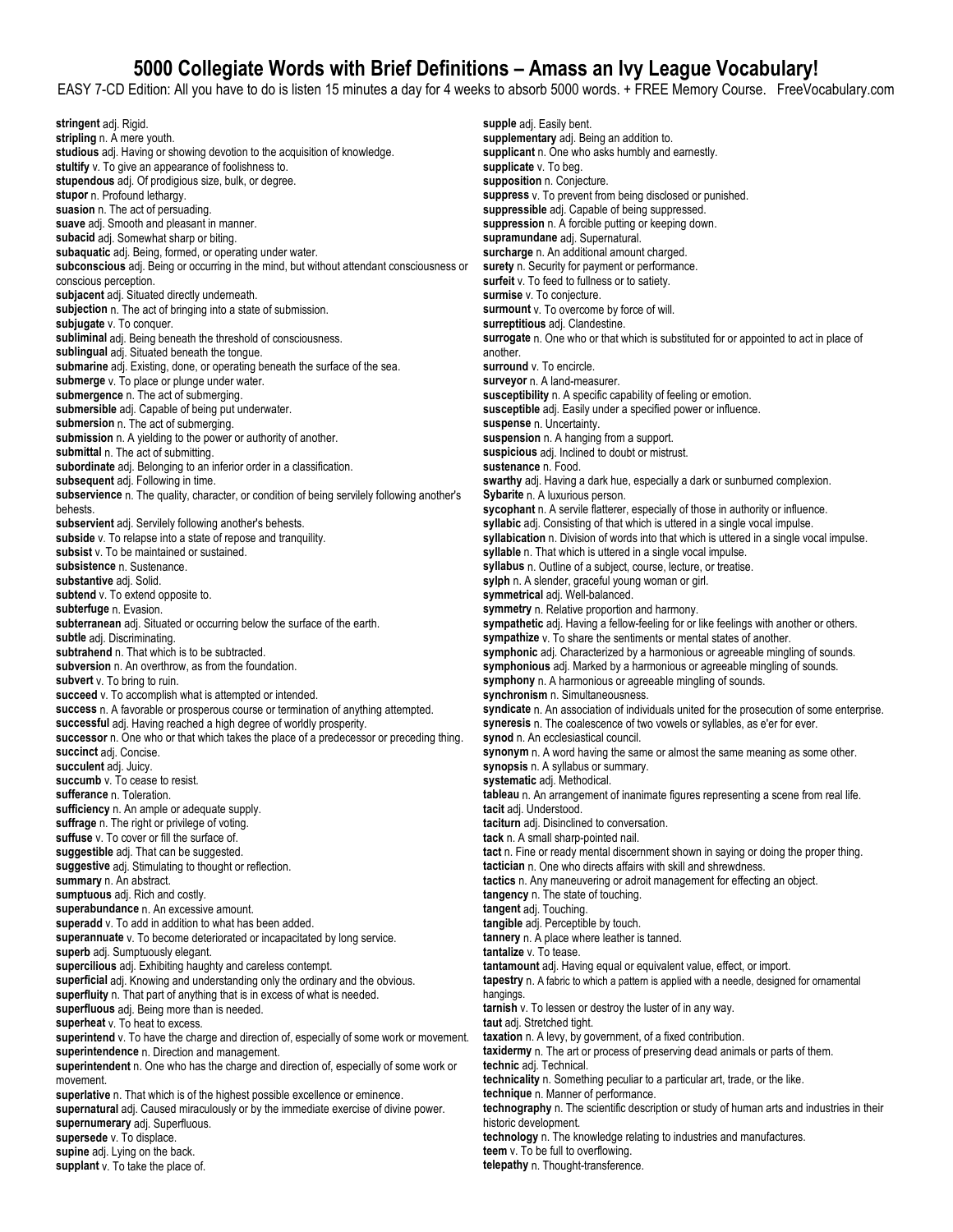EASY 7-CD Edition: All you have to do is listen 15 minutes a day for 4 weeks to absorb 5000 words. + FREE Memory Course. FreeVocabulary.com

**stringent** adj. Rigid. **stripling** n. A mere youth. **studious** adj. Having or showing devotion to the acquisition of knowledge. **stultify** v. To give an appearance of foolishness to. **stupendous** adj. Of prodigious size, bulk, or degree. **stupor** n. Profound lethargy. **suasion** n. The act of persuading. **suave** adj. Smooth and pleasant in manner. **subacid** adj. Somewhat sharp or biting. **subaquatic** adj. Being, formed, or operating under water. **subconscious** adj. Being or occurring in the mind, but without attendant consciousness or conscious perception. **subjacent** adj. Situated directly underneath. **subjection** n. The act of bringing into a state of submission. **subjugate** v. To conquer. **subliminal** adj. Being beneath the threshold of consciousness. **sublingual** adj. Situated beneath the tongue. **submarine** adj. Existing, done, or operating beneath the surface of the sea. **submerge** v. To place or plunge under water. **submergence** n. The act of submerging. **submersible** adj. Capable of being put underwater. **submersion** n. The act of submerging. **submission** n. A yielding to the power or authority of another. **submittal** n. The act of submitting. **subordinate** adj. Belonging to an inferior order in a classification. **subsequent** adj. Following in time. **subservience** n. The quality, character, or condition of being servilely following another's behests. **subservient** adj. Servilely following another's behests. **subside** v. To relapse into a state of repose and tranquility. **subsist** v. To be maintained or sustained. **subsistence** n. Sustenance. **substantive** adj. Solid. subtend v. To extend opposite to. **subterfuge** n. Evasion. **subterranean** adj. Situated or occurring below the surface of the earth. **subtle** adj. Discriminating. **subtrahend** n. That which is to be subtracted. **subversion** n. An overthrow, as from the foundation. subvert v. To bring to ruin. **succeed** v. To accomplish what is attempted or intended. **success** n. A favorable or prosperous course or termination of anything attempted. **successful** adj. Having reached a high degree of worldly prosperity. **successor** n. One who or that which takes the place of a predecessor or preceding thing. **succinct** adj. Concise. **succulent** adj. Juicy. succumb v. To cease to resist. **sufferance** n. Toleration. **sufficiency** n. An ample or adequate supply. **suffrage** n. The right or privilege of voting. **suffuse** v. To cover or fill the surface of. **suggestible** adj. That can be suggested. **suggestive** adj. Stimulating to thought or reflection. **summary** n. An abstract. **sumptuous** adj. Rich and costly. **superabundance** n. An excessive amount. **superadd** v. To add in addition to what has been added. **superannuate** v. To become deteriorated or incapacitated by long service. **superb** adj. Sumptuously elegant. **supercilious** adj. Exhibiting haughty and careless contempt. **superficial** adj. Knowing and understanding only the ordinary and the obvious. **superfluity** n. That part of anything that is in excess of what is needed. **superfluous** adj. Being more than is needed. superheat v. To heat to excess. **superintend** v. To have the charge and direction of, especially of some work or movement. **superintendence** n. Direction and management. **superintendent** n. One who has the charge and direction of, especially of some work or movement. superlative n. That which is of the highest possible excellence or eminence. **supernatural** adj. Caused miraculously or by the immediate exercise of divine power. **supernumerary** adj. Superfluous. **supersede** v. To displace. **supine** adj. Lying on the back. **supplant** v. To take the place of.

**supple** adj. Easily bent. **supplementary** adj. Being an addition to. **supplicant** n. One who asks humbly and earnestly. **supplicate** v. To beg. **supposition** n. Conjecture. **suppress** v. To prevent from being disclosed or punished. **suppressible** adj. Capable of being suppressed. **suppression** n. A forcible putting or keeping down. **supramundane** adj. Supernatural. **surcharge** n. An additional amount charged. **surety** n. Security for payment or performance. **surfeit** v. To feed to fullness or to satiety. **surmise** v. To conjecture. surmount v. To overcome by force of will. **surreptitious** adj. Clandestine. **surrogate** n. One who or that which is substituted for or appointed to act in place of another. **surround** v. To encircle. **surveyor** n. A land-measurer. **susceptibility** n. A specific capability of feeling or emotion. **susceptible** adj. Easily under a specified power or influence. **suspense** n. Uncertainty. **suspension** n. A hanging from a support. **suspicious** adj. Inclined to doubt or mistrust. **sustenance** n. Food. **swarthy** adj. Having a dark hue, especially a dark or sunburned complexion. **Sybarite** n. A luxurious person. **sycophant** n. A servile flatterer, especially of those in authority or influence. **syllabic** adj. Consisting of that which is uttered in a single vocal impulse. **syllabication** n. Division of words into that which is uttered in a single vocal impulse. **syllable** n. That which is uttered in a single vocal impulse. **syllabus** n. Outline of a subject, course, lecture, or treatise. **sylph** n. A slender, graceful young woman or girl. **symmetrical** adj. Well-balanced. **symmetry** n. Relative proportion and harmony. **sympathetic** adj. Having a fellow-feeling for or like feelings with another or others. **sympathize** v. To share the sentiments or mental states of another. **symphonic** adj. Characterized by a harmonious or agreeable mingling of sounds. **symphonious** adj. Marked by a harmonious or agreeable mingling of sounds. **symphony** n. A harmonious or agreeable mingling of sounds. **synchronism** n. Simultaneousness. **syndicate** n. An association of individuals united for the prosecution of some enterprise. **syneresis** n. The coalescence of two vowels or syllables, as e'er for ever. **synod** n. An ecclesiastical council. **synonym** n. A word having the same or almost the same meaning as some other. **synopsis** n. A syllabus or summary. **systematic** adj. Methodical. **tableau** n. An arrangement of inanimate figures representing a scene from real life. **tacit** adj. Understood. **taciturn** adj. Disinclined to conversation. **tack** n. A small sharp-pointed nail. **tact** n. Fine or ready mental discernment shown in saying or doing the proper thing. **tactician** n. One who directs affairs with skill and shrewdness. **tactics** n. Any maneuvering or adroit management for effecting an object. **tangency** n. The state of touching. **tangent** adj. Touching. **tangible** adj. Perceptible by touch. **tannery** n. A place where leather is tanned. **tantalize** v. To tease. **tantamount** adj. Having equal or equivalent value, effect, or import. **tapestry** n. A fabric to which a pattern is applied with a needle, designed for ornamental hangings. **tarnish** v. To lessen or destroy the luster of in any way. **taut** adj. Stretched tight. **taxation** n. A levy, by government, of a fixed contribution. **taxidermy** n. The art or process of preserving dead animals or parts of them. **technic** adj. Technical. **technicality** n. Something peculiar to a particular art, trade, or the like. **technique** n. Manner of performance. **technography** n. The scientific description or study of human arts and industries in their historic development. **technology** n. The knowledge relating to industries and manufactures. **teem** v. To be full to overflowing. **telepathy** n. Thought-transference.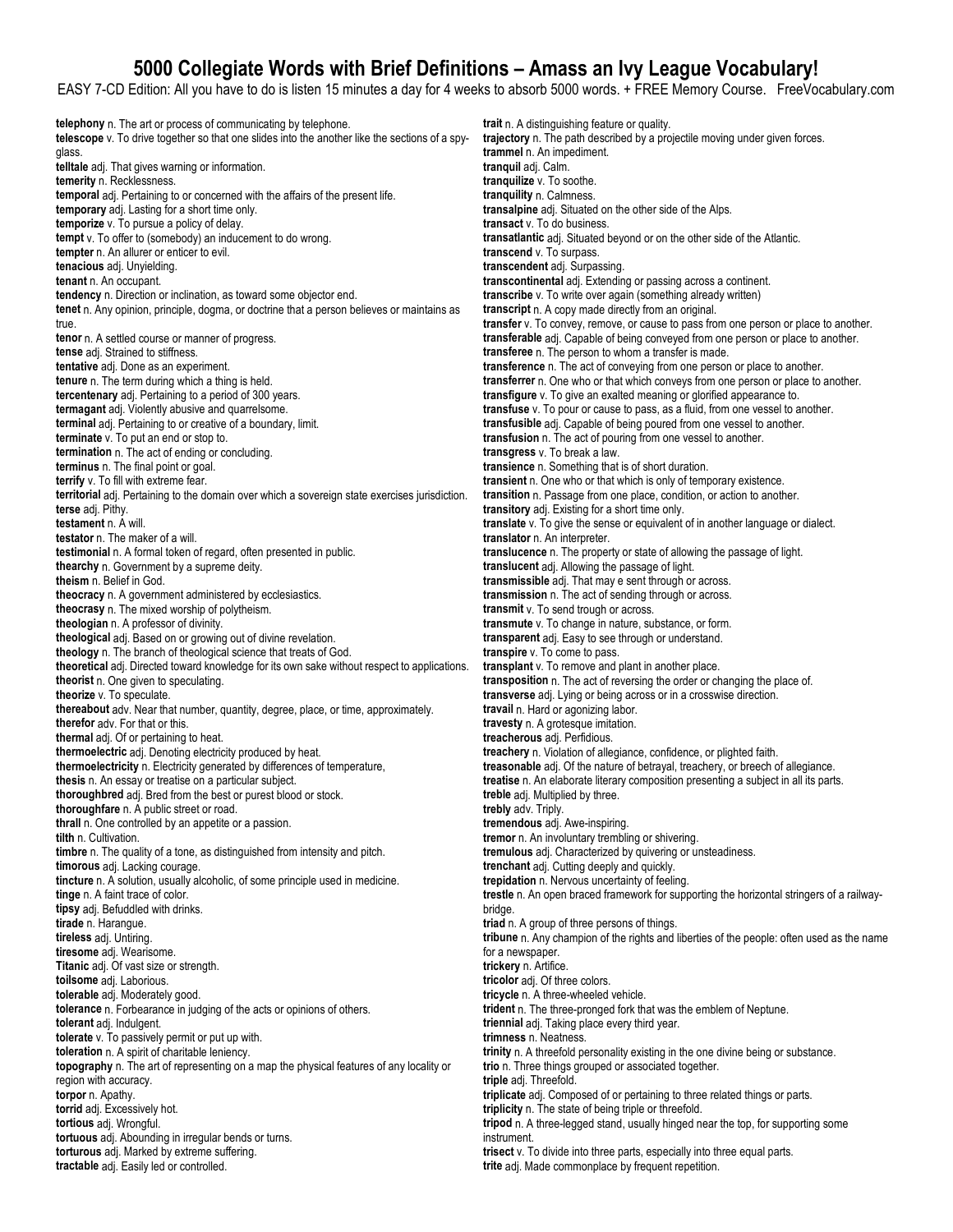EASY 7-CD Edition: All you have to do is listen 15 minutes a day for 4 weeks to absorb 5000 words. + FREE Memory Course. FreeVocabulary.com

**telephony** n. The art or process of communicating by telephone. **telescope** v. To drive together so that one slides into the another like the sections of a spyglass. **telltale** adj. That gives warning or information. **temerity** n. Recklessness. **temporal** adj. Pertaining to or concerned with the affairs of the present life. **temporary** adj. Lasting for a short time only. **temporize** v. To pursue a policy of delay. **tempt** v. To offer to (somebody) an inducement to do wrong. **tempter** n. An allurer or enticer to evil. **tenacious** adj. Unyielding. **tenant** n. An occupant. **tendency** n. Direction or inclination, as toward some objector end. **tenet** n. Any opinion, principle, dogma, or doctrine that a person believes or maintains as true. **tenor** n. A settled course or manner of progress. **tense** adj. Strained to stiffness. **tentative** adj. Done as an experiment. **tenure** n. The term during which a thing is held. **tercentenary** adj. Pertaining to a period of 300 years. **termagant** adj. Violently abusive and quarrelsome. **terminal** adj. Pertaining to or creative of a boundary, limit. **terminate** v. To put an end or stop to. **termination** n. The act of ending or concluding. **terminus** n. The final point or goal. **terrify** v. To fill with extreme fear. **territorial** adj. Pertaining to the domain over which a sovereign state exercises jurisdiction. **terse** adj. Pithy. **testament** n. A will. **testator** n. The maker of a will. **testimonial** n. A formal token of regard, often presented in public. **thearchy** n. Government by a supreme deity. **theism** n. Belief in God. **theocracy** n. A government administered by ecclesiastics. **theocrasy** n. The mixed worship of polytheism. **theologian** n. A professor of divinity. **theological** adj. Based on or growing out of divine revelation. **theology** n. The branch of theological science that treats of God. **theoretical** adj. Directed toward knowledge for its own sake without respect to applications. **theorist** n. One given to speculating. **theorize** v. To speculate. **thereabout** adv. Near that number, quantity, degree, place, or time, approximately. **therefor** adv. For that or this. **thermal** adj. Of or pertaining to heat. **thermoelectric** adj. Denoting electricity produced by heat. **thermoelectricity** n. Electricity generated by differences of temperature, **thesis** n. An essay or treatise on a particular subject. **thoroughbred** adj. Bred from the best or purest blood or stock. **thoroughfare** n. A public street or road. **thrall** n. One controlled by an appetite or a passion. **tilth** n. Cultivation. **timbre** n. The quality of a tone, as distinguished from intensity and pitch. **timorous** adj. Lacking courage. **tincture** n. A solution, usually alcoholic, of some principle used in medicine. **tinge** n. A faint trace of color. **tipsy** adj. Befuddled with drinks. **tirade** n. Harangue. **tireless** adj. Untiring. **tiresome** adj. Wearisome. **Titanic** adj. Of vast size or strength. **toilsome** adj. Laborious. **tolerable** adj. Moderately good. **tolerance** n. Forbearance in judging of the acts or opinions of others. **tolerant** adj. Indulgent. **tolerate** v. To passively permit or put up with. **toleration** n. A spirit of charitable leniency. **topography** n. The art of representing on a map the physical features of any locality or region with accuracy. **torpor** n. Apathy. **torrid** adj. Excessively hot. **tortious** adj. Wrongful. **tortuous** adj. Abounding in irregular bends or turns. **torturous** adj. Marked by extreme suffering. **tractable** adj. Easily led or controlled.

**trait** n. A distinguishing feature or quality. **trajectory** n. The path described by a projectile moving under given forces. **trammel** n. An impediment. **tranquil** adj. Calm. **tranquilize** v. To soothe. **tranquility** n. Calmness. **transalpine** adj. Situated on the other side of the Alps. **transact** v. To do business. **transatlantic** adj. Situated beyond or on the other side of the Atlantic. **transcend** v. To surpass. **transcendent** adj. Surpassing. **transcontinental** adj. Extending or passing across a continent. **transcribe** v. To write over again (something already written) **transcript** n. A copy made directly from an original. **transfer** v. To convey, remove, or cause to pass from one person or place to another. **transferable** adj. Capable of being conveyed from one person or place to another. **transferee** n. The person to whom a transfer is made. **transference** n. The act of conveying from one person or place to another. **transferrer** n. One who or that which conveys from one person or place to another. **transfigure** v. To give an exalted meaning or glorified appearance to. **transfuse** v. To pour or cause to pass, as a fluid, from one vessel to another. **transfusible** adj. Capable of being poured from one vessel to another. **transfusion** n. The act of pouring from one vessel to another. **transgress** v. To break a law. **transience** n. Something that is of short duration. **transient** n. One who or that which is only of temporary existence. **transition** n. Passage from one place, condition, or action to another. **transitory** adj. Existing for a short time only. **translate** v. To give the sense or equivalent of in another language or dialect. **translator** n. An interpreter. **translucence** n. The property or state of allowing the passage of light. **translucent** adj. Allowing the passage of light. **transmissible** adj. That may e sent through or across. **transmission** n. The act of sending through or across. **transmit** v. To send trough or across. **transmute** v. To change in nature, substance, or form. **transparent** adj. Easy to see through or understand. **transpire** v. To come to pass. **transplant** v. To remove and plant in another place. **transposition** n. The act of reversing the order or changing the place of. **transverse** adj. Lying or being across or in a crosswise direction. **travail** n. Hard or agonizing labor. **travesty** n. A grotesque imitation. **treacherous** adj. Perfidious. **treachery** n. Violation of allegiance, confidence, or plighted faith. **treasonable** adj. Of the nature of betrayal, treachery, or breech of allegiance. **treatise** n. An elaborate literary composition presenting a subject in all its parts. **treble** adj. Multiplied by three. **trebly** adv. Triply. **tremendous** adj. Awe-inspiring. **tremor** n. An involuntary trembling or shivering. **tremulous** adj. Characterized by quivering or unsteadiness. **trenchant** adj. Cutting deeply and quickly. **trepidation** n. Nervous uncertainty of feeling. **trestle** n. An open braced framework for supporting the horizontal stringers of a railwaybridge. **triad** n. A group of three persons of things. **tribune** n. Any champion of the rights and liberties of the people: often used as the name for a newspaper. **trickery** n. Artifice. **tricolor** adj. Of three colors. **tricycle** n. A three-wheeled vehicle. **trident** n. The three-pronged fork that was the emblem of Neptune. **triennial** adj. Taking place every third year. **trimness** n. Neatness. **trinity** n. A threefold personality existing in the one divine being or substance. **trio** n. Three things grouped or associated together. **triple** adj. Threefold. **triplicate** adj. Composed of or pertaining to three related things or parts. **triplicity** n. The state of being triple or threefold. **tripod** n. A three-legged stand, usually hinged near the top, for supporting some **instrument trisect** v. To divide into three parts, especially into three equal parts. **trite** adj. Made commonplace by frequent repetition.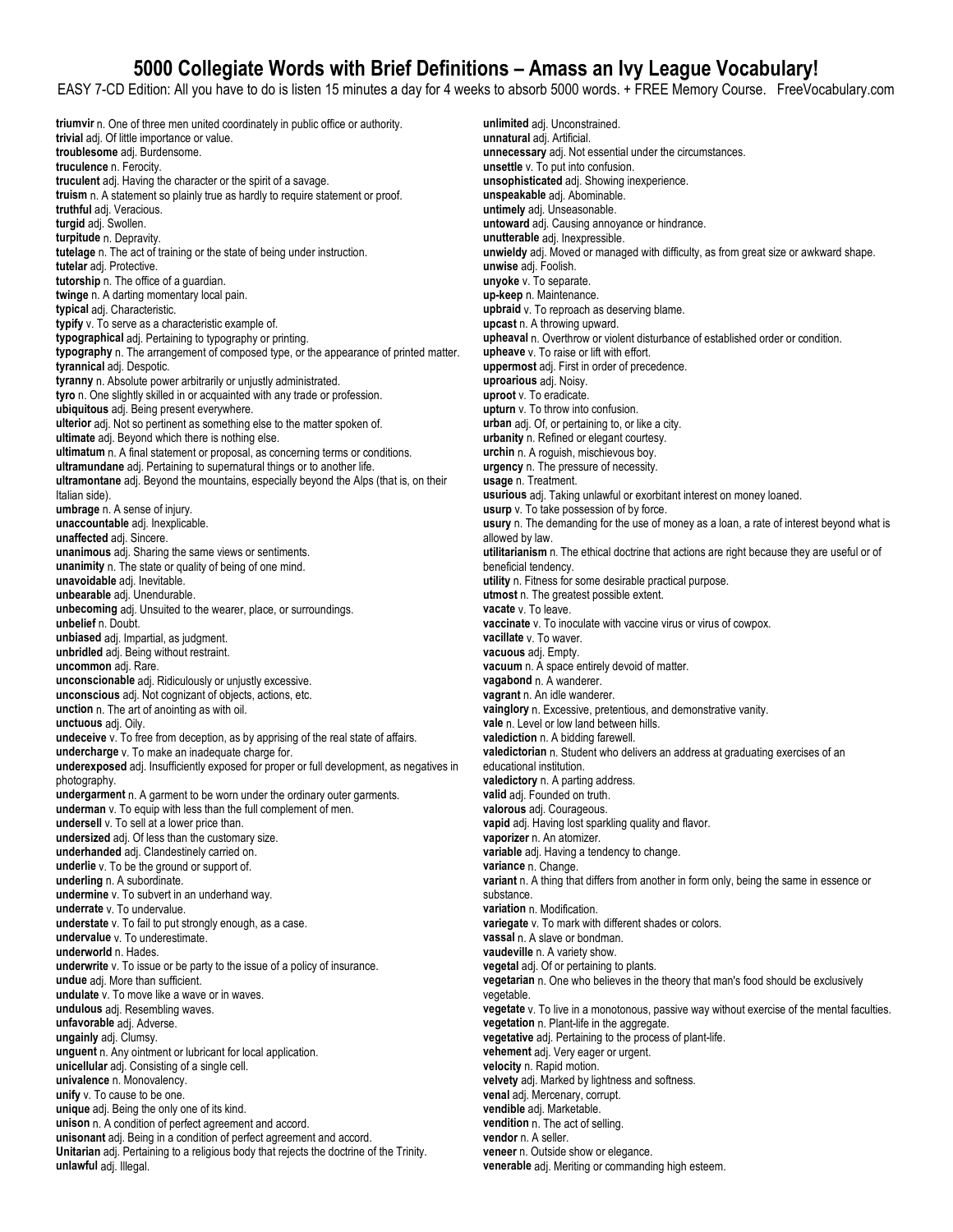EASY 7-CD Edition: All you have to do is listen 15 minutes a day for 4 weeks to absorb 5000 words. + FREE Memory Course. FreeVocabulary.com

**triumvir** n. One of three men united coordinately in public office or authority. **trivial** adj. Of little importance or value. **troublesome** adj. Burdensome. **truculence** n. Ferocity. **truculent** adj. Having the character or the spirit of a savage. **truism** n. A statement so plainly true as hardly to require statement or proof. **truthful** adj. Veracious. **turgid** adj. Swollen. **turpitude** n. Depravity. **tutelage** n. The act of training or the state of being under instruction. **tutelar** adj. Protective. **tutorship** n. The office of a guardian. **twinge** n. A darting momentary local pain. **typical** adj. Characteristic. **typify** v. To serve as a characteristic example of. **typographical** adj. Pertaining to typography or printing. **typography** n. The arrangement of composed type, or the appearance of printed matter. **tyrannical** adj. Despotic. **tyranny** n. Absolute power arbitrarily or unjustly administrated. **tyro** n. One slightly skilled in or acquainted with any trade or profession. **ubiquitous** adj. Being present everywhere. **ulterior** adj. Not so pertinent as something else to the matter spoken of. **ultimate** adj. Beyond which there is nothing else. **ultimatum** n. A final statement or proposal, as concerning terms or conditions. **ultramundane** adj. Pertaining to supernatural things or to another life. **ultramontane** adj. Beyond the mountains, especially beyond the Alps (that is, on their Italian side). **umbrage** n. A sense of injury. **unaccountable** adj. Inexplicable. **unaffected** adj. Sincere. **unanimous** adj. Sharing the same views or sentiments. **unanimity** n. The state or quality of being of one mind. **unavoidable** adj. Inevitable. **unbearable** adj. Unendurable. **unbecoming** adj. Unsuited to the wearer, place, or surroundings. **unbelief** n. Doubt. **unbiased** adj. Impartial, as judgment. **unbridled** adj. Being without restraint. **uncommon** adj. Rare. **unconscionable** adj. Ridiculously or unjustly excessive. **unconscious** adj. Not cognizant of objects, actions, etc. **unction** n. The art of anointing as with oil. **unctuous** adj. Oily. **undeceive** v. To free from deception, as by apprising of the real state of affairs. **undercharge** v. To make an inadequate charge for. **underexposed** adj. Insufficiently exposed for proper or full development, as negatives in photography. **undergarment** n. A garment to be worn under the ordinary outer garments. **underman** v. To equip with less than the full complement of men. **undersell** v. To sell at a lower price than. **undersized** adj. Of less than the customary size. **underhanded** adj. Clandestinely carried on. **underlie** v. To be the ground or support of. **underling** n. A subordinate. **undermine** v. To subvert in an underhand way. **underrate** v. To undervalue. **understate** v. To fail to put strongly enough, as a case. **undervalue** v. To underestimate. **underworld** n. Hades. **underwrite** v. To issue or be party to the issue of a policy of insurance. **undue** adj. More than sufficient. **undulate** v. To move like a wave or in waves. **undulous** adj. Resembling waves. **unfavorable** adj. Adverse. **ungainly** adj. Clumsy. **unguent** n. Any ointment or lubricant for local application. **unicellular** adj. Consisting of a single cell. **univalence** n. Monovalency. **unify** v. To cause to be one. **unique** adj. Being the only one of its kind. **unison** n. A condition of perfect agreement and accord. **unisonant** adj. Being in a condition of perfect agreement and accord. **Unitarian** adj. Pertaining to a religious body that rejects the doctrine of the Trinity. **unlawful** adj. Illegal.

**unlimited** adj. Unconstrained. **unnatural** adj. Artificial. **unnecessary** adj. Not essential under the circumstances. **unsettle** v. To put into confusion. **unsophisticated** adj. Showing inexperience. **unspeakable** adj. Abominable. **untimely** adj. Unseasonable. **untoward** adj. Causing annoyance or hindrance. **unutterable** adj. Inexpressible. **unwieldy** adj. Moved or managed with difficulty, as from great size or awkward shape. **unwise** adj. Foolish. **unyoke** v. To separate. **up-keep** n. Maintenance. **upbraid** v. To reproach as deserving blame. **upcast** n. A throwing upward. **upheaval** n. Overthrow or violent disturbance of established order or condition. **upheave** v. To raise or lift with effort. **uppermost** adj. First in order of precedence. **uproarious** adj. Noisy. **uproot** v. To eradicate. **upturn** v. To throw into confusion. **urban** adj. Of, or pertaining to, or like a city. **urbanity** n. Refined or elegant courtesy. **urchin** n. A roguish, mischievous boy. **urgency** n. The pressure of necessity. **usage** n. Treatment. **usurious** adj. Taking unlawful or exorbitant interest on money loaned. **usurp** v. To take possession of by force. **usury** n. The demanding for the use of money as a loan, a rate of interest beyond what is allowed by law. **utilitarianism** n. The ethical doctrine that actions are right because they are useful or of beneficial tendency. **utility** n. Fitness for some desirable practical purpose. **utmost** n. The greatest possible extent. **vacate** v. To leave. **vaccinate** v. To inoculate with vaccine virus or virus of cowpox. **vacillate** v. To waver. **vacuous** adj. Empty. **vacuum** n. A space entirely devoid of matter. **vagabond** n. A wanderer. **vagrant** n. An idle wanderer. **vainglory** n. Excessive, pretentious, and demonstrative vanity. **vale** n. Level or low land between hills. **valediction** n. A bidding farewell. **valedictorian** n. Student who delivers an address at graduating exercises of an educational institution. **valedictory** n. A parting address. valid adj. Founded on truth. **valorous** adj. Courageous. **vapid** adj. Having lost sparkling quality and flavor. **vaporizer** n. An atomizer. **variable** adj. Having a tendency to change. **variance** n. Change. **variant** n. A thing that differs from another in form only, being the same in essence or substance. **variation** n. Modification. **variegate** v. To mark with different shades or colors. **vassal** n. A slave or bondman. **vaudeville** n. A variety show. **vegetal** adj. Of or pertaining to plants. **vegetarian** n. One who believes in the theory that man's food should be exclusively vegetable. **vegetate** v. To live in a monotonous, passive way without exercise of the mental faculties. **vegetation** n. Plant-life in the aggregate. **vegetative** adj. Pertaining to the process of plant-life. **vehement** adj. Very eager or urgent. **velocity** n. Rapid motion. **velvety** adj. Marked by lightness and softness. **venal** adj. Mercenary, corrupt. **vendible** adj. Marketable. **vendition** n. The act of selling. **vendor** n. A seller. **veneer** n. Outside show or elegance. **venerable** adj. Meriting or commanding high esteem.